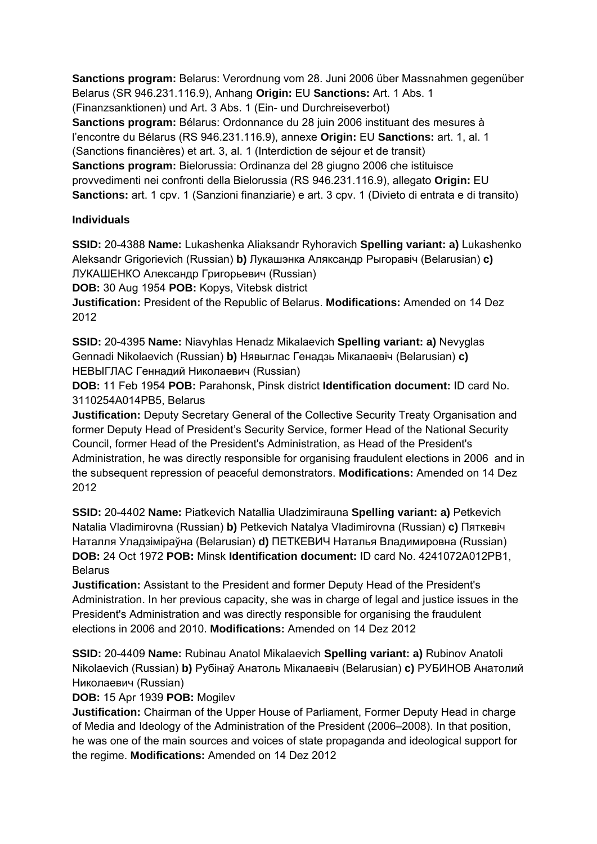**Sanctions program:** Belarus: Verordnung vom 28. Juni 2006 über Massnahmen gegenüber Belarus (SR 946.231.116.9), Anhang **Origin:** EU **Sanctions:** Art. 1 Abs. 1 (Finanzsanktionen) und Art. 3 Abs. 1 (Ein- und Durchreiseverbot) **Sanctions program:** Bélarus: Ordonnance du 28 juin 2006 instituant des mesures à l'encontre du Bélarus (RS 946.231.116.9), annexe **Origin:** EU **Sanctions:** art. 1, al. 1 (Sanctions financières) et art. 3, al. 1 (Interdiction de séjour et de transit) **Sanctions program:** Bielorussia: Ordinanza del 28 giugno 2006 che istituisce provvedimenti nei confronti della Bielorussia (RS 946.231.116.9), allegato **Origin:** EU **Sanctions:** art. 1 cpv. 1 (Sanzioni finanziarie) e art. 3 cpv. 1 (Divieto di entrata e di transito)

# **Individuals**

**SSID:** 20-4388 **Name:** Lukashenka Aliaksandr Ryhoravich **Spelling variant: a)** Lukashenko Aleksandr Grigorievich (Russian) **b)** Лукашэнка Аляксандр Рыгоравіч (Belarusian) **c)**  ЛУКАШЕНКО Александр Григорьевич (Russian)

**DOB:** 30 Aug 1954 **POB:** Kopys, Vitebsk district

**Justification:** President of the Republic of Belarus. **Modifications:** Amended on 14 Dez 2012

**SSID:** 20-4395 **Name:** Niavyhlas Henadz Mikalaevich **Spelling variant: a)** Nevyglas Gennadi Nikolaevich (Russian) **b)** Нявыглас Генадзь Мiкалаевіч (Belarusian) **c)**  НЕВЫГЛАС Геннадий Николаевич (Russian)

**DOB:** 11 Feb 1954 **POB:** Parahonsk, Pinsk district **Identification document:** ID card No. 3110254A014PB5, Belarus

**Justification:** Deputy Secretary General of the Collective Security Treaty Organisation and former Deputy Head of President's Security Service, former Head of the National Security Council, former Head of the President's Administration, as Head of the President's Administration, he was directly responsible for organising fraudulent elections in 2006 and in the subsequent repression of peaceful demonstrators. **Modifications:** Amended on 14 Dez 2012

**SSID:** 20-4402 **Name:** Piatkevich Natallia Uladzimirauna **Spelling variant: a)** Petkevich Natalia Vladimirovna (Russian) **b)** Petkevich Natalya Vladimirovna (Russian) **c)** Пяткевіч Наталля Уладзіміраўна (Belarusian) **d)** ПЕТКЕВИЧ Наталья Владимировна (Russian) **DOB:** 24 Oct 1972 **POB:** Minsk **Identification document:** ID card No. 4241072A012PB1, Belarus

**Justification:** Assistant to the President and former Deputy Head of the President's Administration. In her previous capacity, she was in charge of legal and justice issues in the President's Administration and was directly responsible for organising the fraudulent elections in 2006 and 2010. **Modifications:** Amended on 14 Dez 2012

**SSID:** 20-4409 **Name:** Rubinau Anatol Mikalaevich **Spelling variant: a)** Rubinov Anatoli Nikolaevich (Russian) **b)** Рубінаў Анатоль Мікалаевіч (Belarusian) **c)** РУБИНОВ Анатолий Николаевич (Russian)

# **DOB:** 15 Apr 1939 **POB:** Mogilev

**Justification:** Chairman of the Upper House of Parliament, Former Deputy Head in charge of Media and Ideology of the Administration of the President (2006–2008). In that position, he was one of the main sources and voices of state propaganda and ideological support for the regime. **Modifications:** Amended on 14 Dez 2012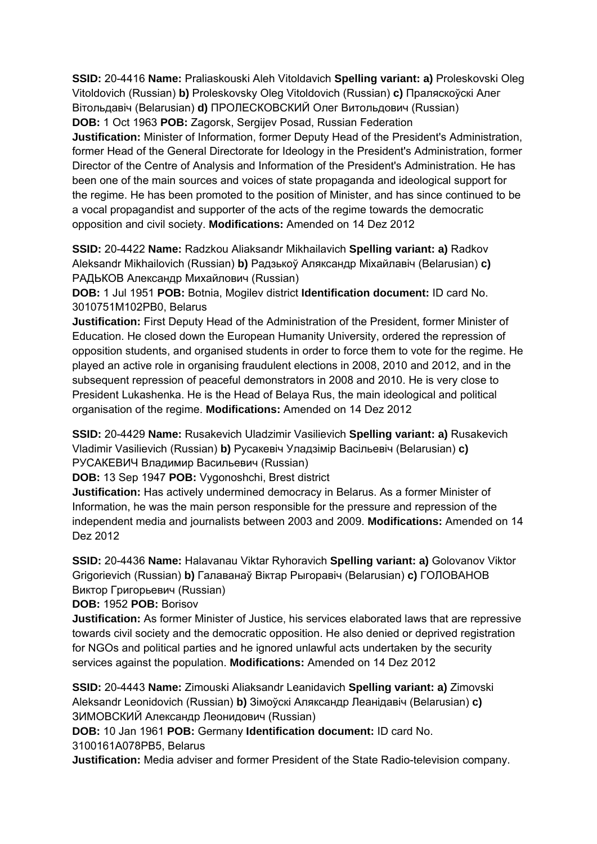**SSID:** 20-4416 **Name:** Praliaskouski Aleh Vitoldavich **Spelling variant: a)** Proleskovski Oleg Vitoldovich (Russian) **b)** Proleskovsky Oleg Vitoldovich (Russian) **c)** Праляскоўскі Алег Вітольдавіч (Belarusian) **d)** ПРОЛЕСКОВСКИЙ Олег Витольдович (Russian) **DOB:** 1 Oct 1963 **POB:** Zagorsk, Sergijev Posad, Russian Federation **Justification:** Minister of Information, former Deputy Head of the President's Administration, former Head of the General Directorate for Ideology in the President's Administration, former Director of the Centre of Analysis and Information of the President's Administration. He has been one of the main sources and voices of state propaganda and ideological support for the regime. He has been promoted to the position of Minister, and has since continued to be a vocal propagandist and supporter of the acts of the regime towards the democratic opposition and civil society. **Modifications:** Amended on 14 Dez 2012

**SSID:** 20-4422 **Name:** Radzkou Aliaksandr Mikhailavich **Spelling variant: a)** Radkov Aleksandr Mikhailovich (Russian) **b)** Радзькоў Аляксандр Міхайлавіч (Belarusian) **c)**  РАДЬКОВ Александр Михайлович (Russian)

**DOB:** 1 Jul 1951 **POB:** Botnia, Mogilev district **Identification document:** ID card No. 3010751M102PB0, Belarus

**Justification:** First Deputy Head of the Administration of the President, former Minister of Education. He closed down the European Humanity University, ordered the repression of opposition students, and organised students in order to force them to vote for the regime. He played an active role in organising fraudulent elections in 2008, 2010 and 2012, and in the subsequent repression of peaceful demonstrators in 2008 and 2010. He is very close to President Lukashenka. He is the Head of Belaya Rus, the main ideological and political organisation of the regime. **Modifications:** Amended on 14 Dez 2012

**SSID:** 20-4429 **Name:** Rusakevich Uladzimir Vasilievich **Spelling variant: a)** Rusakevich Vladimir Vasilievich (Russian) **b)** Русакевіч Уладзімір Васільевіч (Belarusian) **c)**  РУСАКЕВИЧ Владимир Васильевич (Russian)

**DOB:** 13 Sep 1947 **POB:** Vygonoshchi, Brest district

**Justification:** Has actively undermined democracy in Belarus. As a former Minister of Information, he was the main person responsible for the pressure and repression of the independent media and journalists between 2003 and 2009. **Modifications:** Amended on 14 Dez 2012

**SSID:** 20-4436 **Name:** Halavanau Viktar Ryhoravich **Spelling variant: a)** Golovanov Viktor Grigorievich (Russian) **b)** Галаванаў Віктар Рыгоравіч (Belarusian) **c)** ГОЛОВАНОВ Виктор Григорьевич (Russian)

**DOB:** 1952 **POB:** Borisov

**Justification:** As former Minister of Justice, his services elaborated laws that are repressive towards civil society and the democratic opposition. He also denied or deprived registration for NGOs and political parties and he ignored unlawful acts undertaken by the security services against the population. **Modifications:** Amended on 14 Dez 2012

**SSID:** 20-4443 **Name:** Zimouski Aliaksandr Leanidavich **Spelling variant: a)** Zimovski Aleksandr Leonidovich (Russian) **b)** Зімоўскі Аляксандр Леанідавіч (Belarusian) **c)**  ЗИМОВСКИЙ Александр Леонидович (Russian)

**DOB:** 10 Jan 1961 **POB:** Germany **Identification document:** ID card No. 3100161A078PB5, Belarus

**Justification:** Media adviser and former President of the State Radio-television company.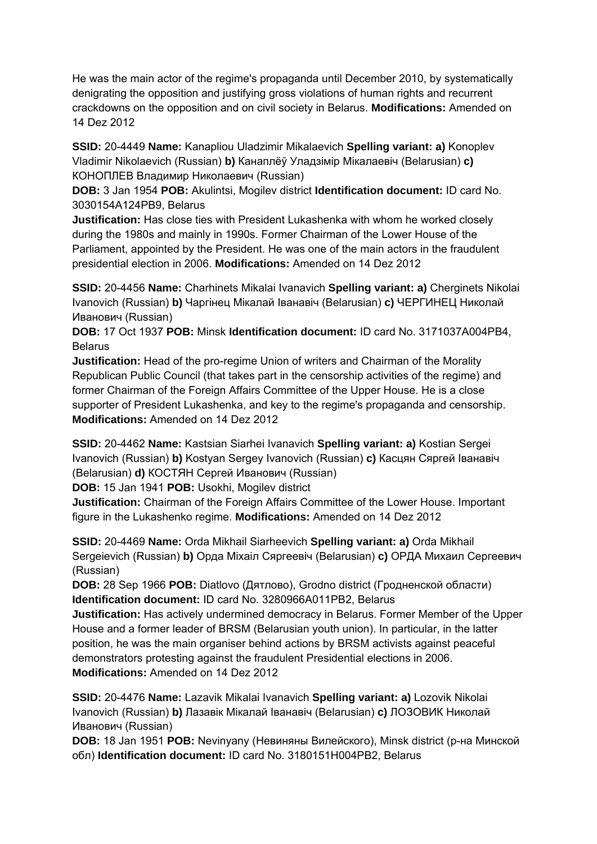He was the main actor of the regime's propaganda until December 2010, by systematically denigrating the opposition and justifying gross violations of human rights and recurrent crackdowns on the opposition and on civil society in Belarus. **Modifications:** Amended on 14 Dez 2012

**SSID:** 20-4449 **Name:** Kanapliou Uladzimir Mikalaevich **Spelling variant: a)** Konoplev Vladimir Nikolaevich (Russian) **b)** Канаплёў Уладзімір Мікалаевіч (Belarusian) **c)**  КОНОПЛЕВ Владимир Николаевич (Russian)

**DOB:** 3 Jan 1954 **POB:** Akulintsi, Mogilev district **Identification document:** ID card No. 3030154A124PB9, Belarus

**Justification:** Has close ties with President Lukashenka with whom he worked closely during the 1980s and mainly in 1990s. Former Chairman of the Lower House of the Parliament, appointed by the President. He was one of the main actors in the fraudulent presidential election in 2006. **Modifications:** Amended on 14 Dez 2012

**SSID:** 20-4456 **Name:** Charhinets Mikalai Ivanavich **Spelling variant: a)** Cherginets Nikolai Ivanovich (Russian) **b)** Чаргінец Мікалай Іванавіч (Belarusian) **c)** ЧЕРГИНЕЦ Николай Иванович (Russian)

**DOB:** 17 Oct 1937 **POB:** Minsk **Identification document:** ID card No. 3171037A004PB4, **Belarus** 

**Justification:** Head of the pro-regime Union of writers and Chairman of the Morality Republican Public Council (that takes part in the censorship activities of the regime) and former Chairman of the Foreign Affairs Committee of the Upper House. He is a close supporter of President Lukashenka, and key to the regime's propaganda and censorship. **Modifications:** Amended on 14 Dez 2012

**SSID:** 20-4462 **Name:** Kastsian Siarhei Ivanavich **Spelling variant: a)** Kostian Sergei Ivanovich (Russian) **b)** Kostyan Sergey Ivanovich (Russian) **c)** Касцян Сяргей Іванавіч (Belarusian) **d)** КОСТЯН Сергей Иванович (Russian)

**DOB:** 15 Jan 1941 **POB:** Usokhi, Mogilev district

**Justification:** Chairman of the Foreign Affairs Committee of the Lower House. Important figure in the Lukashenko regime. **Modifications:** Amended on 14 Dez 2012

**SSID:** 20-4469 **Name:** Orda Mikhail Siarheevich **Spelling variant: a)** Orda Mikhail Sergeievich (Russian) **b)** Орда Міхаіл Сяргеевіч (Belarusian) **c)** ОРДА Михаил Сергеевич (Russian)

**DOB:** 28 Sep 1966 **POB:** Diatlovo (Дятлово), Grodno district (Гродненской области) **Identification document:** ID card No. 3280966A011PB2, Belarus

**Justification:** Has actively undermined democracy in Belarus. Former Member of the Upper House and a former leader of BRSM (Belarusian youth union). In particular, in the latter position, he was the main organiser behind actions by BRSM activists against peaceful demonstrators protesting against the fraudulent Presidential elections in 2006. **Modifications:** Amended on 14 Dez 2012

**SSID:** 20-4476 **Name:** Lazavik Mikalai Ivanavich **Spelling variant: a)** Lozovik Nikolai Ivanovich (Russian) **b)** Лазавік Мікалай Іванавіч (Belarusian) **c)** ЛОЗОВИК Николай Иванович (Russian)

**DOB:** 18 Jan 1951 **POB:** Nevinyany (Невиняны Вилейского), Minsk district (р-на Минской обл) **Identification document:** ID card No. 3180151H004PB2, Belarus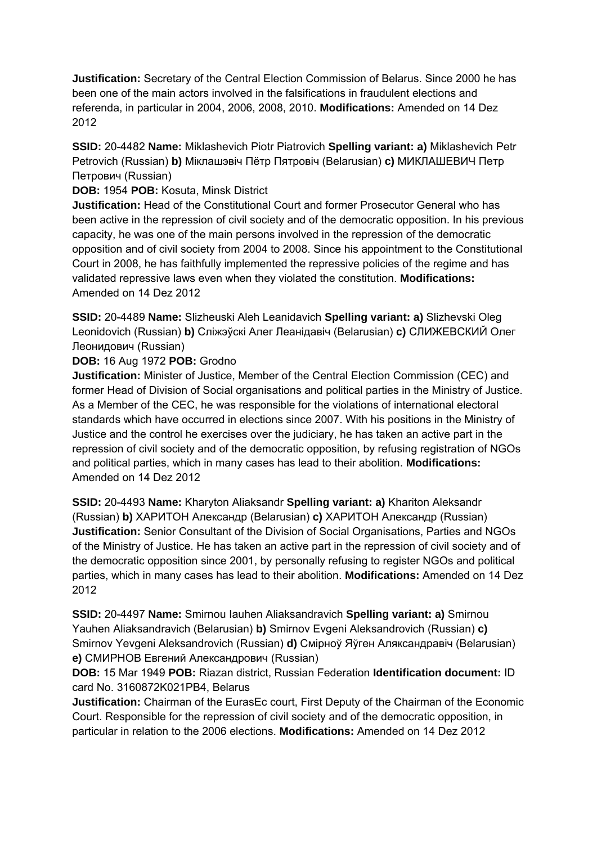**Justification:** Secretary of the Central Election Commission of Belarus. Since 2000 he has been one of the main actors involved in the falsifications in fraudulent elections and referenda, in particular in 2004, 2006, 2008, 2010. **Modifications:** Amended on 14 Dez 2012

**SSID:** 20-4482 **Name:** Miklashevich Piotr Piatrovich **Spelling variant: a)** Miklashevich Petr Petrovich (Russian) **b)** Міклашэвіч Пётр Пятровіч (Belarusian) **c)** МИКЛАШЕВИЧ Петр Петрович (Russian)

**DOB:** 1954 **POB:** Kosuta, Minsk District

**Justification:** Head of the Constitutional Court and former Prosecutor General who has been active in the repression of civil society and of the democratic opposition. In his previous capacity, he was one of the main persons involved in the repression of the democratic opposition and of civil society from 2004 to 2008. Since his appointment to the Constitutional Court in 2008, he has faithfully implemented the repressive policies of the regime and has validated repressive laws even when they violated the constitution. **Modifications:**  Amended on 14 Dez 2012

**SSID:** 20-4489 **Name:** Slizheuski Aleh Leanidavich **Spelling variant: a)** Slizhevski Oleg Leonidovich (Russian) **b)** Слiжэўскi Алег Леанідавіч (Belarusian) **c)** СЛИЖЕВСКИЙ Олег Леонидович (Russian)

**DOB:** 16 Aug 1972 **POB:** Grodno

**Justification:** Minister of Justice, Member of the Central Election Commission (CEC) and former Head of Division of Social organisations and political parties in the Ministry of Justice. As a Member of the CEC, he was responsible for the violations of international electoral standards which have occurred in elections since 2007. With his positions in the Ministry of Justice and the control he exercises over the judiciary, he has taken an active part in the repression of civil society and of the democratic opposition, by refusing registration of NGOs and political parties, which in many cases has lead to their abolition. **Modifications:**  Amended on 14 Dez 2012

**SSID:** 20-4493 **Name:** Kharyton Aliaksandr **Spelling variant: a)** Khariton Aleksandr (Russian) **b)** ХАРИТОН Александр (Belarusian) **c)** ХАРИТОН Александр (Russian) **Justification:** Senior Consultant of the Division of Social Organisations, Parties and NGOs of the Ministry of Justice. He has taken an active part in the repression of civil society and of the democratic opposition since 2001, by personally refusing to register NGOs and political parties, which in many cases has lead to their abolition. **Modifications:** Amended on 14 Dez 2012

**SSID:** 20-4497 **Name:** Smirnou Iauhen Aliaksandravich **Spelling variant: a)** Smirnou Yauhen Aliaksandravich (Belarusian) **b)** Smirnov Evgeni Aleksandrovich (Russian) **c)**  Smirnov Yevgeni Aleksandrovich (Russian) **d)** Смірноў Яўген Аляксандравіч (Belarusian) **e)** СМИРНОВ Евгений Александрович (Russian)

**DOB:** 15 Mar 1949 **POB:** Riazan district, Russian Federation **Identification document:** ID card No. 3160872K021PB4, Belarus

**Justification:** Chairman of the EurasEc court, First Deputy of the Chairman of the Economic Court. Responsible for the repression of civil society and of the democratic opposition, in particular in relation to the 2006 elections. **Modifications:** Amended on 14 Dez 2012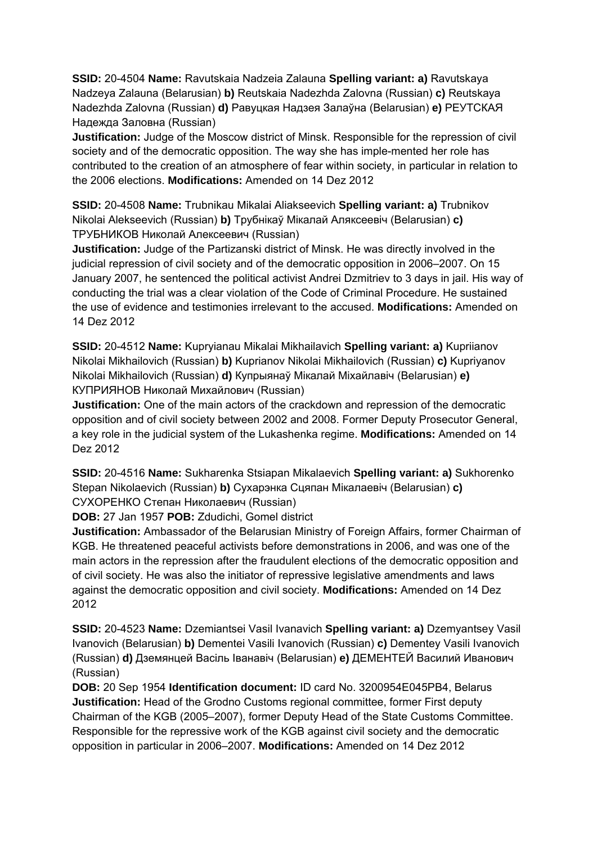**SSID:** 20-4504 **Name:** Ravutskaia Nadzeia Zalauna **Spelling variant: a)** Ravutskaya Nadzeya Zalauna (Belarusian) **b)** Reutskaia Nadezhda Zalovna (Russian) **c)** Reutskaya Nadezhda Zalovna (Russian) **d)** Равуцкая Надзея Залаўна (Belarusian) **e)** РЕУТСКАЯ Надежда Заловна (Russian)

**Justification:** Judge of the Moscow district of Minsk. Responsible for the repression of civil society and of the democratic opposition. The way she has imple-mented her role has contributed to the creation of an atmosphere of fear within society, in particular in relation to the 2006 elections. **Modifications:** Amended on 14 Dez 2012

**SSID:** 20-4508 **Name:** Trubnikau Mikalai Aliakseevich **Spelling variant: a)** Trubnikov Nikolai Alekseevich (Russian) **b)** Трубнікаў Мікалай Аляксеевіч (Belarusian) **c)**  ТРУБНИКОВ Николай Алексеевич (Russian)

**Justification:** Judge of the Partizanski district of Minsk. He was directly involved in the judicial repression of civil society and of the democratic opposition in 2006–2007. On 15 January 2007, he sentenced the political activist Andrei Dzmitriev to 3 days in jail. His way of conducting the trial was a clear violation of the Code of Criminal Procedure. He sustained the use of evidence and testimonies irrelevant to the accused. **Modifications:** Amended on 14 Dez 2012

**SSID:** 20-4512 **Name:** Kupryianau Mikalai Mikhailavich **Spelling variant: a)** Kupriianov Nikolai Mikhailovich (Russian) **b)** Kuprianov Nikolai Mikhailovich (Russian) **c)** Kupriyanov Nikolai Mikhailovich (Russian) **d)** Купрыянаў Мікалай Міхайлавіч (Belarusian) **e)**  КУПРИЯНОВ Николай Михайлович (Russian)

**Justification:** One of the main actors of the crackdown and repression of the democratic opposition and of civil society between 2002 and 2008. Former Deputy Prosecutor General, a key role in the judicial system of the Lukashenka regime. **Modifications:** Amended on 14 Dez 2012

**SSID:** 20-4516 **Name:** Sukharenka Stsiapan Mikalaevich **Spelling variant: a)** Sukhorenko Stepan Nikolaevich (Russian) **b)** Сухарэнка Сцяпан Мікалаевіч (Belarusian) **c)**  СУХОРЕНКО Степан Николаевич (Russian)

**DOB:** 27 Jan 1957 **POB:** Zdudichi, Gomel district

**Justification:** Ambassador of the Belarusian Ministry of Foreign Affairs, former Chairman of KGB. He threatened peaceful activists before demonstrations in 2006, and was one of the main actors in the repression after the fraudulent elections of the democratic opposition and of civil society. He was also the initiator of repressive legislative amendments and laws against the democratic opposition and civil society. **Modifications:** Amended on 14 Dez 2012

**SSID:** 20-4523 **Name:** Dzemiantsei Vasil Ivanavich **Spelling variant: a)** Dzemyantsey Vasil Ivanovich (Belarusian) **b)** Dementei Vasili Ivanovich (Russian) **c)** Dementey Vasili Ivanovich (Russian) **d)** Дземянцей Васіль Iванавіч (Belarusian) **e)** ДЕМЕНТЕЙ Василий Иванович (Russian)

**DOB:** 20 Sep 1954 **Identification document:** ID card No. 3200954E045PB4, Belarus **Justification:** Head of the Grodno Customs regional committee, former First deputy Chairman of the KGB (2005–2007), former Deputy Head of the State Customs Committee. Responsible for the repressive work of the KGB against civil society and the democratic opposition in particular in 2006–2007. **Modifications:** Amended on 14 Dez 2012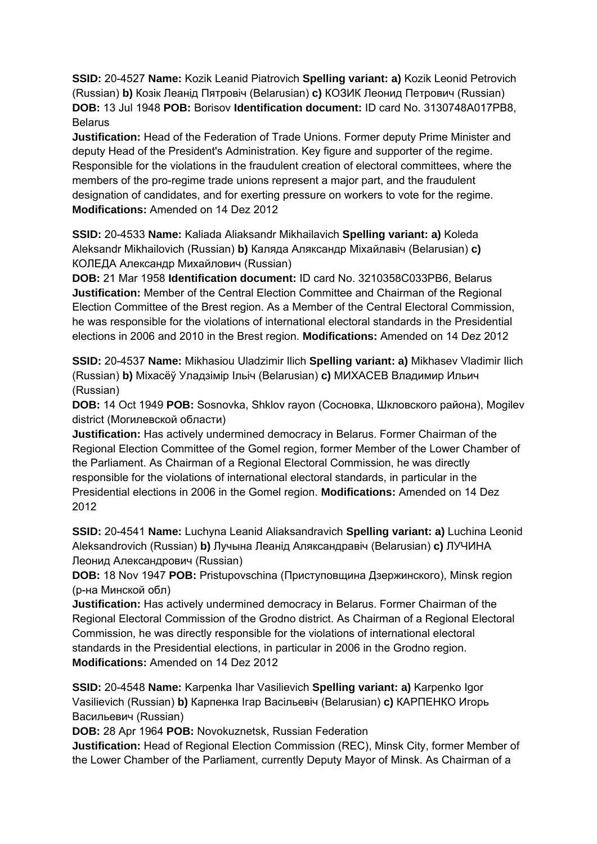**SSID:** 20-4527 **Name:** Kozik Leanid Piatrovich **Spelling variant: a)** Kozik Leonid Petrovich (Russian) **b)** Козік Леанід Пятровіч (Belarusian) **c)** КОЗИК Леонид Петрович (Russian) **DOB:** 13 Jul 1948 **POB:** Borisov **Identification document:** ID card No. 3130748A017PB8, Belarus

**Justification:** Head of the Federation of Trade Unions. Former deputy Prime Minister and deputy Head of the President's Administration. Key figure and supporter of the regime. Responsible for the violations in the fraudulent creation of electoral committees, where the members of the pro-regime trade unions represent a major part, and the fraudulent designation of candidates, and for exerting pressure on workers to vote for the regime. **Modifications:** Amended on 14 Dez 2012

**SSID:** 20-4533 **Name:** Kaliada Aliaksandr Mikhailavich **Spelling variant: a)** Koleda Aleksandr Mikhailovich (Russian) **b)** Каляда Аляксандр Міхайлавіч (Belarusian) **c)**  КОЛЕДА Александр Михайлович (Russian)

**DOB:** 21 Mar 1958 **Identification document:** ID card No. 3210358C033PB6, Belarus **Justification:** Member of the Central Election Committee and Chairman of the Regional Election Committee of the Brest region. As a Member of the Central Electoral Commission, he was responsible for the violations of international electoral standards in the Presidential elections in 2006 and 2010 in the Brest region. **Modifications:** Amended on 14 Dez 2012

**SSID:** 20-4537 **Name:** Mikhasiou Uladzimir Ilich **Spelling variant: a)** Mikhasev Vladimir Ilich (Russian) **b)** Міхасёў Уладзімір Ільіч (Belarusian) **c)** МИХАСЕВ Владимир Ильич (Russian)

**DOB:** 14 Oct 1949 **POB:** Sosnovka, Shklov rayon (Сосновка, Шкловского района), Mogilev district (Могилевской области)

**Justification:** Has actively undermined democracy in Belarus. Former Сhairman of the Regional Election Committee of the Gomel region, former Member of the Lower Chamber of the Parliament. As Chairman of a Regional Electoral Commission, he was directly responsible for the violations of international electoral standards, in particular in the Presidential elections in 2006 in the Gomel region. **Modifications:** Amended on 14 Dez 2012

**SSID:** 20-4541 **Name:** Luchyna Leanid Aliaksandravich **Spelling variant: a)** Luchina Leonid Aleksandrovich (Russian) **b)** Лучына Леанід Аляксандравіч (Belarusian) **c)** ЛУЧИНА Леонид Александрович (Russian)

**DOB:** 18 Nov 1947 **POB:** Pristupovschina (Приступовщина Дзержинского), Minsk region (р-на Минской обл)

**Justification:** Has actively undermined democracy in Belarus. Former Сhairman of the Regional Electoral Commission of the Grodno district. As Chairman of a Regional Electoral Commission, he was directly responsible for the violations of international electoral standards in the Presidential elections, in particular in 2006 in the Grodno region. **Modifications:** Amended on 14 Dez 2012

**SSID:** 20-4548 **Name:** Karpenka Ihar Vasilievich **Spelling variant: a)** Karpenko Igor Vasilievich (Russian) **b)** Карпенка Ігар Васільевіч (Belarusian) **c)** КАРПЕНКО Игорь Васильевич (Russian)

**DOB:** 28 Apr 1964 **POB:** Novokuznetsk, Russian Federation

**Justification:** Head of Regional Election Commission (REC), Minsk City, former Member of the Lower Chamber of the Parliament, currently Deputy Mayor of Minsk. As Chairman of a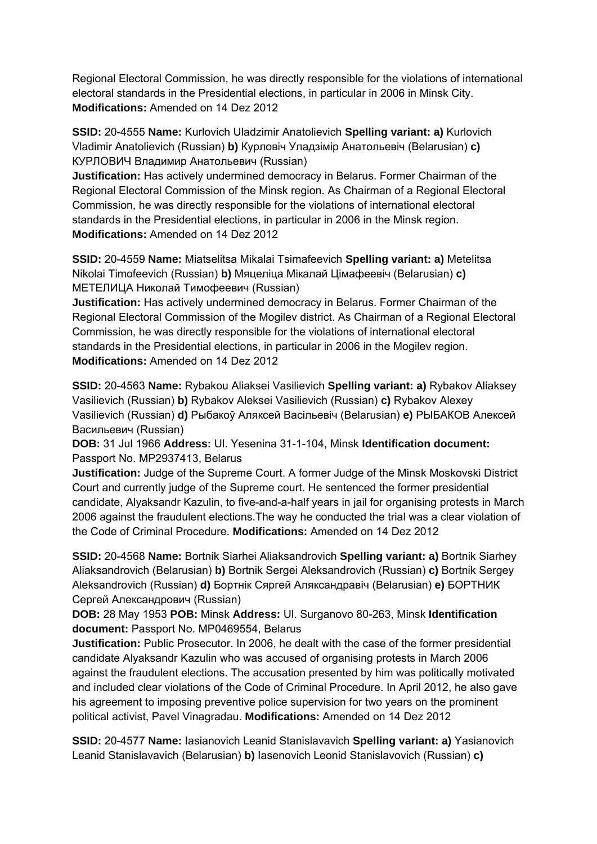Regional Electoral Commission, he was directly responsible for the violations of international electoral standards in the Presidential elections, in particular in 2006 in Minsk City. **Modifications:** Amended on 14 Dez 2012

**SSID:** 20-4555 **Name:** Kurlovich Uladzimir Anatolievich **Spelling variant: a)** Kurlovich Vladimir Anatolievich (Russian) **b)** Курловіч Уладзімір Анатольевіч (Belarusian) **c)**  КУРЛОВИЧ Владимир Анатольевич (Russian)

**Justification:** Has actively undermined democracy in Belarus. Former Сhairman of the Regional Electoral Commission of the Minsk region. As Chairman of a Regional Electoral Commission, he was directly responsible for the violations of international electoral standards in the Presidential elections, in particular in 2006 in the Minsk region. **Modifications:** Amended on 14 Dez 2012

**SSID:** 20-4559 **Name:** Miatselitsa Mikalai Tsimafeevich **Spelling variant: a)** Metelitsa Nikolai Timofeevich (Russian) **b)** Мяцеліца Мікалай Цімафеевіч (Belarusian) **c)**  МЕТЕЛИЦА Николай Тимофеевич (Russian)

**Justification:** Has actively undermined democracy in Belarus. Former Сhairman of the Regional Electoral Commission of the Mogilev district. As Chairman of a Regional Electoral Commission, he was directly responsible for the violations of international electoral standards in the Presidential elections, in particular in 2006 in the Mogilev region. **Modifications:** Amended on 14 Dez 2012

**SSID:** 20-4563 **Name:** Rybakou Aliaksei Vasilievich **Spelling variant: a)** Rybakov Aliaksey Vasilievich (Russian) **b)** Rybakov Aleksei Vasilievich (Russian) **c)** Rybakov Alexey Vasilievich (Russian) **d)** Рыбакоў Аляксей Васiльевiч (Belarusian) **e)** РЫБАКОВ Алексей Васильевич (Russian)

**DOB:** 31 Jul 1966 **Address:** Ul. Yesenina 31-1-104, Minsk **Identification document:** Passport No. MP2937413, Belarus

**Justification:** Judge of the Supreme Court. A former Judge of the Minsk Moskovski District Court and currently judge of the Supreme court. He sentenced the former presidential candidate, Alyaksandr Kazulin, to five-and-a-half years in jail for organising protests in March 2006 against the fraudulent elections.The way he conducted the trial was a clear violation of the Code of Criminal Procedure. **Modifications:** Amended on 14 Dez 2012

**SSID:** 20-4568 **Name:** Bortnik Siarhei Aliaksandrovich **Spelling variant: a)** Bortnik Siarhey Aliaksandrovich (Belarusian) **b)** Bortnik Sergei Aleksandrovich (Russian) **c)** Bortnik Sergey Aleksandrovich (Russian) **d)** Бортнік Сяргей Аляксандравіч (Belarusian) **e)** БОРТНИК Сергей Александрович (Russian)

**DOB:** 28 May 1953 **POB:** Minsk **Address:** Ul. Surganovo 80-263, Minsk **Identification document:** Passport No. MP0469554, Belarus

**Justification:** Public Prosecutor. In 2006, he dealt with the case of the former presidential candidate Alyaksandr Kazulin who was accused of organising protests in March 2006 against the fraudulent elections. The accusation presented by him was politically motivated and included clear violations of the Code of Criminal Procedure. In April 2012, he also gave his agreement to imposing preventive police supervision for two years on the prominent political activist, Pavel Vinagradau. **Modifications:** Amended on 14 Dez 2012

**SSID:** 20-4577 **Name:** Iasianovich Leanid Stanislavavich **Spelling variant: a)** Yasianovich Leanid Stanislavavich (Belarusian) **b)** Iasenovich Leonid Stanislavovich (Russian) **c)**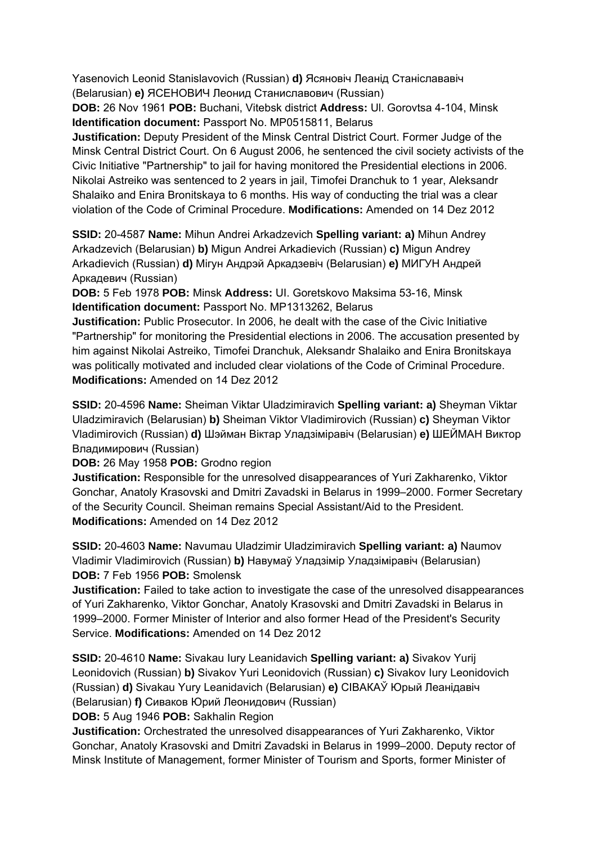Yasenovich Leonid Stanislavovich (Russian) **d)** Ясяновіч Леанід Станіслававіч (Belarusian) **e)** ЯСЕНОВИЧ Леонид Станиславович (Russian)

**DOB:** 26 Nov 1961 **POB:** Buchani, Vitebsk district **Address:** Ul. Gorovtsa 4-104, Minsk **Identification document:** Passport No. MP0515811, Belarus

**Justification:** Deputy President of the Minsk Central District Court. Former Judge of the Minsk Central District Court. On 6 August 2006, he sentenced the civil society activists of the Civic Initiative "Partnership" to jail for having monitored the Presidential elections in 2006. Nikolai Astreiko was sentenced to 2 years in jail, Timofei Dranchuk to 1 year, Aleksandr Shalaiko and Enira Bronitskaya to 6 months. His way of conducting the trial was a clear violation of the Code of Criminal Procedure. **Modifications:** Amended on 14 Dez 2012

**SSID:** 20-4587 **Name:** Mihun Andrei Arkadzevich **Spelling variant: a)** Mihun Andrey Arkadzevich (Belarusian) **b)** Migun Andrei Arkadievich (Russian) **c)** Migun Andrey Arkadievich (Russian) **d)** Мігун Андрэй Аркадзевіч (Belarusian) **e)** МИГУН Андрей Аркадевич (Russian)

**DOB:** 5 Feb 1978 **POB:** Minsk **Address:** UI. Goretskovo Maksima 53-16, Minsk **Identification document:** Passport No. MP1313262, Belarus

**Justification:** Public Prosecutor. In 2006, he dealt with the case of the Civic Initiative "Partnership" for monitoring the Presidential elections in 2006. The accusation presented by him against Nikolai Astreiko, Timofei Dranchuk, Aleksandr Shalaiko and Enira Bronitskaya was politically motivated and included clear violations of the Code of Criminal Procedure. **Modifications:** Amended on 14 Dez 2012

**SSID:** 20-4596 **Name:** Sheiman Viktar Uladzimiravich **Spelling variant: a)** Sheyman Viktar Uladzimiravich (Belarusian) **b)** Sheiman Viktor Vladimirovich (Russian) **c)** Sheyman Viktor Vladimirovich (Russian) **d)** Шэйман Віктар Уладзіміравіч (Belarusian) **e)** ШЕЙМАН Виктор Владимирович (Russian)

**DOB:** 26 May 1958 **POB:** Grodno region

**Justification:** Responsible for the unresolved disappearances of Yuri Zakharenko, Viktor Gonchar, Anatoly Krasovski and Dmitri Zavadski in Belarus in 1999–2000. Former Secretary of the Security Council. Sheiman remains Special Assistant/Aid to the President. **Modifications:** Amended on 14 Dez 2012

**SSID:** 20-4603 **Name:** Navumau Uladzimir Uladzimiravich **Spelling variant: a)** Naumov Vladimir Vladimirovich (Russian) **b)** Навумаў Уладзімір Уладзіміравіч (Belarusian) **DOB:** 7 Feb 1956 **POB:** Smolensk

**Justification:** Failed to take action to investigate the case of the unresolved disappearances of Yuri Zakharenko, Viktor Gonchar, Anatoly Krasovski and Dmitri Zavadski in Belarus in 1999–2000. Former Minister of Interior and also former Head of the President's Security Service. **Modifications:** Amended on 14 Dez 2012

**SSID:** 20-4610 **Name:** Sivakau Iury Leanidavich **Spelling variant: a)** Sivakov Yurij Leonidovich (Russian) **b)** Sivakov Yuri Leonidovich (Russian) **c)** Sivakov Iury Leonidovich (Russian) **d)** Sivakau Yury Leanidavich (Belarusian) **e)** СIВАКАЎ Юрый Леанiдавiч (Belarusian) **f)** Сиваков Юрий Леонидович (Russian)

**DOB:** 5 Aug 1946 **POB:** Sakhalin Region

**Justification:** Orchestrated the unresolved disappearances of Yuri Zakharenko, Viktor Gonchar, Anatoly Krasovski and Dmitri Zavadski in Belarus in 1999–2000. Deputy rector of Minsk Institute of Management, former Minister of Tourism and Sports, former Minister of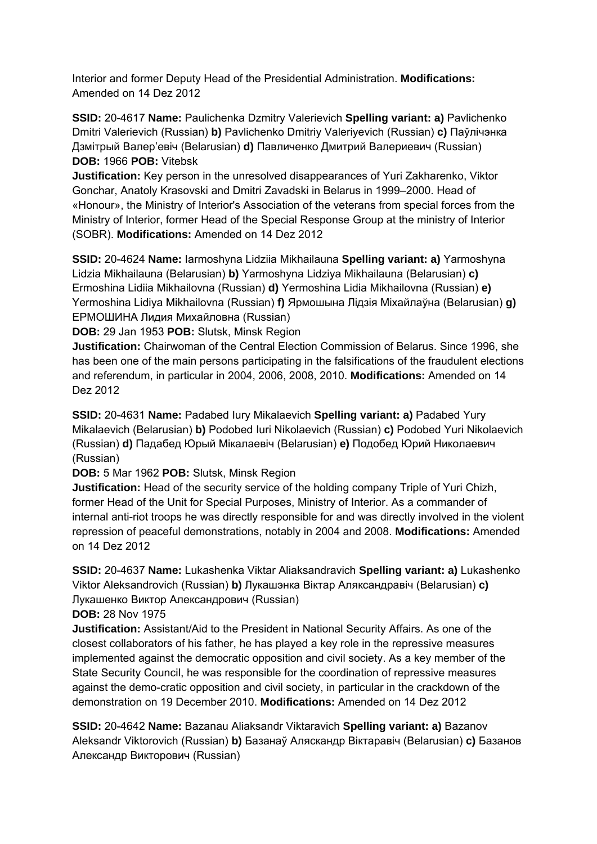Interior and former Deputy Head of the Presidential Administration. **Modifications:**  Amended on 14 Dez 2012

**SSID:** 20-4617 **Name:** Paulichenka Dzmitry Valerievich **Spelling variant: a)** Pavlichenko Dmitri Valerievich (Russian) **b)** Pavlichenko Dmitriy Valeriyevich (Russian) **c)** Паўлічэнка Дзмiтрый Валер'евіч (Belarusian) **d)** Павличенко Дмитрий Валериевич (Russian) **DOB:** 1966 **POB:** Vitebsk

**Justification:** Key person in the unresolved disappearances of Yuri Zakharenko, Viktor Gonchar, Anatoly Krasovski and Dmitri Zavadski in Belarus in 1999–2000. Head of «Honour», the Ministry of Interior's Association of the veterans from special forces from the Ministry of Interior, former Head of the Special Response Group at the ministry of Interior (SOBR). **Modifications:** Amended on 14 Dez 2012

**SSID:** 20-4624 **Name:** Iarmoshyna Lidziia Mikhailauna **Spelling variant: a)** Yarmoshyna Lidzia Mikhailauna (Belarusian) **b)** Yarmoshyna Lidziya Mikhailauna (Belarusian) **c)**  Ermoshina Lidiia Mikhailovna (Russian) **d)** Yermoshina Lidia Mikhailovna (Russian) **e)**  Yermoshina Lidiya Mikhailovna (Russian) **f)** Ярмошына Лідзія Міхайлаўна (Belarusian) **g)**  ЕРМОШИНА Лидия Михайловна (Russian)

**DOB:** 29 Jan 1953 **POB:** Slutsk, Minsk Region

**Justification:** Chairwoman of the Central Election Commission of Belarus. Since 1996, she has been one of the main persons participating in the falsifications of the fraudulent elections and referendum, in particular in 2004, 2006, 2008, 2010. **Modifications:** Amended on 14 Dez 2012

**SSID:** 20-4631 **Name:** Padabed Iury Mikalaevich **Spelling variant: a)** Padabed Yury Mikalaevich (Belarusian) **b)** Podobed Iuri Nikolaevich (Russian) **c)** Podobed Yuri Nikolaevich (Russian) **d)** Падабед Юрый Мікалаевіч (Belarusian) **e)** Подобед Юрий Николаевич (Russian)

**DOB:** 5 Mar 1962 **POB:** Slutsk, Minsk Region

**Justification:** Head of the security service of the holding company Triple of Yuri Chizh, former Head of the Unit for Special Purposes, Ministry of Interior. As a commander of internal anti-riot troops he was directly responsible for and was directly involved in the violent repression of peaceful demonstrations, notably in 2004 and 2008. **Modifications:** Amended on 14 Dez 2012

**SSID:** 20-4637 **Name:** Lukashenka Viktar Aliaksandravich **Spelling variant: a)** Lukashenko Viktor Aleksandrovich (Russian) **b)** Лукашэнка Віктар Аляксандравіч (Belarusian) **c)**  Лукашенко Виктор Александрович (Russian)

**DOB:** 28 Nov 1975

**Justification:** Assistant/Aid to the President in National Security Affairs. As one of the closest collaborators of his father, he has played a key role in the repressive measures implemented against the democratic opposition and civil society. As a key member of the State Security Council, he was responsible for the coordination of repressive measures against the demo-cratic opposition and civil society, in particular in the crackdown of the demonstration on 19 December 2010. **Modifications:** Amended on 14 Dez 2012

**SSID:** 20-4642 **Name:** Bazanau Aliaksandr Viktaravich **Spelling variant: a)** Bazanov Aleksandr Viktorovich (Russian) **b)** Базанаў Аляскандр Віктаравіч (Belarusian) **c)** Базанов Александр Викторович (Russian)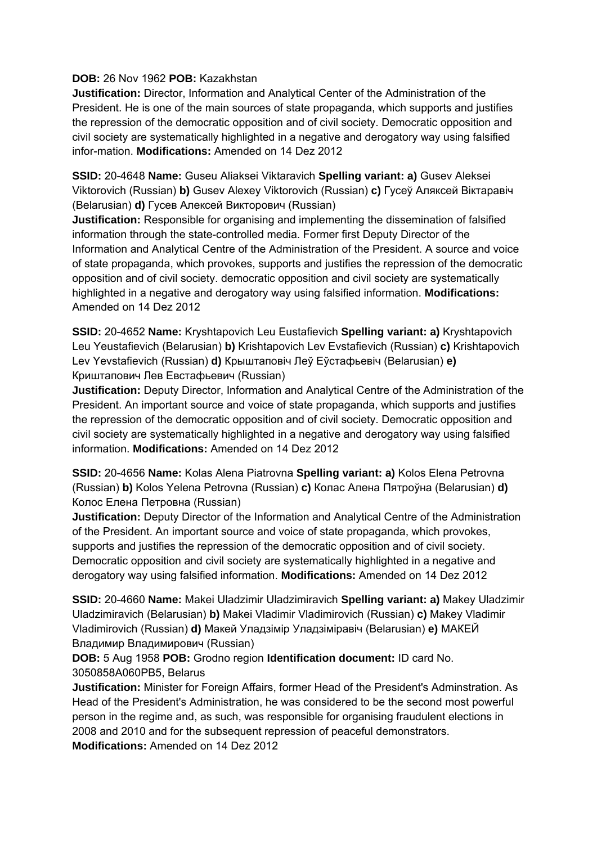#### **DOB:** 26 Nov 1962 **POB:** Kazakhstan

**Justification:** Director, Information and Analytical Center of the Administration of the President. He is one of the main sources of state propaganda, which supports and justifies the repression of the democratic opposition and of civil society. Democratic opposition and civil society are systematically highlighted in a negative and derogatory way using falsified infor-mation. **Modifications:** Amended on 14 Dez 2012

**SSID:** 20-4648 **Name:** Guseu Aliaksei Viktaravich **Spelling variant: a)** Gusev Aleksei Viktorovich (Russian) **b)** Gusev Alexey Viktorovich (Russian) **c)** Гусеў Аляксей Вiктаравіч (Belarusian) **d)** Гусев Алексей Викторович (Russian)

**Justification:** Responsible for organising and implementing the dissemination of falsified information through the state-controlled media. Former first Deputy Director of the Information and Analytical Centre of the Administration of the President. A source and voice of state propaganda, which provokes, supports and justifies the repression of the democratic opposition and of civil society. democratic opposition and civil society are systematically highlighted in a negative and derogatory way using falsified information. **Modifications:**  Amended on 14 Dez 2012

**SSID:** 20-4652 **Name:** Kryshtapovich Leu Eustafievich **Spelling variant: a)** Kryshtapovich Leu Yeustafievich (Belarusian) **b)** Krishtapovich Lev Evstafievich (Russian) **c)** Krishtapovich Lev Yevstafievich (Russian) **d)** Крыштаповіч Леў Еўстафьевіч (Belarusian) **e)**  Криштапович Лев Евстафьевич (Russian)

**Justification:** Deputy Director, Information and Analytical Centre of the Administration of the President. An important source and voice of state propaganda, which supports and justifies the repression of the democratic opposition and of civil society. Democratic opposition and civil society are systematically highlighted in a negative and derogatory way using falsified information. **Modifications:** Amended on 14 Dez 2012

**SSID:** 20-4656 **Name:** Kolas Alena Piatrovna **Spelling variant: a)** Kolos Elena Petrovna (Russian) **b)** Kolos Yelena Petrovna (Russian) **c)** Колас Алена Пятроўна (Belarusian) **d)**  Колос Елена Петровна (Russian)

**Justification:** Deputy Director of the Information and Analytical Centre of the Administration of the President. An important source and voice of state propaganda, which provokes, supports and justifies the repression of the democratic opposition and of civil society. Democratic opposition and civil society are systematically highlighted in a negative and derogatory way using falsified information. **Modifications:** Amended on 14 Dez 2012

**SSID:** 20-4660 **Name:** Makei Uladzimir Uladzimiravich **Spelling variant: a)** Makey Uladzimir Uladzimiravich (Belarusian) **b)** Makei Vladimir Vladimirovich (Russian) **c)** Makey Vladimir Vladimirovich (Russian) **d)** Макей Уладзімір Уладзіміравіч (Belarusian) **e)** МАКЕЙ Владимир Владимирович (Russian)

**DOB:** 5 Aug 1958 **POB:** Grodno region **Identification document:** ID card No. 3050858A060PB5, Belarus

**Justification:** Minister for Foreign Affairs, former Head of the President's Adminstration. As Head of the President's Administration, he was considered to be the second most powerful person in the regime and, as such, was responsible for organising fraudulent elections in 2008 and 2010 and for the subsequent repression of peaceful demonstrators. **Modifications:** Amended on 14 Dez 2012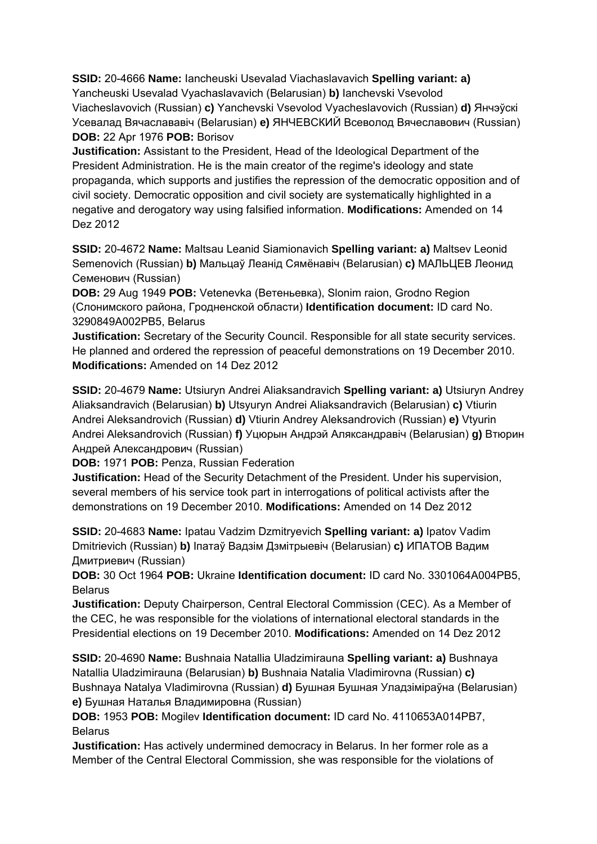**SSID:** 20-4666 **Name:** Iancheuski Usevalad Viachaslavavich **Spelling variant: a)**  Yancheuski Usevalad Vyachaslavavich (Belarusian) **b)** Ianchevski Vsevolod Viacheslavovich (Russian) **c)** Yanchevski Vsevolod Vyacheslavovich (Russian) **d)** Янчэўскі Усевалад Вячаслававіч (Belarusian) **e)** ЯНЧЕВСКИЙ Всеволод Вячеславович (Russian) **DOB:** 22 Apr 1976 **POB:** Borisov

**Justification:** Assistant to the President, Head of the Ideological Department of the President Administration. He is the main creator of the regime's ideology and state propaganda, which supports and justifies the repression of the democratic opposition and of civil society. Democratic opposition and civil society are systematically highlighted in a negative and derogatory way using falsified information. **Modifications:** Amended on 14 Dez 2012

**SSID:** 20-4672 **Name:** Maltsau Leanid Siamionavich **Spelling variant: a)** Maltsev Leonid Semenovich (Russian) **b)** Мальцаў Леанід Сямёнавіч (Belarusian) **c)** МАЛЬЦЕВ Леонид Семенович (Russian)

**DOB:** 29 Aug 1949 **POB:** Vetenevka (Ветеньевка), Slonim raion, Grodno Region (Слонимского района, Гродненской области) **Identification document:** ID card No. 3290849A002PB5, Belarus

**Justification:** Secretary of the Security Council. Responsible for all state security services. He planned and ordered the repression of peaceful demonstrations on 19 December 2010. **Modifications:** Amended on 14 Dez 2012

**SSID:** 20-4679 **Name:** Utsiuryn Andrei Aliaksandravich **Spelling variant: a)** Utsiuryn Andrey Aliaksandravich (Belarusian) **b)** Utsyuryn Andrei Aliaksandravich (Belarusian) **c)** Vtiurin Andrei Aleksandrovich (Russian) **d)** Vtiurin Andrey Aleksandrovich (Russian) **e)** Vtyurin Andrei Aleksandrovich (Russian) **f)** Уцюрын Андрэй Аляксандравіч (Belarusian) **g)** Втюрин Андрей Александрович (Russian)

**DOB:** 1971 **POB:** Penza, Russian Federation

**Justification:** Head of the Security Detachment of the President. Under his supervision, several members of his service took part in interrogations of political activists after the demonstrations on 19 December 2010. **Modifications:** Amended on 14 Dez 2012

**SSID:** 20-4683 **Name:** Ipatau Vadzim Dzmitryevich **Spelling variant: a)** Ipatov Vadim Dmitrievich (Russian) **b)** Іпатаў Вадзім Дзмітрыевіч (Belarusian) **c)** ИПАТОВ Вадим Дмитриевич (Russian)

**DOB:** 30 Oct 1964 **POB:** Ukraine **Identification document:** ID card No. 3301064A004PB5, **Belarus** 

**Justification:** Deputy Chairperson, Central Electoral Commission (CEC). As a Member of the CEC, he was responsible for the violations of international electoral standards in the Presidential elections on 19 December 2010. **Modifications:** Amended on 14 Dez 2012

**SSID:** 20-4690 **Name:** Bushnaia Natallia Uladzimirauna **Spelling variant: a)** Bushnaya Natallia Uladzimirauna (Belarusian) **b)** Bushnaia Natalia Vladimirovna (Russian) **c)**  Bushnaya Natalya Vladimirovna (Russian) **d)** Бушная Бушная Уладзіміраўна (Belarusian) **e)** Бушная Наталья Владимировна (Russian)

**DOB:** 1953 **POB:** Mogilev **Identification document:** ID card No. 4110653A014PB7, Belarus

**Justification:** Has actively undermined democracy in Belarus. In her former role as a Member of the Central Electoral Commission, she was responsible for the violations of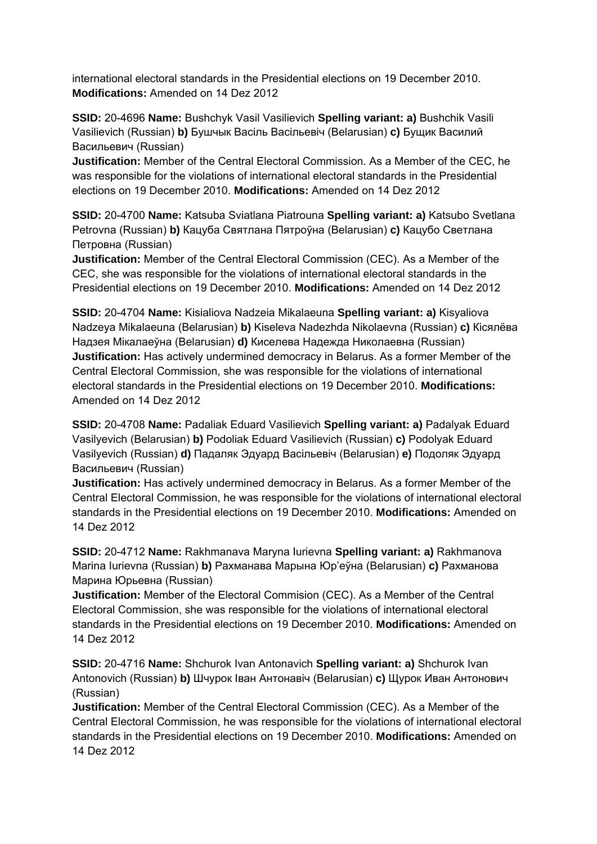international electoral standards in the Presidential elections on 19 December 2010. **Modifications:** Amended on 14 Dez 2012

**SSID:** 20-4696 **Name:** Bushchyk Vasil Vasilievich **Spelling variant: a)** Bushchik Vasili Vasilievich (Russian) **b)** Бушчык Васіль Васільевіч (Belarusian) **c)** Бущик Василий Васильевич (Russian)

**Justification:** Member of the Central Electoral Commission. As a Member of the CEC, he was responsible for the violations of international electoral standards in the Presidential elections on 19 December 2010. **Modifications:** Amended on 14 Dez 2012

**SSID:** 20-4700 **Name:** Katsuba Sviatlana Piatrouna **Spelling variant: a)** Katsubo Svetlana Petrovna (Russian) **b)** Кацуба Святлана Пятроўна (Belarusian) **c)** Кацубо Светлана Петровна (Russian)

**Justification:** Member of the Central Electoral Commission (CEC). As a Member of the CEC, she was responsible for the violations of international electoral standards in the Presidential elections on 19 December 2010. **Modifications:** Amended on 14 Dez 2012

**SSID:** 20-4704 **Name:** Kisialiova Nadzeia Mikalaeuna **Spelling variant: a)** Kisyaliova Nadzeya Mikalaeuna (Belarusian) **b)** Kiseleva Nadezhda Nikolaevna (Russian) **c)** Кiсялёва Надзея Мiкалаеўна (Belarusian) **d)** Киселева Надежда Николаевна (Russian) **Justification:** Has actively undermined democracy in Belarus. As a former Member of the Central Electoral Commission, she was responsible for the violations of international electoral standards in the Presidential elections on 19 December 2010. **Modifications:**  Amended on 14 Dez 2012

**SSID:** 20-4708 **Name:** Padaliak Eduard Vasilievich **Spelling variant: a)** Padalyak Eduard Vasilyevich (Belarusian) **b)** Podoliak Eduard Vasilievich (Russian) **c)** Podolyak Eduard Vasilyevich (Russian) **d)** Падаляк Эдуард Васільевіч (Belarusian) **e)** Подоляк Эдуард Васильевич (Russian)

**Justification:** Has actively undermined democracy in Belarus. As a former Member of the Central Electoral Commission, he was responsible for the violations of international electoral standards in the Presidential elections on 19 December 2010. **Modifications:** Amended on 14 Dez 2012

**SSID:** 20-4712 **Name:** Rakhmanava Maryna Iurievna **Spelling variant: a)** Rakhmanova Marina Iurievna (Russian) **b)** Рахманава Марына Юр'еўна (Belarusian) **c)** Рахманова Марина Юрьевна (Russian)

**Justification:** Member of the Electoral Commision (CEC). As a Member of the Central Electoral Commission, she was responsible for the violations of international electoral standards in the Presidential elections on 19 December 2010. **Modifications:** Amended on 14 Dez 2012

**SSID:** 20-4716 **Name:** Shchurok Ivan Antonavich **Spelling variant: a)** Shchurok Ivan Antonovich (Russian) **b)** Шчурок Іван Антонавіч (Belarusian) **c)** Щурок Иван Антонович (Russian)

**Justification:** Member of the Central Electoral Commission (CEC). As a Member of the Central Electoral Commission, he was responsible for the violations of international electoral standards in the Presidential elections on 19 December 2010. **Modifications:** Amended on 14 Dez 2012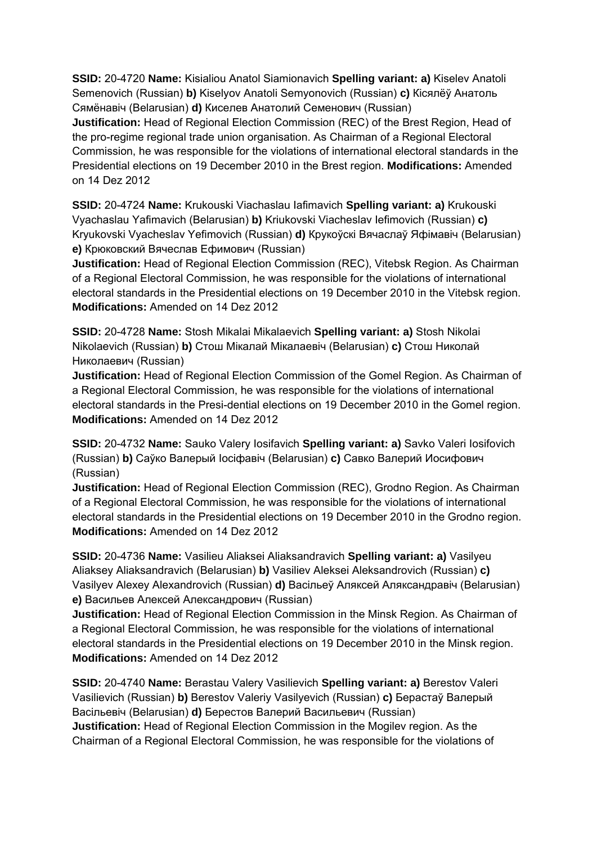**SSID:** 20-4720 **Name:** Kisialiou Anatol Siamionavich **Spelling variant: a)** Kiselev Anatoli Semenovich (Russian) **b)** Kiselyov Anatoli Semyonovich (Russian) **c)** Кісялёў Анатоль Сямёнавіч (Belarusian) **d)** Киселев Анатолий Семенович (Russian)

**Justification:** Head of Regional Election Commission (REC) of the Brest Region, Head of the pro-regime regional trade union organisation. As Chairman of a Regional Electoral Commission, he was responsible for the violations of international electoral standards in the Presidential elections on 19 December 2010 in the Brest region. **Modifications:** Amended on 14 Dez 2012

**SSID:** 20-4724 **Name:** Krukouski Viachaslau Iafimavich **Spelling variant: a)** Krukouski Vyachaslau Yafimavich (Belarusian) **b)** Kriukovski Viacheslav Iefimovich (Russian) **c)**  Kryukovski Vyacheslav Yefimovich (Russian) **d)** Крукоўскі Вячаслаў Яфімавіч (Belarusian) **e)** Крюковский Вячеслав Ефимович (Russian)

**Justification:** Head of Regional Election Commission (REC), Vitebsk Region. As Chairman of a Regional Electoral Commission, he was responsible for the violations of international electoral standards in the Presidential elections on 19 December 2010 in the Vitebsk region. **Modifications:** Amended on 14 Dez 2012

**SSID:** 20-4728 **Name:** Stosh Mikalai Mikalaevich **Spelling variant: a)** Stosh Nikolai Nikolaevich (Russian) **b)** Стош Мікалай Мікалаевіч (Belarusian) **c)** Стош Николай Николаевич (Russian)

**Justification:** Head of Regional Election Commission of the Gomel Region. As Chairman of a Regional Electoral Commission, he was responsible for the violations of international electoral standards in the Presi-dential elections on 19 December 2010 in the Gomel region. **Modifications:** Amended on 14 Dez 2012

**SSID:** 20-4732 **Name:** Sauko Valery Iosifavich **Spelling variant: a)** Savko Valeri Iosifovich (Russian) **b)** Саўко Валерый Іосіфавіч (Belarusian) **c)** Савко Валерий Иосифович (Russian)

**Justification:** Head of Regional Election Commission (REC), Grodno Region. As Chairman of a Regional Electoral Commission, he was responsible for the violations of international electoral standards in the Presidential elections on 19 December 2010 in the Grodno region. **Modifications:** Amended on 14 Dez 2012

**SSID:** 20-4736 **Name:** Vasilieu Aliaksei Aliaksandravich **Spelling variant: a)** Vasilyeu Aliaksey Aliaksandravich (Belarusian) **b)** Vasiliev Aleksei Aleksandrovich (Russian) **c)**  Vasilyev Alexey Alexandrovich (Russian) **d)** Васільеў Аляксей Аляксандравіч (Belarusian) **e)** Васильев Алексей Александрович (Russian)

**Justification:** Head of Regional Election Commission in the Minsk Region. As Chairman of a Regional Electoral Commission, he was responsible for the violations of international electoral standards in the Presidential elections on 19 December 2010 in the Minsk region. **Modifications:** Amended on 14 Dez 2012

**SSID:** 20-4740 **Name:** Berastau Valery Vasilievich **Spelling variant: a)** Berestov Valeri Vasilievich (Russian) **b)** Berestov Valeriy Vasilyevich (Russian) **c)** Берастаў Валерый Васільевіч (Belarusian) **d)** Берестов Валерий Васильевич (Russian) **Justification:** Head of Regional Election Commission in the Mogilev region. As the Chairman of a Regional Electoral Commission, he was responsible for the violations of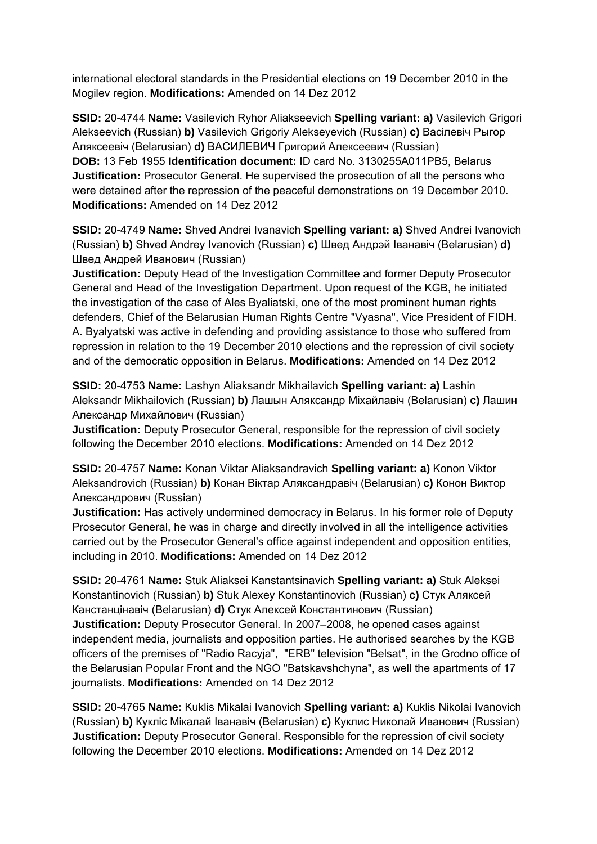international electoral standards in the Presidential elections on 19 December 2010 in the Mogilev region. **Modifications:** Amended on 14 Dez 2012

**SSID:** 20-4744 **Name:** Vasilevich Ryhor Aliakseevich **Spelling variant: a)** Vasilevich Grigori Alekseevich (Russian) **b)** Vasilevich Grigoriy Alekseyevich (Russian) **c)** Васілевіч Рыгор Аляксеевіч (Belarusian) **d)** ВАСИЛЕВИЧ Григорий Алексеевич (Russian) **DOB:** 13 Feb 1955 **Identification document:** ID card No. 3130255A011PB5, Belarus **Justification:** Prosecutor General. He supervised the prosecution of all the persons who were detained after the repression of the peaceful demonstrations on 19 December 2010. **Modifications:** Amended on 14 Dez 2012

**SSID:** 20-4749 **Name:** Shved Andrei Ivanavich **Spelling variant: a)** Shved Andrei Ivanovich (Russian) **b)** Shved Andrey Ivanovich (Russian) **c)** Швед Андрэй Іванавіч (Belarusian) **d)**  Швед Андрей Иванович (Russian)

**Justification:** Deputy Head of the Investigation Committee and former Deputy Prosecutor General and Head of the Investigation Department. Upon request of the KGB, he initiated the investigation of the case of Ales Byaliatski, one of the most prominent human rights defenders, Chief of the Belarusian Human Rights Centre "Vyasna", Vice President of FIDH. A. Byalyatski was active in defending and providing assistance to those who suffered from repression in relation to the 19 December 2010 elections and the repression of civil society and of the democratic opposition in Belarus. **Modifications:** Amended on 14 Dez 2012

**SSID:** 20-4753 **Name:** Lashyn Aliaksandr Mikhailavich **Spelling variant: a)** Lashin Aleksandr Mikhailovich (Russian) **b)** Лашын Аляксандр Міхайлавіч (Belarusian) **c)** Лашин Александр Михайлович (Russian)

**Justification:** Deputy Prosecutor General, responsible for the repression of civil society following the December 2010 elections. **Modifications:** Amended on 14 Dez 2012

**SSID:** 20-4757 **Name:** Konan Viktar Aliaksandravich **Spelling variant: a)** Konon Viktor Aleksandrovich (Russian) **b)** Конан Віктар Аляксандравіч (Belarusian) **c)** Конон Виктор Александрович (Russian)

**Justification:** Has actively undermined democracy in Belarus. In his former role of Deputy Prosecutor General, he was in charge and directly involved in all the intelligence activities carried out by the Prosecutor General's office against independent and opposition entities, including in 2010. **Modifications:** Amended on 14 Dez 2012

**SSID:** 20-4761 **Name:** Stuk Aliaksei Kanstantsinavich **Spelling variant: a)** Stuk Aleksei Konstantinovich (Russian) **b)** Stuk Alexey Konstantinovich (Russian) **c)** Стук Аляксей Канстанцінавіч (Belarusian) **d)** Стук Алексей Константинович (Russian) **Justification:** Deputy Prosecutor General. In 2007–2008, he opened cases against independent media, journalists and opposition parties. He authorised searches by the KGB officers of the premises of "Radio Racyja", "ERB" television "Belsat", in the Grodno office of the Belarusian Popular Front and the NGO "Batskavshchyna", as well the apartments of 17 journalists. **Modifications:** Amended on 14 Dez 2012

**SSID:** 20-4765 **Name:** Kuklis Mikalai Ivanovich **Spelling variant: a)** Kuklis Nikolai Ivanovich (Russian) **b)** Кукліс Мікалай Іванавіч (Belarusian) **c)** Куклис Николай Иванович (Russian) **Justification:** Deputy Prosecutor General. Responsible for the repression of civil society following the December 2010 elections. **Modifications:** Amended on 14 Dez 2012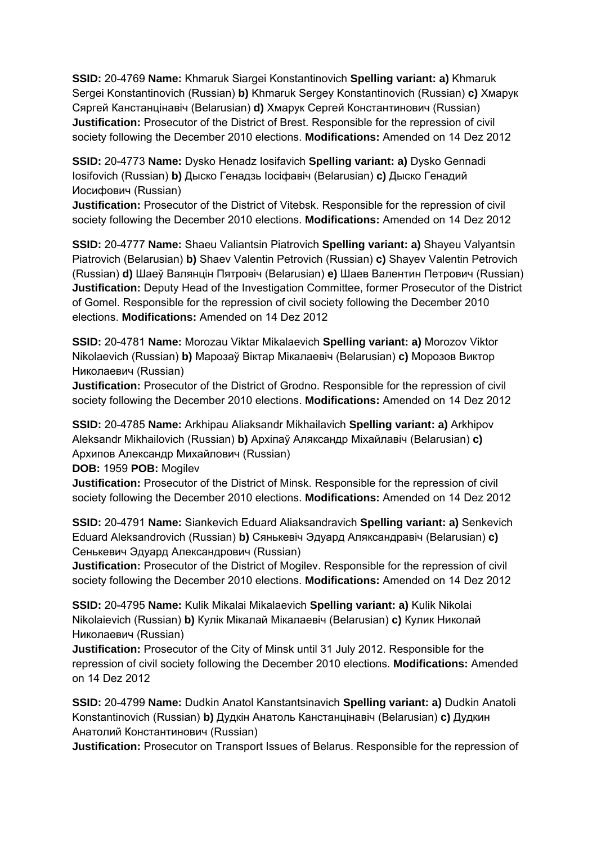**SSID:** 20-4769 **Name:** Khmaruk Siargei Konstantinovich **Spelling variant: a)** Khmaruk Sergei Konstantinovich (Russian) **b)** Khmaruk Sergey Konstantinovich (Russian) **c)** Хмарук Сяргей Канстанцінавіч (Belarusian) **d)** Хмарук Сергей Константинович (Russian) **Justification:** Prosecutor of the District of Brest. Responsible for the repression of civil society following the December 2010 elections. **Modifications:** Amended on 14 Dez 2012

**SSID:** 20-4773 **Name:** Dysko Henadz Iosifavich **Spelling variant: a)** Dysko Gennadi Iosifovich (Russian) **b)** Дыско Генадзь Іосіфавіч (Belarusian) **c)** Дыско Генадий Иосифович (Russian)

**Justification:** Prosecutor of the District of Vitebsk. Responsible for the repression of civil society following the December 2010 elections. **Modifications:** Amended on 14 Dez 2012

**SSID:** 20-4777 **Name:** Shaeu Valiantsin Piatrovich **Spelling variant: a)** Shayeu Valyantsin Piatrovich (Belarusian) **b)** Shaev Valentin Petrovich (Russian) **c)** Shayev Valentin Petrovich (Russian) **d)** Шаеў Валянцін Пятровіч (Belarusian) **e)** Шаев Валентин Петрович (Russian) **Justification:** Deputy Head of the Investigation Committee, former Prosecutor of the District of Gomel. Responsible for the repression of civil society following the December 2010 elections. **Modifications:** Amended on 14 Dez 2012

**SSID:** 20-4781 **Name:** Morozau Viktar Mikalaevich **Spelling variant: a)** Morozov Viktor Nikolaevich (Russian) **b)** Марозаў Віктар Мікалаевіч (Belarusian) **c)** Морозов Виктор Николаевич (Russian)

**Justification:** Prosecutor of the District of Grodno. Responsible for the repression of civil society following the December 2010 elections. **Modifications:** Amended on 14 Dez 2012

**SSID:** 20-4785 **Name:** Arkhipau Aliaksandr Mikhailavich **Spelling variant: a)** Arkhipov Aleksandr Mikhailovich (Russian) **b)** Архіпаў Аляксандр Міхайлавіч (Belarusian) **c)**  Архипов Александр Михайлович (Russian)

**DOB:** 1959 **POB:** Mogilev

**Justification:** Prosecutor of the District of Minsk. Responsible for the repression of civil society following the December 2010 elections. **Modifications:** Amended on 14 Dez 2012

**SSID:** 20-4791 **Name:** Siankevich Eduard Aliaksandravich **Spelling variant: a)** Senkevich Eduard Aleksandrovich (Russian) **b)** Сянькевіч Эдуард Аляксандравіч (Belarusian) **c)**  Сенькевич Эдуард Александрович (Russian)

**Justification:** Prosecutor of the District of Mogilev. Responsible for the repression of civil society following the December 2010 elections. **Modifications:** Amended on 14 Dez 2012

**SSID:** 20-4795 **Name:** Kulik Mikalai Mikalaevich **Spelling variant: a)** Kulik Nikolai Nikolaievich (Russian) **b)** Кулік Мікалай Мікалаевіч (Belarusian) **c)** Кулик Николай Николаевич (Russian)

**Justification:** Prosecutor of the City of Minsk until 31 July 2012. Responsible for the repression of civil society following the December 2010 elections. **Modifications:** Amended on 14 Dez 2012

**SSID:** 20-4799 **Name:** Dudkin Anatol Kanstantsinavich **Spelling variant: a)** Dudkin Anatoli Konstantinovich (Russian) **b)** Дудкін Анатоль Канстанцінавіч (Belarusian) **c)** Дудкин Анатолий Константинович (Russian)

**Justification:** Prosecutor on Transport Issues of Belarus. Responsible for the repression of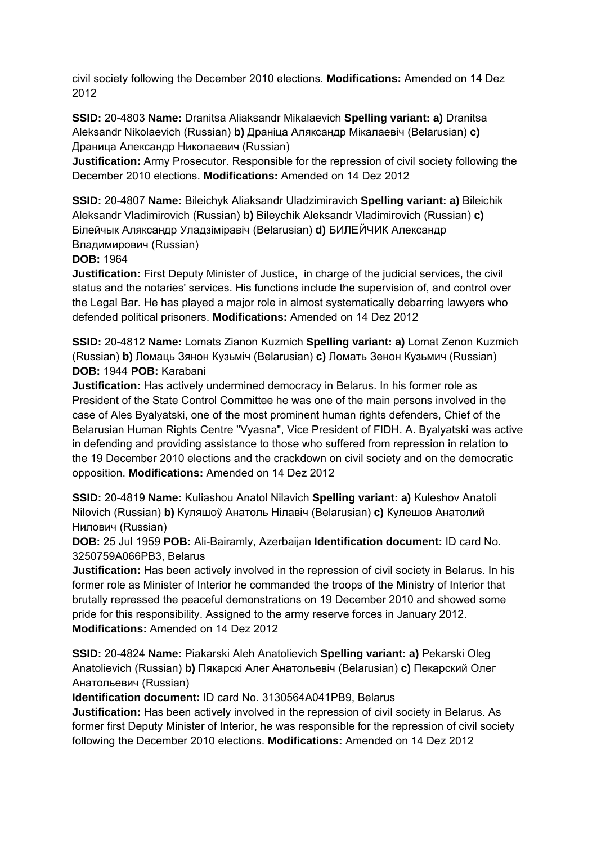civil society following the December 2010 elections. **Modifications:** Amended on 14 Dez 2012

**SSID:** 20-4803 **Name:** Dranitsa Aliaksandr Mikalaevich **Spelling variant: a)** Dranitsa Aleksandr Nikolaevich (Russian) **b)** Драніца Аляксандр Мікалаевіч (Belarusian) **c)**  Драница Александр Николаевич (Russian)

**Justification:** Army Prosecutor. Responsible for the repression of civil society following the December 2010 elections. **Modifications:** Amended on 14 Dez 2012

**SSID:** 20-4807 **Name:** Bileichyk Aliaksandr Uladzimiravich **Spelling variant: a)** Bileichik Aleksandr Vladimirovich (Russian) **b)** Bileychik Aleksandr Vladimirovich (Russian) **c)**  Білейчык Аляксандр Уладзіміравіч (Belarusian) **d)** БИЛЕЙЧИК Александр Владимирович (Russian)

**DOB:** 1964

**Justification:** First Deputy Minister of Justice, in charge of the judicial services, the civil status and the notaries' services. His functions include the supervision of, and control over the Legal Bar. He has played a major role in almost systematically debarring lawyers who defended political prisoners. **Modifications:** Amended on 14 Dez 2012

**SSID:** 20-4812 **Name:** Lomats Zianon Kuzmich **Spelling variant: a)** Lomat Zenon Kuzmich (Russian) **b)** Ломаць Зянон Кузьміч (Belarusian) **c)** Ломать Зенон Кузьмич (Russian) **DOB:** 1944 **POB:** Karabani

**Justification:** Has actively undermined democracy in Belarus. In his former role as President of the State Control Committee he was one of the main persons involved in the case of Ales Byalyatski, one of the most prominent human rights defenders, Chief of the Belarusian Human Rights Centre "Vyasna", Vice President of FIDH. A. Byalyatski was active in defending and providing assistance to those who suffered from repression in relation to the 19 December 2010 elections and the crackdown on civil society and on the democratic opposition. **Modifications:** Amended on 14 Dez 2012

**SSID:** 20-4819 **Name:** Kuliashou Anatol Nilavich **Spelling variant: a)** Kuleshov Anatoli Nilovich (Russian) **b)** Куляшоў Анатоль Нілавіч (Belarusian) **c)** Кулешов Анатолий Нилович (Russian)

**DOB:** 25 Jul 1959 **POB:** Ali-Bairamly, Azerbaijan **Identification document:** ID card No. 3250759A066PB3, Belarus

**Justification:** Has been actively involved in the repression of civil society in Belarus. In his former role as Minister of Interior he commanded the troops of the Ministry of Interior that brutally repressed the peaceful demonstrations on 19 December 2010 and showed some pride for this responsibility. Assigned to the army reserve forces in January 2012. **Modifications:** Amended on 14 Dez 2012

**SSID:** 20-4824 **Name:** Piakarski Aleh Anatolievich **Spelling variant: a)** Pekarski Oleg Anatolievich (Russian) **b)** Пякарскі Алег Анатольевіч (Belarusian) **c)** Пекарский Олег Анатольевич (Russian)

**Identification document:** ID card No. 3130564A041PB9, Belarus

**Justification:** Has been actively involved in the repression of civil society in Belarus. As former first Deputy Minister of Interior, he was responsible for the repression of civil society following the December 2010 elections. **Modifications:** Amended on 14 Dez 2012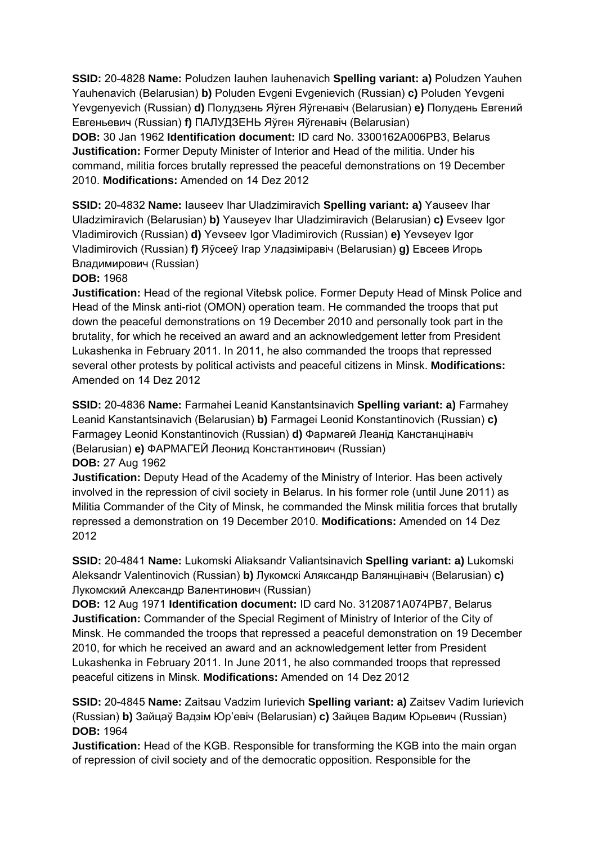**SSID:** 20-4828 **Name:** Poludzen Iauhen Iauhenavich **Spelling variant: a)** Poludzen Yauhen Yauhenavich (Belarusian) **b)** Poluden Evgeni Evgenievich (Russian) **c)** Poluden Yevgeni Yevgenyevich (Russian) **d)** Полудзень Яўген Яўгенавіч (Belarusian) **e)** Полудень Евгений Евгеньевич (Russian) **f)** ПАЛУДЗЕНЬ Яўген Яўгенавiч (Belarusian)

**DOB:** 30 Jan 1962 **Identification document:** ID card No. 3300162A006PB3, Belarus **Justification:** Former Deputy Minister of Interior and Head of the militia. Under his command, militia forces brutally repressed the peaceful demonstrations on 19 December 2010. **Modifications:** Amended on 14 Dez 2012

**SSID:** 20-4832 **Name:** Iauseev Ihar Uladzimiravich **Spelling variant: a)** Yauseev Ihar Uladzimiravich (Belarusian) **b)** Yauseyev Ihar Uladzimiravich (Belarusian) **c)** Evseev Igor Vladimirovich (Russian) **d)** Yevseev Igor Vladimirovich (Russian) **e)** Yevseyev Igor Vladimirovich (Russian) **f)** Яўсееў Ігар Уладзіміравіч (Belarusian) **g)** Евсеев Игорь Владимирович (Russian)

### **DOB:** 1968

**Justification:** Head of the regional Vitebsk police. Former Deputy Head of Minsk Police and Head of the Minsk anti-riot (OMON) operation team. He commanded the troops that put down the peaceful demonstrations on 19 December 2010 and personally took part in the brutality, for which he received an award and an acknowledgement letter from President Lukashenka in February 2011. In 2011, he also commanded the troops that repressed several other protests by political activists and peaceful citizens in Minsk. **Modifications:**  Amended on 14 Dez 2012

**SSID:** 20-4836 **Name:** Farmahei Leanid Kanstantsinavich **Spelling variant: a)** Farmahey Leanid Kanstantsinavich (Belarusian) **b)** Farmagei Leonid Konstantinovich (Russian) **c)**  Farmagey Leonid Konstantinovich (Russian) **d)** Фармагей Леанід Канстанцінавіч (Belarusian) **e)** ФАРМАГЕЙ Леонид Константинович (Russian) **DOB:** 27 Aug 1962

**Justification:** Deputy Head of the Academy of the Ministry of Interior. Has been actively involved in the repression of civil society in Belarus. In his former role (until June 2011) as Militia Commander of the City of Minsk, he commanded the Minsk militia forces that brutally repressed a demonstration on 19 December 2010. **Modifications:** Amended on 14 Dez 2012

**SSID:** 20-4841 **Name:** Lukomski Aliaksandr Valiantsinavich **Spelling variant: a)** Lukomski Aleksandr Valentinovich (Russian) **b)** Лукомскі Аляксандр Валянцінавіч (Belarusian) **c)**  Лукомский Александр Валентинович (Russian)

**DOB:** 12 Aug 1971 **Identification document:** ID card No. 3120871A074PB7, Belarus **Justification:** Commander of the Special Regiment of Ministry of Interior of the City of Minsk. He commanded the troops that repressed a peaceful demonstration on 19 December 2010, for which he received an award and an acknowledgement letter from President Lukashenka in February 2011. In June 2011, he also commanded troops that repressed peaceful citizens in Minsk. **Modifications:** Amended on 14 Dez 2012

**SSID:** 20-4845 **Name:** Zaitsau Vadzim Iurievich **Spelling variant: a)** Zaitsev Vadim Iurievich (Russian) **b)** Зайцаў Вадзім Юр'евіч (Belarusian) **c)** Зайцев Вадим Юрьевич (Russian) **DOB:** 1964

**Justification:** Head of the KGB. Responsible for transforming the KGB into the main organ of repression of civil society and of the democratic opposition. Responsible for the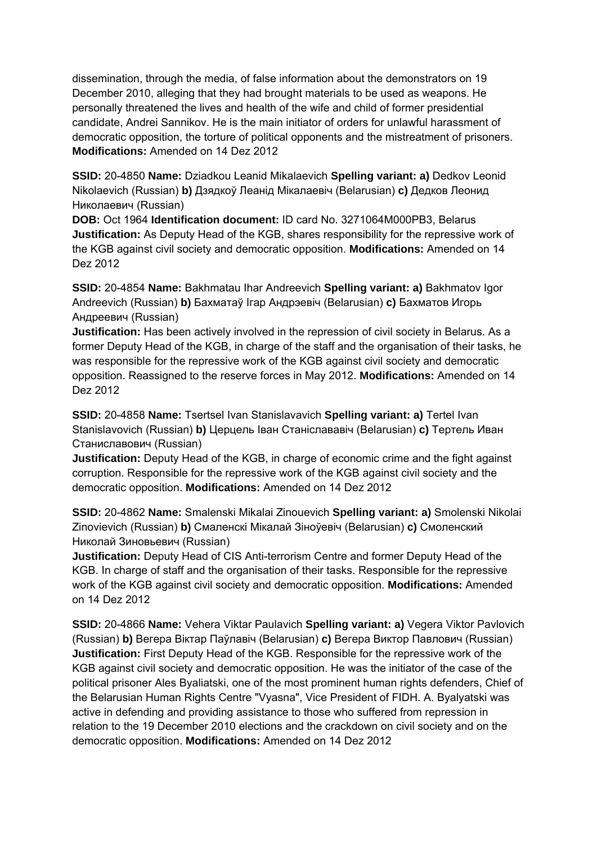dissemination, through the media, of false information about the demonstrators on 19 December 2010, alleging that they had brought materials to be used as weapons. He personally threatened the lives and health of the wife and child of former presidential candidate, Andrei Sannikov. He is the main initiator of orders for unlawful harassment of democratic opposition, the torture of political opponents and the mistreatment of prisoners. **Modifications:** Amended on 14 Dez 2012

**SSID:** 20-4850 **Name:** Dziadkou Leanid Mikalaevich **Spelling variant: a)** Dedkov Leonid Nikolaevich (Russian) **b)** Дзядкоў Леанід Мікалаевіч (Belarusian) **c)** Дедков Леонид Николаевич (Russian)

**DOB:** Oct 1964 **Identification document:** ID card No. 3271064M000PB3, Belarus **Justification:** As Deputy Head of the KGB, shares responsibility for the repressive work of the KGB against civil society and democratic opposition. **Modifications:** Amended on 14 Dez 2012

**SSID:** 20-4854 **Name:** Bakhmatau Ihar Andreevich **Spelling variant: a)** Bakhmatov Igor Andreevich (Russian) **b)** Бахматаў Ігар Андрэевіч (Belarusian) **c)** Бахматов Игорь Андреевич (Russian)

**Justification:** Has been actively involved in the repression of civil society in Belarus. As a former Deputy Head of the KGB, in charge of the staff and the organisation of their tasks, he was responsible for the repressive work of the KGB against civil society and democratic opposition. Reassigned to the reserve forces in May 2012. **Modifications:** Amended on 14 Dez 2012

**SSID:** 20-4858 **Name:** Tsertsel Ivan Stanislavavich **Spelling variant: a)** Tertel Ivan Stanislavovich (Russian) **b)** Церцель Іван Станіслававіч (Belarusian) **c)** Тертель Иван Станиславович (Russian)

**Justification:** Deputy Head of the KGB, in charge of economic crime and the fight against corruption. Responsible for the repressive work of the KGB against civil society and the democratic opposition. **Modifications:** Amended on 14 Dez 2012

**SSID:** 20-4862 **Name:** Smalenski Mikalai Zinouevich **Spelling variant: a)** Smolenski Nikolai Zinovievich (Russian) **b)** Смаленскі Мікалай Зіноўевіч (Belarusian) **c)** Смоленский Николай Зиновьевич (Russian)

**Justification:** Deputy Head of CIS Anti-terrorism Centre and former Deputy Head of the KGB. In charge of staff and the organisation of their tasks. Responsible for the repressive work of the KGB against civil society and democratic opposition. **Modifications:** Amended on 14 Dez 2012

**SSID:** 20-4866 **Name:** Vehera Viktar Paulavich **Spelling variant: a)** Vegera Viktor Pavlovich (Russian) **b)** Вегера Віктар Паўлавіч (Belarusian) **c)** Вегера Виктор Павлович (Russian) **Justification:** First Deputy Head of the KGB. Responsible for the repressive work of the KGB against civil society and democratic opposition. He was the initiator of the case of the political prisoner Ales Byaliatski, one of the most prominent human rights defenders, Chief of the Belarusian Human Rights Centre "Vyasna", Vice President of FIDH. A. Byalyatski was active in defending and providing assistance to those who suffered from repression in relation to the 19 December 2010 elections and the crackdown on civil society and on the democratic opposition. **Modifications:** Amended on 14 Dez 2012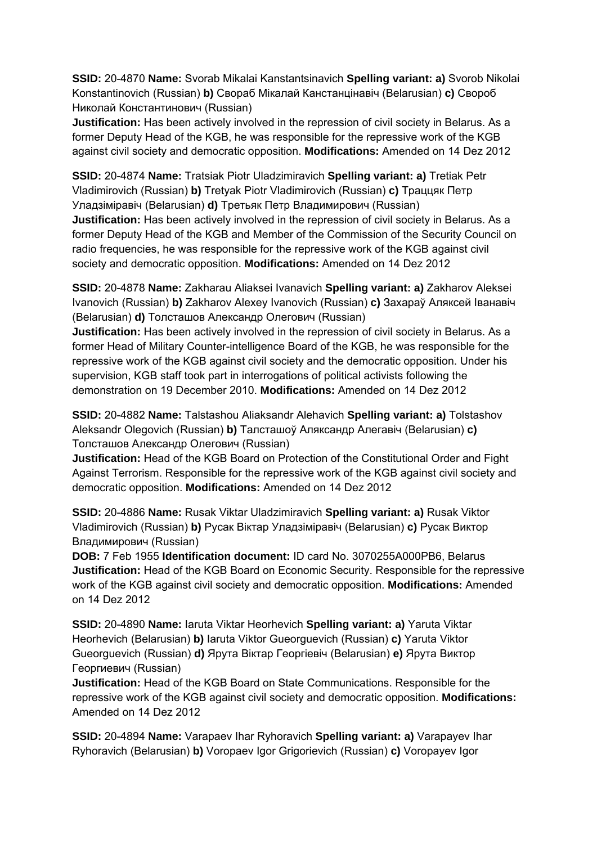**SSID:** 20-4870 **Name:** Svorab Mikalai Kanstantsinavich **Spelling variant: a)** Svorob Nikolai Konstantinovich (Russian) **b)** Свораб Мікалай Канстанцінавіч (Belarusian) **c)** Свороб Николай Константинович (Russian)

**Justification:** Has been actively involved in the repression of civil society in Belarus. As a former Deputy Head of the KGB, he was responsible for the repressive work of the KGB against civil society and democratic opposition. **Modifications:** Amended on 14 Dez 2012

**SSID:** 20-4874 **Name:** Tratsiak Piotr Uladzimiravich **Spelling variant: a)** Tretiak Petr Vladimirovich (Russian) **b)** Tretyak Piotr Vladimirovich (Russian) **c)** Траццяк Петр Уладзiмiравiч (Belarusian) **d)** Третьяк Петр Владимирович (Russian) **Justification:** Has been actively involved in the repression of civil society in Belarus. As a former Deputy Head of the KGB and Member of the Commission of the Security Council on radio frequencies, he was responsible for the repressive work of the KGB against civil

society and democratic opposition. **Modifications:** Amended on 14 Dez 2012

**SSID:** 20-4878 **Name:** Zakharau Aliaksei Ivanavich **Spelling variant: a)** Zakharov Aleksei Ivanovich (Russian) **b)** Zakharov Alexey Ivanovich (Russian) **c)** Захараў Аляксей Іванавіч (Belarusian) **d)** Толсташов Александр Олегович (Russian)

**Justification:** Has been actively involved in the repression of civil society in Belarus. As a former Head of Military Counter-intelligence Board of the KGB, he was responsible for the repressive work of the KGB against civil society and the democratic opposition. Under his supervision, KGB staff took part in interrogations of political activists following the demonstration on 19 December 2010. **Modifications:** Amended on 14 Dez 2012

**SSID:** 20-4882 **Name:** Talstashou Aliaksandr Alehavich **Spelling variant: a)** Tolstashov Aleksandr Olegovich (Russian) **b)** Талсташоў Аляксандр Алегавіч (Belarusian) **c)**  Толсташов Александр Олегович (Russian)

**Justification:** Head of the KGB Board on Protection of the Constitutional Order and Fight Against Terrorism. Responsible for the repressive work of the KGB against civil society and democratic opposition. **Modifications:** Amended on 14 Dez 2012

**SSID:** 20-4886 **Name:** Rusak Viktar Uladzimiravich **Spelling variant: a)** Rusak Viktor Vladimirovich (Russian) **b)** Русак Віктар Уладзіміравіч (Belarusian) **c)** Русак Виктор Владимирович (Russian)

**DOB:** 7 Feb 1955 **Identification document:** ID card No. 3070255A000PB6, Belarus **Justification:** Head of the KGB Board on Economic Security. Responsible for the repressive work of the KGB against civil society and democratic opposition. **Modifications:** Amended on 14 Dez 2012

**SSID:** 20-4890 **Name:** Iaruta Viktar Heorhevich **Spelling variant: a)** Yaruta Viktar Heorhevich (Belarusian) **b)** Iaruta Viktor Gueorguevich (Russian) **c)** Yaruta Viktor Gueorguevich (Russian) **d)** Ярута Віктар Георгiевiч (Belarusian) **e)** Ярута Виктор Георгиевич (Russian)

**Justification:** Head of the KGB Board on State Communications. Responsible for the repressive work of the KGB against civil society and democratic opposition. **Modifications:**  Amended on 14 Dez 2012

**SSID:** 20-4894 **Name:** Varapaev Ihar Ryhoravich **Spelling variant: a)** Varapayev Ihar Ryhoravich (Belarusian) **b)** Voropaev Igor Grigorievich (Russian) **c)** Voropayev Igor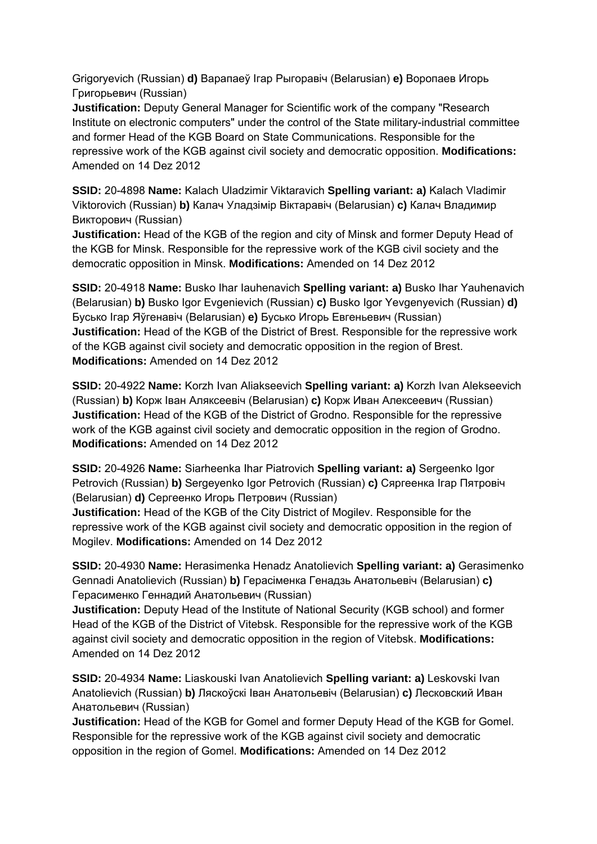Grigoryevich (Russian) **d)** Варапаеў Ігар Рыгоравiч (Belarusian) **e)** Воропаев Игорь Григорьевич (Russian)

**Justification:** Deputy General Manager for Scientific work of the company "Research Institute on electronic computers" under the control of the State military-industrial committee and former Head of the KGB Board on State Communications. Responsible for the repressive work of the KGB against civil society and democratic opposition. **Modifications:**  Amended on 14 Dez 2012

**SSID:** 20-4898 **Name:** Kalach Uladzimir Viktaravich **Spelling variant: a)** Kalach Vladimir Viktorovich (Russian) **b)** Калач Уладзімір Віктаравіч (Belarusian) **c)** Калач Владимир Викторович (Russian)

**Justification:** Head of the KGB of the region and city of Minsk and former Deputy Head of the KGB for Minsk. Responsible for the repressive work of the KGB civil society and the democratic opposition in Minsk. **Modifications:** Amended on 14 Dez 2012

**SSID:** 20-4918 **Name:** Busko Ihar Iauhenavich **Spelling variant: a)** Busko Ihar Yauhenavich (Belarusian) **b)** Busko Igor Evgenievich (Russian) **c)** Busko Igor Yevgenyevich (Russian) **d)**  Бусько Ігар Яўгенавіч (Belarusian) **e)** Бусько Игорь Евгеньевич (Russian) **Justification:** Head of the KGB of the District of Brest. Responsible for the repressive work of the KGB against civil society and democratic opposition in the region of Brest. **Modifications:** Amended on 14 Dez 2012

**SSID:** 20-4922 **Name:** Korzh Ivan Aliakseevich **Spelling variant: a)** Korzh Ivan Alekseevich (Russian) **b)** Корж Іван Аляксеевіч (Belarusian) **c)** Корж Иван Алексеевич (Russian) **Justification:** Head of the KGB of the District of Grodno. Responsible for the repressive work of the KGB against civil society and democratic opposition in the region of Grodno. **Modifications:** Amended on 14 Dez 2012

**SSID:** 20-4926 **Name:** Siarheenka Ihar Piatrovich **Spelling variant: a)** Sergeenko Igor Petrovich (Russian) **b)** Sergeyenko Igor Petrovich (Russian) **c)** Сяргеенка Ігар Пятровіч (Belarusian) **d)** Сергеенко Игорь Петрович (Russian)

**Justification:** Head of the KGB of the City District of Mogilev. Responsible for the repressive work of the KGB against civil society and democratic opposition in the region of Mogilev. **Modifications:** Amended on 14 Dez 2012

**SSID:** 20-4930 **Name:** Herasimenka Henadz Anatolievich **Spelling variant: a)** Gerasimenko Gennadi Anatolievich (Russian) **b)** Герасіменка Генадзь Анатольевіч (Belarusian) **c)**  Герасименко Геннадий Анатольевич (Russian)

**Justification:** Deputy Head of the Institute of National Security (KGB school) and former Head of the KGB of the District of Vitebsk. Responsible for the repressive work of the KGB against civil society and democratic opposition in the region of Vitebsk. **Modifications:**  Amended on 14 Dez 2012

**SSID:** 20-4934 **Name:** Liaskouski Ivan Anatolievich **Spelling variant: a)** Leskovski Ivan Anatolievich (Russian) **b)** Ляскоўскі Іван Анатольевіч (Belarusian) **c)** Лесковский Иван Анатольевич (Russian)

**Justification:** Head of the KGB for Gomel and former Deputy Head of the KGB for Gomel. Responsible for the repressive work of the KGB against civil society and democratic opposition in the region of Gomel. **Modifications:** Amended on 14 Dez 2012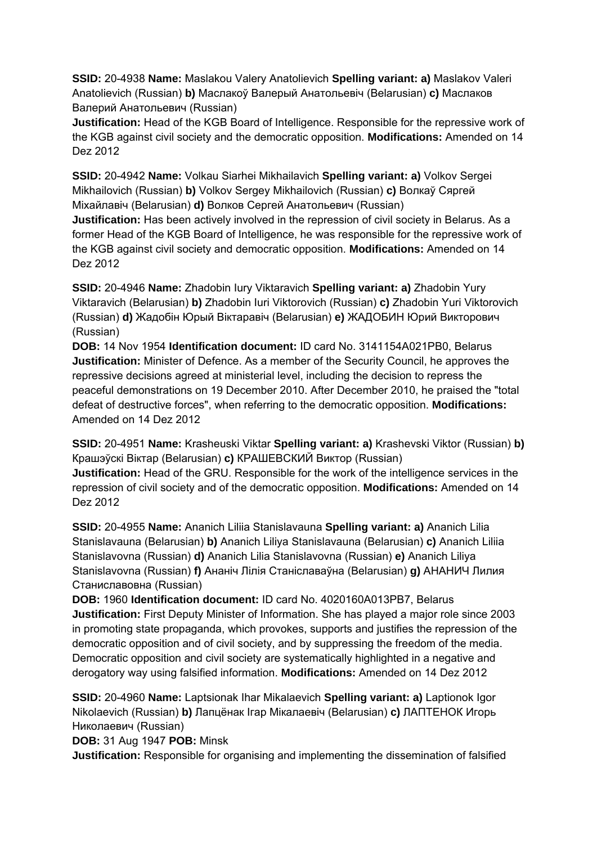**SSID:** 20-4938 **Name:** Maslakou Valery Anatolievich **Spelling variant: a)** Maslakov Valeri Anatolievich (Russian) **b)** Маслакоў Валерый Анатольевiч (Belarusian) **c)** Маслаков Валерий Анатольевич (Russian)

**Justification:** Head of the KGB Board of Intelligence. Responsible for the repressive work of the KGB against civil society and the democratic opposition. **Modifications:** Amended on 14 Dez 2012

**SSID:** 20-4942 **Name:** Volkau Siarhei Mikhailavich **Spelling variant: a)** Volkov Sergei Mikhailovich (Russian) **b)** Volkov Sergey Mikhailovich (Russian) **c)** Волкаў Сяргей Мiхайлавiч (Belarusian) **d)** Волков Сергей Анатольевич (Russian)

**Justification:** Has been actively involved in the repression of civil society in Belarus. As a former Head of the KGB Board of Intelligence, he was responsible for the repressive work of the KGB against civil society and democratic opposition. **Modifications:** Amended on 14 Dez 2012

**SSID:** 20-4946 **Name:** Zhadobin Iury Viktaravich **Spelling variant: a)** Zhadobin Yury Viktaravich (Belarusian) **b)** Zhadobin Iuri Viktorovich (Russian) **c)** Zhadobin Yuri Viktorovich (Russian) **d)** Жадобін Юрый Віктаравіч (Belarusian) **e)** ЖАДОБИН Юрий Викторович (Russian)

**DOB:** 14 Nov 1954 **Identification document:** ID card No. 3141154A021PB0, Belarus **Justification:** Minister of Defence. As a member of the Security Council, he approves the repressive decisions agreed at ministerial level, including the decision to repress the peaceful demonstrations on 19 December 2010. After December 2010, he praised the "total defeat of destructive forces", when referring to the democratic opposition. **Modifications:**  Amended on 14 Dez 2012

**SSID:** 20-4951 **Name:** Krasheuski Viktar **Spelling variant: a)** Krashevski Viktor (Russian) **b)**  Крашэўскі Віктар (Belarusian) **c)** КРАШЕВСКИЙ Виктор (Russian) **Justification:** Head of the GRU. Responsible for the work of the intelligence services in the repression of civil society and of the democratic opposition. **Modifications:** Amended on 14 Dez 2012

**SSID:** 20-4955 **Name:** Ananich Liliia Stanislavauna **Spelling variant: a)** Ananich Lilia Stanislavauna (Belarusian) **b)** Ananich Liliya Stanislavauna (Belarusian) **c)** Ananich Liliia Stanislavovna (Russian) **d)** Ananich Lilia Stanislavovna (Russian) **e)** Ananich Liliya Stanislavovna (Russian) **f)** Ананіч Лілія Станіславаўна (Belarusian) **g)** АНАНИЧ Лилия Станиславовна (Russian)

**DOB:** 1960 **Identification document:** ID card No. 4020160A013PB7, Belarus **Justification:** First Deputy Minister of Information. She has played a major role since 2003 in promoting state propaganda, which provokes, supports and justifies the repression of the democratic opposition and of civil society, and by suppressing the freedom of the media. Democratic opposition and civil society are systematically highlighted in a negative and derogatory way using falsified information. **Modifications:** Amended on 14 Dez 2012

**SSID:** 20-4960 **Name:** Laptsionak Ihar Mikalaevich **Spelling variant: a)** Laptionok Igor Nikolaevich (Russian) **b)** Лапцёнак Ігар Мікалаевіч (Belarusian) **c)** ЛАПТЕНОК Игорь Николаевич (Russian)

**DOB:** 31 Aug 1947 **POB:** Minsk

**Justification:** Responsible for organising and implementing the dissemination of falsified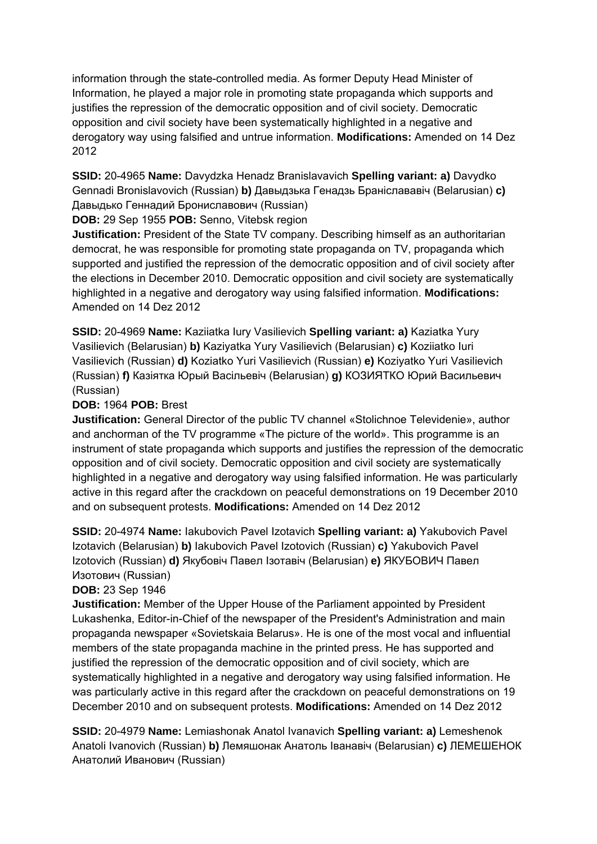information through the state-controlled media. As former Deputy Head Minister of Information, he played a major role in promoting state propaganda which supports and justifies the repression of the democratic opposition and of civil society. Democratic opposition and civil society have been systematically highlighted in a negative and derogatory way using falsified and untrue information. **Modifications:** Amended on 14 Dez 2012

**SSID:** 20-4965 **Name:** Davydzka Henadz Branislavavich **Spelling variant: a)** Davydko Gennadi Bronislavovich (Russian) **b)** Давыдзька Генадзь Браніслававіч (Belarusian) **c)**  Давыдько Геннадий Брониславович (Russian)

**DOB:** 29 Sep 1955 **POB:** Senno, Vitebsk region

**Justification:** President of the State TV company. Describing himself as an authoritarian democrat, he was responsible for promoting state propaganda on TV, propaganda which supported and justified the repression of the democratic opposition and of civil society after the elections in December 2010. Democratic opposition and civil society are systematically highlighted in a negative and derogatory way using falsified information. **Modifications:**  Amended on 14 Dez 2012

**SSID:** 20-4969 **Name:** Kaziiatka Iury Vasilievich **Spelling variant: a)** Kaziatka Yury Vasilievich (Belarusian) **b)** Kaziyatka Yury Vasilievich (Belarusian) **c)** Koziiatko Iuri Vasilievich (Russian) **d)** Koziatko Yuri Vasilievich (Russian) **e)** Koziyatko Yuri Vasilievich (Russian) **f)** Казіятка Юрый Васільевіч (Belarusian) **g)** КОЗИЯТКО Юрий Васильевич (Russian)

# **DOB:** 1964 **POB:** Brest

**Justification:** General Director of the public TV channel «Stolichnoe Televidenie», author and anchorman of the TV programme «The picture of the world». This programme is an instrument of state propaganda which supports and justifies the repression of the democratic opposition and of civil society. Democratic opposition and civil society are systematically highlighted in a negative and derogatory way using falsified information. He was particularly active in this regard after the crackdown on peaceful demonstrations on 19 December 2010 and on subsequent protests. **Modifications:** Amended on 14 Dez 2012

**SSID:** 20-4974 **Name:** Iakubovich Pavel Izotavich **Spelling variant: a)** Yakubovich Pavel Izotavich (Belarusian) **b)** Iakubovich Pavel Izotovich (Russian) **c)** Yakubovich Pavel Izotovich (Russian) **d)** Якубовіч Павел Ізотавіч (Belarusian) **e)** ЯКУБОВИЧ Павел Изотович (Russian)

# **DOB:** 23 Sep 1946

**Justification:** Member of the Upper House of the Parliament appointed by President Lukashenka, Editor-in-Chief of the newspaper of the President's Administration and main propaganda newspaper «Sovietskaia Belarus». He is one of the most vocal and influential members of the state propaganda machine in the printed press. He has supported and justified the repression of the democratic opposition and of civil society, which are systematically highlighted in a negative and derogatory way using falsified information. He was particularly active in this regard after the crackdown on peaceful demonstrations on 19 December 2010 and on subsequent protests. **Modifications:** Amended on 14 Dez 2012

**SSID:** 20-4979 **Name:** Lemiashonak Anatol Ivanavich **Spelling variant: a)** Lemeshenok Anatoli Ivanovich (Russian) **b)** Лемяшонак Анатоль Іванавіч (Belarusian) **c)** ЛЕМЕШЕНОК Анатолий Иванович (Russian)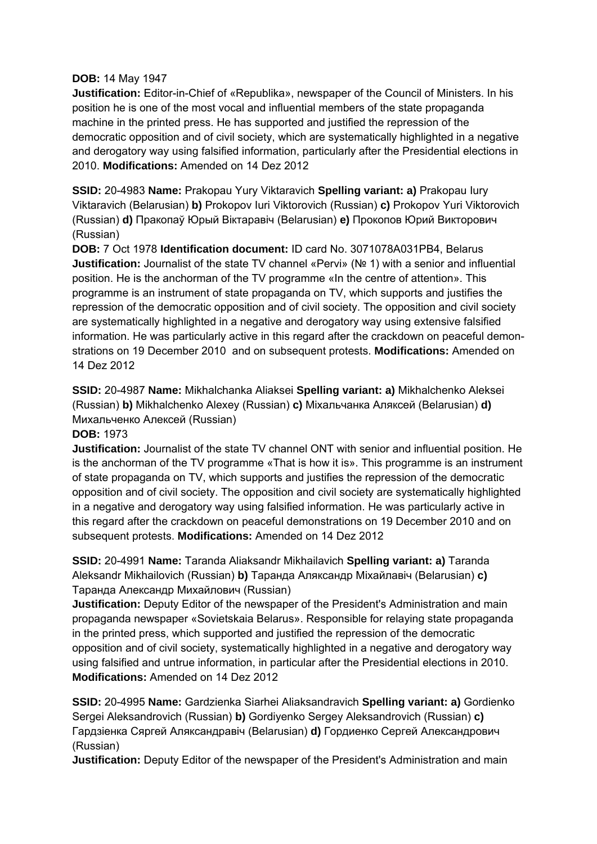### **DOB:** 14 May 1947

**Justification:** Editor-in-Chief of «Republika», newspaper of the Council of Ministers. In his position he is one of the most vocal and influential members of the state propaganda machine in the printed press. He has supported and justified the repression of the democratic opposition and of civil society, which are systematically highlighted in a negative and derogatory way using falsified information, particularly after the Presidential elections in 2010. **Modifications:** Amended on 14 Dez 2012

**SSID:** 20-4983 **Name:** Prakopau Yury Viktaravich **Spelling variant: a)** Prakopau Iury Viktaravich (Belarusian) **b)** Prokopov Iuri Viktorovich (Russian) **c)** Prokopov Yuri Viktorovich (Russian) **d)** Пракопаў Юрый Вiктаравiч (Belarusian) **e)** Прокопов Юрий Викторович (Russian)

**DOB:** 7 Oct 1978 **Identification document:** ID card No. 3071078A031PB4, Belarus **Justification:** Journalist of the state TV channel «Pervi» (№ 1) with a senior and influential position. He is the anchorman of the TV programme «In the centre of attention». This programme is an instrument of state propaganda on TV, which supports and justifies the repression of the democratic opposition and of civil society. The opposition and civil society are systematically highlighted in a negative and derogatory way using extensive falsified information. He was particularly active in this regard after the crackdown on peaceful demonstrations on 19 December 2010 and on subsequent protests. **Modifications:** Amended on 14 Dez 2012

**SSID:** 20-4987 **Name:** Mikhalchanka Aliaksei **Spelling variant: a)** Mikhalchenko Aleksei (Russian) **b)** Mikhalchenko Alexey (Russian) **c)** Міхальчанка Аляксей (Belarusian) **d)**  Михальченко Алексей (Russian)

### **DOB:** 1973

**Justification:** Journalist of the state TV channel ONT with senior and influential position. He is the anchorman of the TV programme «That is how it is». This programme is an instrument of state propaganda on TV, which supports and justifies the repression of the democratic opposition and of civil society. The opposition and civil society are systematically highlighted in a negative and derogatory way using falsified information. He was particularly active in this regard after the crackdown on peaceful demonstrations on 19 December 2010 and on subsequent protests. **Modifications:** Amended on 14 Dez 2012

**SSID:** 20-4991 **Name:** Taranda Aliaksandr Mikhailavich **Spelling variant: a)** Taranda Aleksandr Mikhailovich (Russian) **b)** Таранда Аляксандр Міхайлавіч (Belarusian) **c)**  Таранда Александр Михайлович (Russian)

**Justification:** Deputy Editor of the newspaper of the President's Administration and main propaganda newspaper «Sovietskaia Belarus». Responsible for relaying state propaganda in the printed press, which supported and justified the repression of the democratic opposition and of civil society, systematically highlighted in a negative and derogatory way using falsified and untrue information, in particular after the Presidential elections in 2010. **Modifications:** Amended on 14 Dez 2012

**SSID:** 20-4995 **Name:** Gardzienka Siarhei Aliaksandravich **Spelling variant: a)** Gordienko Sergei Aleksandrovich (Russian) **b)** Gordiyenko Sergey Aleksandrovich (Russian) **c)**  Гардзіенка Сяргей Аляксандравіч (Belarusian) **d)** Гордиенко Сергей Александрович (Russian)

**Justification:** Deputy Editor of the newspaper of the President's Administration and main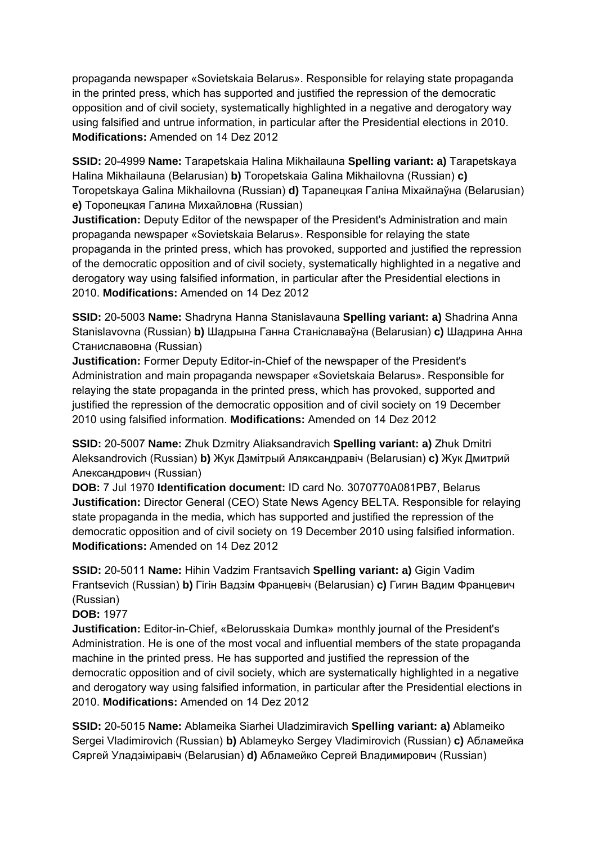propaganda newspaper «Sovietskaia Belarus». Responsible for relaying state propaganda in the printed press, which has supported and justified the repression of the democratic opposition and of civil society, systematically highlighted in a negative and derogatory way using falsified and untrue information, in particular after the Presidential elections in 2010. **Modifications:** Amended on 14 Dez 2012

**SSID:** 20-4999 **Name:** Tarapetskaia Halina Mikhailauna **Spelling variant: a)** Tarapetskaya Halina Mikhailauna (Belarusian) **b)** Toropetskaia Galina Mikhailovna (Russian) **c)**  Toropetskaya Galina Mikhailovna (Russian) **d)** Тарапецкая Галіна Міхайлаўна (Belarusian) **e)** Торопецкая Галина Михайловна (Russian)

**Justification:** Deputy Editor of the newspaper of the President's Administration and main propaganda newspaper «Sovietskaia Belarus». Responsible for relaying the state propaganda in the printed press, which has provoked, supported and justified the repression of the democratic opposition and of civil society, systematically highlighted in a negative and derogatory way using falsified information, in particular after the Presidential elections in 2010. **Modifications:** Amended on 14 Dez 2012

**SSID:** 20-5003 **Name:** Shadryna Hanna Stanislavauna **Spelling variant: a)** Shadrina Anna Stanislavovna (Russian) **b)** Шадрына Ганна Станіславаўна (Belarusian) **c)** Шадрина Анна Станиславовна (Russian)

**Justification:** Former Deputy Editor-in-Chief of the newspaper of the President's Administration and main propaganda newspaper «Sovietskaia Belarus». Responsible for relaying the state propaganda in the printed press, which has provoked, supported and justified the repression of the democratic opposition and of civil society on 19 December 2010 using falsified information. **Modifications:** Amended on 14 Dez 2012

**SSID:** 20-5007 **Name:** Zhuk Dzmitry Aliaksandravich **Spelling variant: a)** Zhuk Dmitri Aleksandrovich (Russian) **b)** Жук Дзмітрый Аляксандравіч (Belarusian) **c)** Жук Дмитрий Александрович (Russian)

**DOB:** 7 Jul 1970 **Identification document:** ID card No. 3070770A081PB7, Belarus **Justification:** Director General (CEO) State News Agency BELTA. Responsible for relaying state propaganda in the media, which has supported and justified the repression of the democratic opposition and of civil society on 19 December 2010 using falsified information. **Modifications:** Amended on 14 Dez 2012

**SSID:** 20-5011 **Name:** Hihin Vadzim Frantsavich **Spelling variant: a)** Gigin Vadim Frantsevich (Russian) **b)** Гігін Вадзім Францевiч (Belarusian) **c)** Гигин Вадим Францевич (Russian)

# **DOB:** 1977

**Justification:** Editor-in-Chief, «Belorusskaia Dumka» monthly journal of the President's Administration. He is one of the most vocal and influential members of the state propaganda machine in the printed press. He has supported and justified the repression of the democratic opposition and of civil society, which are systematically highlighted in a negative and derogatory way using falsified information, in particular after the Presidential elections in 2010. **Modifications:** Amended on 14 Dez 2012

**SSID:** 20-5015 **Name:** Ablameika Siarhei Uladzimiravich **Spelling variant: a)** Ablameiko Sergei Vladimirovich (Russian) **b)** Ablameyko Sergey Vladimirovich (Russian) **c)** Абламейка Сяргей Уладзіміравіч (Belarusian) **d)** Абламейко Сергей Владимирович (Russian)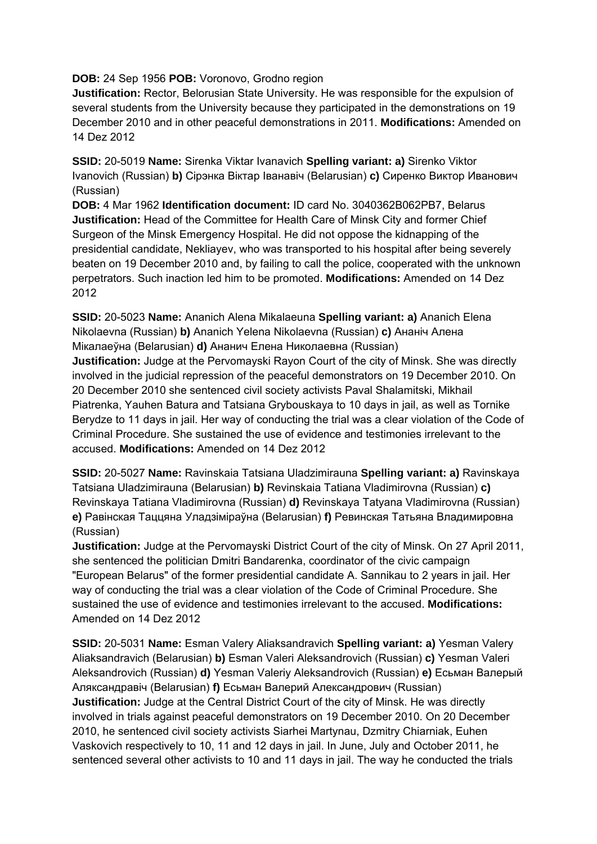### **DOB:** 24 Sep 1956 **POB:** Voronovo, Grodno region

**Justification:** Rector, Belorusian State University. He was responsible for the expulsion of several students from the University because they participated in the demonstrations on 19 December 2010 and in other peaceful demonstrations in 2011. **Modifications:** Amended on 14 Dez 2012

**SSID:** 20-5019 **Name:** Sirenka Viktar Ivanavich **Spelling variant: a)** Sirenko Viktor Ivanovich (Russian) **b)** Сірэнка Віктар Іванавіч (Belarusian) **c)** Сиренко Виктор Иванович (Russian)

**DOB:** 4 Mar 1962 **Identification document:** ID card No. 3040362B062PB7, Belarus **Justification:** Head of the Committee for Health Care of Minsk City and former Chief Surgeon of the Minsk Emergency Hospital. He did not oppose the kidnapping of the presidential candidate, Nekliayev, who was transported to his hospital after being severely beaten on 19 December 2010 and, by failing to call the police, cooperated with the unknown perpetrators. Such inaction led him to be promoted. **Modifications:** Amended on 14 Dez 2012

**SSID:** 20-5023 **Name:** Ananich Alena Mikalaeuna **Spelling variant: a)** Ananich Elena Nikolaevna (Russian) **b)** Ananich Yelena Nikolaevna (Russian) **c)** Ананіч Алена Мікалаеўна (Belarusian) **d)** Ананич Елена Николаевна (Russian)

**Justification:** Judge at the Pervomayski Rayon Court of the city of Minsk. She was directly involved in the judicial repression of the peaceful demonstrators on 19 December 2010. On 20 December 2010 she sentenced civil society activists Paval Shalamitski, Mikhail Piatrenka, Yauhen Batura and Tatsiana Grybouskaya to 10 days in jail, as well as Tornike Berydze to 11 days in jail. Her way of conducting the trial was a clear violation of the Code of Criminal Procedure. She sustained the use of evidence and testimonies irrelevant to the accused. **Modifications:** Amended on 14 Dez 2012

**SSID:** 20-5027 **Name:** Ravinskaia Tatsiana Uladzimirauna **Spelling variant: a)** Ravinskaya Tatsiana Uladzimirauna (Belarusian) **b)** Revinskaia Tatiana Vladimirovna (Russian) **c)**  Revinskaya Tatiana Vladimirovna (Russian) **d)** Revinskaya Tatyana Vladimirovna (Russian) **e)** Равінская Таццяна Уладзіміраўна (Belarusian) **f)** Ревинская Татьяна Владимировна (Russian)

**Justification:** Judge at the Pervomayski District Court of the city of Minsk. On 27 April 2011, she sentenced the politician Dmitri Bandarenka, coordinator of the civic campaign "European Belarus" of the former presidential candidate A. Sannikau to 2 years in jail. Her way of conducting the trial was a clear violation of the Code of Criminal Procedure. She sustained the use of evidence and testimonies irrelevant to the accused. **Modifications:**  Amended on 14 Dez 2012

**SSID:** 20-5031 **Name:** Esman Valery Aliaksandravich **Spelling variant: a)** Yesman Valery Aliaksandravich (Belarusian) **b)** Esman Valeri Aleksandrovich (Russian) **c)** Yesman Valeri Aleksandrovich (Russian) **d)** Yesman Valeriy Aleksandrovich (Russian) **e)** Есьман Валерый Аляксандравіч (Belarusian) **f)** Есьман Валерий Александрович (Russian) **Justification:** Judge at the Central District Court of the city of Minsk. He was directly involved in trials against peaceful demonstrators on 19 December 2010. On 20 December 2010, he sentenced civil society activists Siarhei Martynau, Dzmitry Chiarniak, Euhen Vaskovich respectively to 10, 11 and 12 days in jail. In June, July and October 2011, he sentenced several other activists to 10 and 11 days in jail. The way he conducted the trials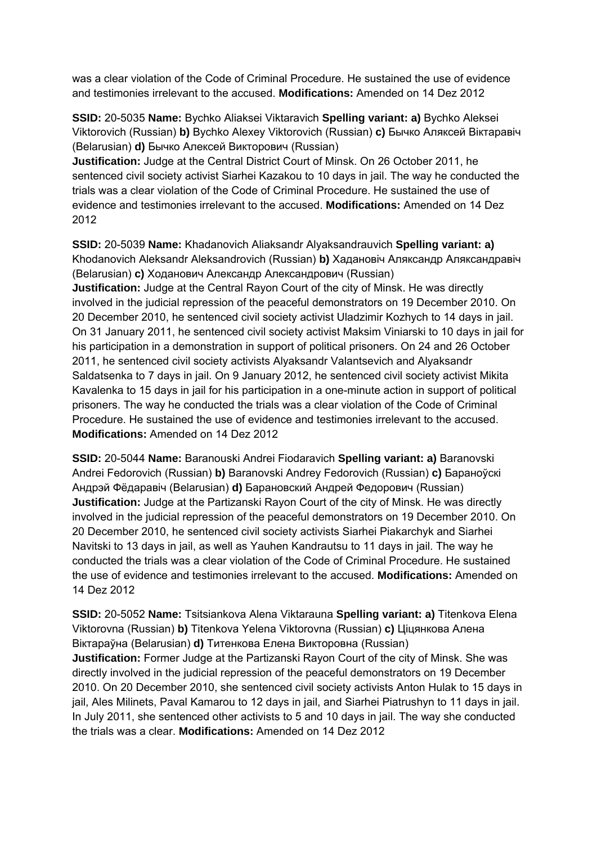was a clear violation of the Code of Criminal Procedure. He sustained the use of evidence and testimonies irrelevant to the accused. **Modifications:** Amended on 14 Dez 2012

**SSID:** 20-5035 **Name:** Bychko Aliaksei Viktaravich **Spelling variant: a)** Bychko Aleksei Viktorovich (Russian) **b)** Bychko Alexey Viktorovich (Russian) **c)** Бычко Аляксей Віктаравіч (Belarusian) **d)** Бычко Алексей Викторович (Russian)

**Justification:** Judge at the Central District Court of Minsk. On 26 October 2011, he sentenced civil society activist Siarhei Kazakou to 10 days in jail. The way he conducted the trials was a clear violation of the Code of Criminal Procedure. He sustained the use of evidence and testimonies irrelevant to the accused. **Modifications:** Amended on 14 Dez 2012

**SSID:** 20-5039 **Name:** Khadanovich Aliaksandr Alyaksandrauvich **Spelling variant: a)**  Khodanovich Aleksandr Aleksandrovich (Russian) **b)** Хадановіч Аляксандр Аляксандравіч (Belarusian) **c)** Ходанович Александр Александрович (Russian) **Justification:** Judge at the Central Rayon Court of the city of Minsk. He was directly involved in the judicial repression of the peaceful demonstrators on 19 December 2010. On 20 December 2010, he sentenced civil society activist Uladzimir Kozhych to 14 days in jail. On 31 January 2011, he sentenced civil society activist Maksim Viniarski to 10 days in jail for his participation in a demonstration in support of political prisoners. On 24 and 26 October 2011, he sentenced civil society activists Alyaksandr Valantsevich and Alyaksandr Saldatsenka to 7 days in jail. On 9 January 2012, he sentenced civil society activist Mikita Kavalenka to 15 days in jail for his participation in a one-minute action in support of political

prisoners. The way he conducted the trials was a clear violation of the Code of Criminal Procedure. He sustained the use of evidence and testimonies irrelevant to the accused. **Modifications:** Amended on 14 Dez 2012

**SSID:** 20-5044 **Name:** Baranouski Andrei Fiodaravich **Spelling variant: a)** Baranovski Andrei Fedorovich (Russian) **b)** Baranovski Andrey Fedorovich (Russian) **c)** Бараноўскі Андрэй Фёдаравіч (Belarusian) **d)** Барановский Андрей Федорович (Russian) **Justification:** Judge at the Partizanski Rayon Court of the city of Minsk. He was directly involved in the judicial repression of the peaceful demonstrators on 19 December 2010. On 20 December 2010, he sentenced civil society activists Siarhei Piakarchyk and Siarhei Navitski to 13 days in jail, as well as Yauhen Kandrautsu to 11 days in jail. The way he conducted the trials was a clear violation of the Code of Criminal Procedure. He sustained the use of evidence and testimonies irrelevant to the accused. **Modifications:** Amended on 14 Dez 2012

**SSID:** 20-5052 **Name:** Tsitsiankova Alena Viktarauna **Spelling variant: a)** Titenkova Elena Viktorovna (Russian) **b)** Titenkova Yelena Viktorovna (Russian) **c)** Ціцянкова Алена Віктараўна (Belarusian) **d)** Титенкова Елена Викторовна (Russian)

**Justification:** Former Judge at the Partizanski Rayon Court of the city of Minsk. She was directly involved in the judicial repression of the peaceful demonstrators on 19 December 2010. On 20 December 2010, she sentenced civil society activists Anton Hulak to 15 days in jail, Ales Milinets, Paval Kamarou to 12 days in jail, and Siarhei Piatrushyn to 11 days in jail. In July 2011, she sentenced other activists to 5 and 10 days in jail. The way she conducted the trials was a clear. **Modifications:** Amended on 14 Dez 2012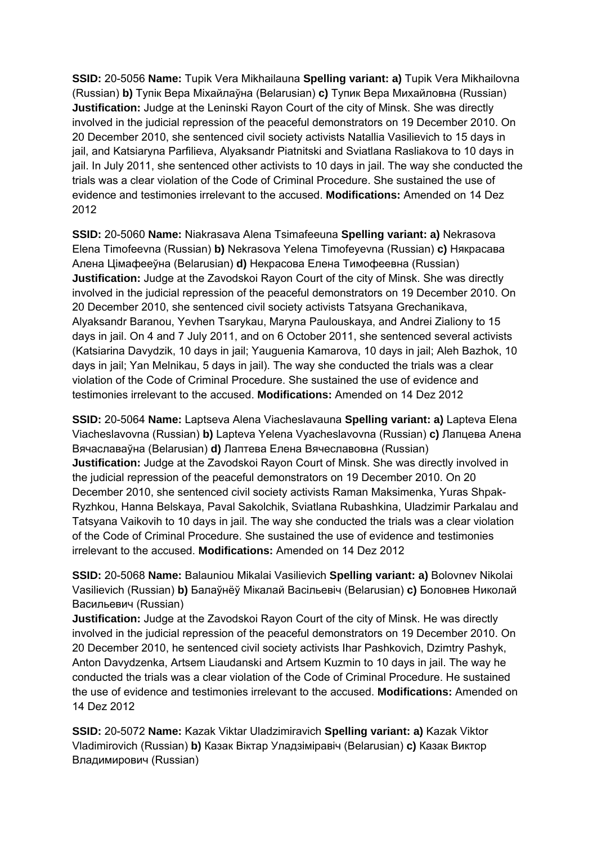**SSID:** 20-5056 **Name:** Tupik Vera Mikhailauna **Spelling variant: a)** Tupik Vera Mikhailovna (Russian) **b)** Тупік Вера Міхайлаўна (Belarusian) **c)** Тупик Вера Михайловна (Russian) **Justification:** Judge at the Leninski Rayon Court of the city of Minsk. She was directly involved in the judicial repression of the peaceful demonstrators on 19 December 2010. On 20 December 2010, she sentenced civil society activists Natallia Vasilievich to 15 days in jail, and Katsiaryna Parfilieva, Alyaksandr Piatnitski and Sviatlana Rasliakova to 10 days in jail. In July 2011, she sentenced other activists to 10 days in jail. The way she conducted the trials was a clear violation of the Code of Criminal Procedure. She sustained the use of evidence and testimonies irrelevant to the accused. **Modifications:** Amended on 14 Dez 2012

**SSID:** 20-5060 **Name:** Niakrasava Alena Tsimafeeuna **Spelling variant: a)** Nekrasova Elena Timofeevna (Russian) **b)** Nekrasova Yelena Timofeyevna (Russian) **c)** Някрасава Алена Цімафееўна (Belarusian) **d)** Некрасова Елена Тимофеевна (Russian) **Justification:** Judge at the Zavodskoi Rayon Court of the city of Minsk. She was directly involved in the judicial repression of the peaceful demonstrators on 19 December 2010. On 20 December 2010, she sentenced civil society activists Tatsyana Grechanikava, Alyaksandr Baranou, Yevhen Tsarykau, Maryna Paulouskaya, and Andrei Zialiony to 15 days in jail. On 4 and 7 July 2011, and on 6 October 2011, she sentenced several activists (Katsiarina Davydzik, 10 days in jail; Yauguenia Kamarova, 10 days in jail; Aleh Bazhok, 10 days in jail; Yan Melnikau, 5 days in jail). The way she conducted the trials was a clear violation of the Code of Criminal Procedure. She sustained the use of evidence and testimonies irrelevant to the accused. **Modifications:** Amended on 14 Dez 2012

**SSID:** 20-5064 **Name:** Laptseva Alena Viacheslavauna **Spelling variant: a)** Lapteva Elena Viacheslavovna (Russian) **b)** Lapteva Yelena Vyacheslavovna (Russian) **c)** Лапцева Алена Вячаславаўна (Belarusian) **d)** Лаптева Елена Вячеславовна (Russian) **Justification:** Judge at the Zavodskoi Rayon Court of Minsk. She was directly involved in the judicial repression of the peaceful demonstrators on 19 December 2010. On 20 December 2010, she sentenced civil society activists Raman Maksimenka, Yuras Shpak-Ryzhkou, Hanna Belskaya, Paval Sakolchik, Sviatlana Rubashkina, Uladzimir Parkalau and Tatsyana Vaikovih to 10 days in jail. The way she conducted the trials was a clear violation of the Code of Criminal Procedure. She sustained the use of evidence and testimonies irrelevant to the accused. **Modifications:** Amended on 14 Dez 2012

**SSID:** 20-5068 **Name:** Balauniou Mikalai Vasilievich **Spelling variant: a)** Bolovnev Nikolai Vasilievich (Russian) **b)** Балаўнёў Мікалай Васільевіч (Belarusian) **c)** Боловнев Николай Васильевич (Russian)

**Justification:** Judge at the Zavodskoi Rayon Court of the city of Minsk. He was directly involved in the judicial repression of the peaceful demonstrators on 19 December 2010. On 20 December 2010, he sentenced civil society activists Ihar Pashkovich, Dzimtry Pashyk, Anton Davydzenka, Artsem Liaudanski and Artsem Kuzmin to 10 days in jail. The way he conducted the trials was a clear violation of the Code of Criminal Procedure. He sustained the use of evidence and testimonies irrelevant to the accused. **Modifications:** Amended on 14 Dez 2012

**SSID:** 20-5072 **Name:** Kazak Viktar Uladzimiravich **Spelling variant: a)** Kazak Viktor Vladimirovich (Russian) **b)** Казак Віктар Уладзіміравіч (Belarusian) **c)** Казак Виктор Владимирович (Russian)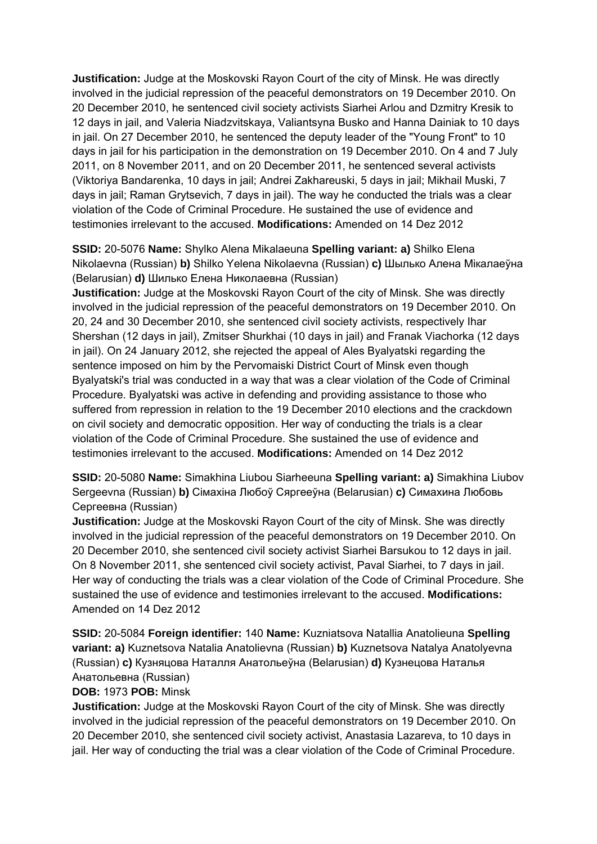**Justification:** Judge at the Moskovski Rayon Court of the city of Minsk. He was directly involved in the judicial repression of the peaceful demonstrators on 19 December 2010. On 20 December 2010, he sentenced civil society activists Siarhei Arlou and Dzmitry Kresik to 12 days in jail, and Valeria Niadzvitskaya, Valiantsyna Busko and Hanna Dainiak to 10 days in jail. On 27 December 2010, he sentenced the deputy leader of the "Young Front" to 10 days in jail for his participation in the demonstration on 19 December 2010. On 4 and 7 July 2011, on 8 November 2011, and on 20 December 2011, he sentenced several activists (Viktoriya Bandarenka, 10 days in jail; Andrei Zakhareuski, 5 days in jail; Mikhail Muski, 7 days in jail; Raman Grytsevich, 7 days in jail). The way he conducted the trials was a clear violation of the Code of Criminal Procedure. He sustained the use of evidence and testimonies irrelevant to the accused. **Modifications:** Amended on 14 Dez 2012

**SSID:** 20-5076 **Name:** Shylko Alena Mikalaeuna **Spelling variant: a)** Shilko Elena Nikolaevna (Russian) **b)** Shilko Yelena Nikolaevna (Russian) **c)** Шылько Алена Мікалаеўна (Belarusian) **d)** Шилько Елена Николаевна (Russian)

**Justification:** Judge at the Moskovski Rayon Court of the city of Minsk. She was directly involved in the judicial repression of the peaceful demonstrators on 19 December 2010. On 20, 24 and 30 December 2010, she sentenced civil society activists, respectively Ihar Shershan (12 days in jail), Zmitser Shurkhai (10 days in jail) and Franak Viachorka (12 days in jail). On 24 January 2012, she rejected the appeal of Ales Byalyatski regarding the sentence imposed on him by the Pervomaiski District Court of Minsk even though Byalyatski's trial was conducted in a way that was a clear violation of the Code of Criminal Procedure. Byalyatski was active in defending and providing assistance to those who suffered from repression in relation to the 19 December 2010 elections and the crackdown on civil society and democratic opposition. Her way of conducting the trials is a clear violation of the Code of Criminal Procedure. She sustained the use of evidence and testimonies irrelevant to the accused. **Modifications:** Amended on 14 Dez 2012

**SSID:** 20-5080 **Name:** Simakhina Liubou Siarheeuna **Spelling variant: a)** Simakhina Liubov Sergeevna (Russian) **b)** Сімахіна Любоў Сяргееўна (Belarusian) **c)** Симахина Любовь Сергеевна (Russian)

**Justification:** Judge at the Moskovski Rayon Court of the city of Minsk. She was directly involved in the judicial repression of the peaceful demonstrators on 19 December 2010. On 20 December 2010, she sentenced civil society activist Siarhei Barsukou to 12 days in jail. On 8 November 2011, she sentenced civil society activist, Paval Siarhei, to 7 days in jail. Her way of conducting the trials was a clear violation of the Code of Criminal Procedure. She sustained the use of evidence and testimonies irrelevant to the accused. **Modifications:**  Amended on 14 Dez 2012

**SSID:** 20-5084 **Foreign identifier:** 140 **Name:** Kuzniatsova Natallia Anatolieuna **Spelling variant: a)** Kuznetsova Natalia Anatolievna (Russian) **b)** Kuznetsova Natalya Anatolyevna (Russian) **c)** Кузняцова Наталля Анатольеўна (Belarusian) **d)** Кузнецова Наталья Анатольевна (Russian)

### **DOB:** 1973 **POB:** Minsk

**Justification:** Judge at the Moskovski Rayon Court of the city of Minsk. She was directly involved in the judicial repression of the peaceful demonstrators on 19 December 2010. On 20 December 2010, she sentenced civil society activist, Anastasia Lazareva, to 10 days in jail. Her way of conducting the trial was a clear violation of the Code of Criminal Procedure.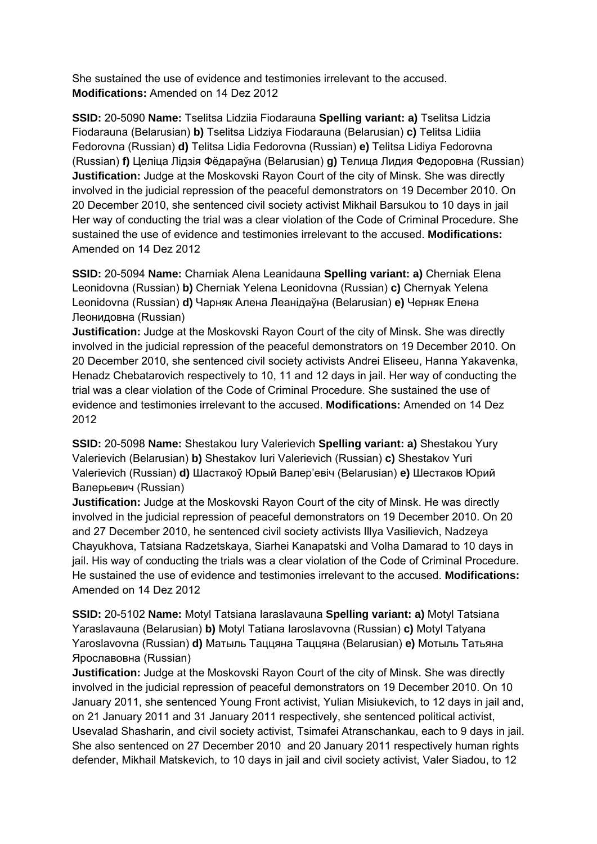She sustained the use of evidence and testimonies irrelevant to the accused. **Modifications:** Amended on 14 Dez 2012

**SSID:** 20-5090 **Name:** Tselitsa Lidziia Fiodarauna **Spelling variant: a)** Tselitsa Lidzia Fiodarauna (Belarusian) **b)** Tselitsa Lidziya Fiodarauna (Belarusian) **c)** Telitsa Lidiia Fedorovna (Russian) **d)** Telitsa Lidia Fedorovna (Russian) **e)** Telitsa Lidiya Fedorovna (Russian) **f)** Целіца Лідзія Фёдараўна (Belarusian) **g)** Телица Лидия Федоровна (Russian) **Justification:** Judge at the Moskovski Rayon Court of the city of Minsk. She was directly involved in the judicial repression of the peaceful demonstrators on 19 December 2010. On 20 December 2010, she sentenced civil society activist Mikhail Barsukou to 10 days in jail Her way of conducting the trial was a clear violation of the Code of Criminal Procedure. She sustained the use of evidence and testimonies irrelevant to the accused. **Modifications:**  Amended on 14 Dez 2012

**SSID:** 20-5094 **Name:** Charniak Alena Leanidauna **Spelling variant: a)** Cherniak Elena Leonidovna (Russian) **b)** Cherniak Yelena Leonidovna (Russian) **c)** Chernyak Yelena Leonidovna (Russian) **d)** Чарняк Алена Леанідаўна (Belarusian) **e)** Черняк Елена Леонидовна (Russian)

**Justification:** Judge at the Moskovski Rayon Court of the city of Minsk. She was directly involved in the judicial repression of the peaceful demonstrators on 19 December 2010. On 20 December 2010, she sentenced civil society activists Andrei Eliseeu, Hanna Yakavenka, Henadz Chebatarovich respectively to 10, 11 and 12 days in jail. Her way of conducting the trial was a clear violation of the Code of Criminal Procedure. She sustained the use of evidence and testimonies irrelevant to the accused. **Modifications:** Amended on 14 Dez 2012

**SSID:** 20-5098 **Name:** Shestakou Iury Valerievich **Spelling variant: a)** Shestakou Yury Valerievich (Belarusian) **b)** Shestakov Iuri Valerievich (Russian) **c)** Shestakov Yuri Valerievich (Russian) **d)** Шастакоў Юрый Валер'евіч (Belarusian) **e)** Шестаков Юрий Валерьевич (Russian)

**Justification:** Judge at the Moskovski Rayon Court of the city of Minsk. He was directly involved in the judicial repression of peaceful demonstrators on 19 December 2010. On 20 and 27 December 2010, he sentenced civil society activists Illya Vasilievich, Nadzeya Chayukhova, Tatsiana Radzetskaya, Siarhei Kanapatski and Volha Damarad to 10 days in jail. His way of conducting the trials was a clear violation of the Code of Criminal Procedure. He sustained the use of evidence and testimonies irrelevant to the accused. **Modifications:**  Amended on 14 Dez 2012

**SSID:** 20-5102 **Name:** Motyl Tatsiana Iaraslavauna **Spelling variant: a)** Motyl Tatsiana Yaraslavauna (Belarusian) **b)** Motyl Tatiana Iaroslavovna (Russian) **c)** Motyl Tatyana Yaroslavovna (Russian) **d)** Матыль Таццяна Таццяна (Belarusian) **e)** Мотыль Татьяна Ярославовна (Russian)

**Justification:** Judge at the Moskovski Rayon Court of the city of Minsk. She was directly involved in the judicial repression of peaceful demonstrators on 19 December 2010. On 10 January 2011, she sentenced Young Front activist, Yulian Misiukevich, to 12 days in jail and, on 21 January 2011 and 31 January 2011 respectively, she sentenced political activist, Usevalad Shasharin, and civil society activist, Tsimafei Atranschankau, each to 9 days in jail. She also sentenced on 27 December 2010 and 20 January 2011 respectively human rights defender, Mikhail Matskevich, to 10 days in jail and civil society activist, Valer Siadou, to 12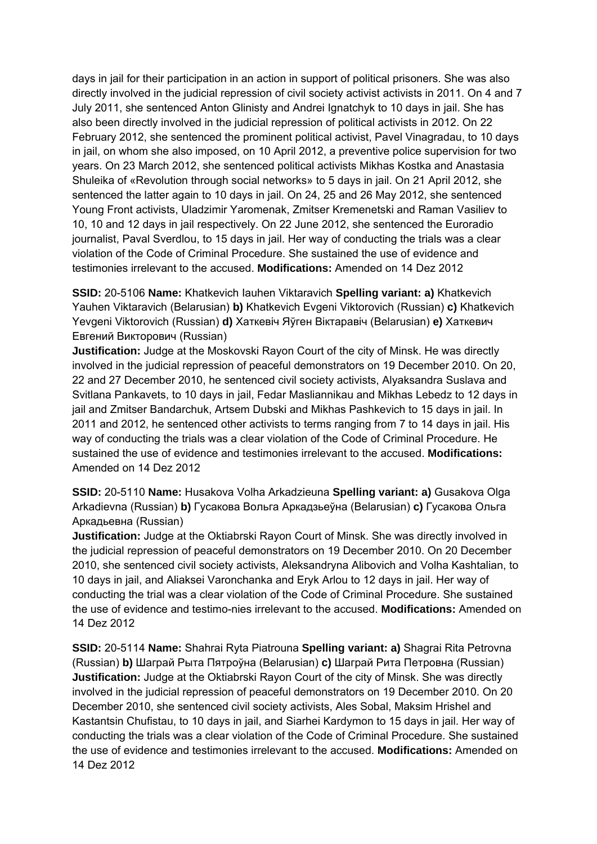days in jail for their participation in an action in support of political prisoners. She was also directly involved in the judicial repression of civil society activist activists in 2011. On 4 and 7 July 2011, she sentenced Anton Glinisty and Andrei Ignatchyk to 10 days in jail. She has also been directly involved in the judicial repression of political activists in 2012. On 22 February 2012, she sentenced the prominent political activist, Pavel Vinagradau, to 10 days in jail, on whom she also imposed, on 10 April 2012, a preventive police supervision for two years. On 23 March 2012, she sentenced political activists Mikhas Kostka and Anastasia Shuleika of «Revolution through social networks» to 5 days in jail. On 21 April 2012, she sentenced the latter again to 10 days in jail. On 24, 25 and 26 May 2012, she sentenced Young Front activists, Uladzimir Yaromenak, Zmitser Kremenetski and Raman Vasiliev to 10, 10 and 12 days in jail respectively. On 22 June 2012, she sentenced the Euroradio journalist, Paval Sverdlou, to 15 days in jail. Her way of conducting the trials was a clear violation of the Code of Criminal Procedure. She sustained the use of evidence and testimonies irrelevant to the accused. **Modifications:** Amended on 14 Dez 2012

**SSID:** 20-5106 **Name:** Khatkevich Iauhen Viktaravich **Spelling variant: a)** Khatkevich Yauhen Viktaravich (Belarusian) **b)** Khatkevich Evgeni Viktorovich (Russian) **c)** Khatkevich Yevgeni Viktorovich (Russian) **d)** Хаткевіч Яўген Віктаравіч (Belarusian) **e)** Хаткевич Евгений Викторович (Russian)

**Justification:** Judge at the Moskovski Rayon Court of the city of Minsk. He was directly involved in the judicial repression of peaceful demonstrators on 19 December 2010. On 20, 22 and 27 December 2010, he sentenced civil society activists, Alyaksandra Suslava and Svitlana Pankavets, to 10 days in jail, Fedar Masliannikau and Mikhas Lebedz to 12 days in jail and Zmitser Bandarchuk, Artsem Dubski and Mikhas Pashkevich to 15 days in jail. In 2011 and 2012, he sentenced other activists to terms ranging from 7 to 14 days in jail. His way of conducting the trials was a clear violation of the Code of Criminal Procedure. He sustained the use of evidence and testimonies irrelevant to the accused. **Modifications:**  Amended on 14 Dez 2012

**SSID:** 20-5110 **Name:** Husakova Volha Arkadzieuna **Spelling variant: a)** Gusakova Olga Arkadievna (Russian) **b)** Гусакова Вольга Аркадзьеўна (Belarusian) **c)** Гусакова Ольга Аркадьевна (Russian)

**Justification:** Judge at the Oktiabrski Rayon Court of Minsk. She was directly involved in the judicial repression of peaceful demonstrators on 19 December 2010. On 20 December 2010, she sentenced civil society activists, Aleksandryna Alibovich and Volha Kashtalian, to 10 days in jail, and Aliaksei Varonchanka and Eryk Arlou to 12 days in jail. Her way of conducting the trial was a clear violation of the Code of Criminal Procedure. She sustained the use of evidence and testimo-nies irrelevant to the accused. **Modifications:** Amended on 14 Dez 2012

**SSID:** 20-5114 **Name:** Shahrai Ryta Piatrouna **Spelling variant: a)** Shagrai Rita Petrovna (Russian) **b)** Шаграй Рыта Пятроўна (Belarusian) **c)** Шаграй Рита Петровна (Russian) **Justification:** Judge at the Oktiabrski Rayon Court of the city of Minsk. She was directly involved in the judicial repression of peaceful demonstrators on 19 December 2010. On 20 December 2010, she sentenced civil society activists, Ales Sobal, Maksim Hrishel and Kastantsin Chufistau, to 10 days in jail, and Siarhei Kardymon to 15 days in jail. Her way of conducting the trials was a clear violation of the Code of Criminal Procedure. She sustained the use of evidence and testimonies irrelevant to the accused. **Modifications:** Amended on 14 Dez 2012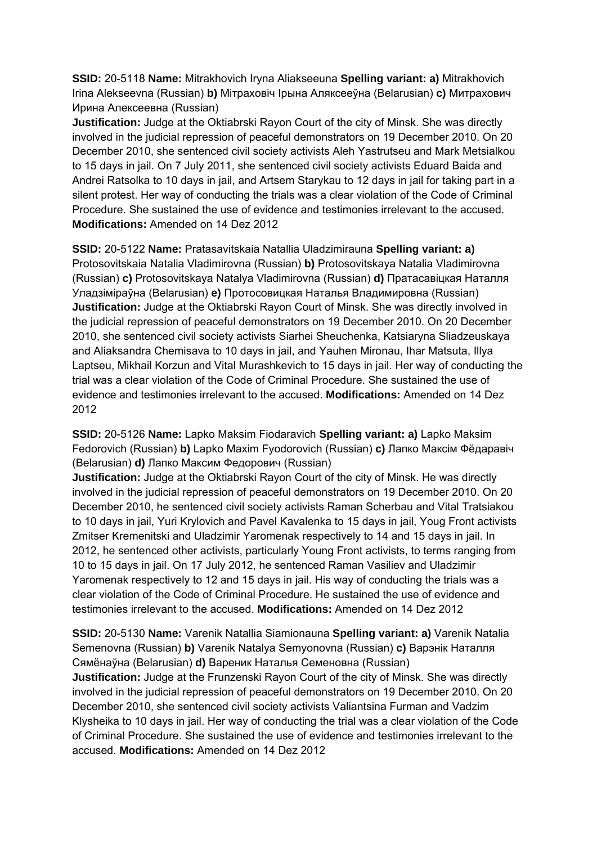**SSID:** 20-5118 **Name:** Mitrakhovich Iryna Aliakseeuna **Spelling variant: a)** Mitrakhovich Irina Alekseevna (Russian) **b)** Мітраховіч Ірына Аляксееўна (Belarusian) **c)** Митрахович Ирина Алексеевна (Russian)

**Justification:** Judge at the Oktiabrski Rayon Court of the city of Minsk. She was directly involved in the judicial repression of peaceful demonstrators on 19 December 2010. On 20 December 2010, she sentenced civil society activists Aleh Yastrutseu and Mark Metsialkou to 15 days in jail. On 7 July 2011, she sentenced civil society activists Eduard Baida and Andrei Ratsolka to 10 days in jail, and Artsem Starykau to 12 days in jail for taking part in a silent protest. Her way of conducting the trials was a clear violation of the Code of Criminal Procedure. She sustained the use of evidence and testimonies irrelevant to the accused. **Modifications:** Amended on 14 Dez 2012

**SSID:** 20-5122 **Name:** Pratasavitskaia Natallia Uladzimirauna **Spelling variant: a)**  Protosovitskaia Natalia Vladimirovna (Russian) **b)** Protosovitskaya Natalia Vladimirovna (Russian) **c)** Protosovitskaya Natalya Vladimirovna (Russian) **d)** Пратасавіцкая Наталля Уладзіміраўна (Belarusian) **e)** Протосовицкая Наталья Владимировна (Russian) **Justification:** Judge at the Oktiabrski Rayon Court of Minsk. She was directly involved in the judicial repression of peaceful demonstrators on 19 December 2010. On 20 December 2010, she sentenced civil society activists Siarhei Sheuchenka, Katsiaryna Sliadzeuskaya and Aliaksandra Chemisava to 10 days in jail, and Yauhen Mironau, Ihar Matsuta, Illya Laptseu, Mikhail Korzun and Vital Murashkevich to 15 days in jail. Her way of conducting the trial was a clear violation of the Code of Criminal Procedure. She sustained the use of evidence and testimonies irrelevant to the accused. **Modifications:** Amended on 14 Dez 2012

**SSID:** 20-5126 **Name:** Lapko Maksim Fiodaravich **Spelling variant: a)** Lapko Maksim Fedorovich (Russian) **b)** Lapko Maxim Fyodorovich (Russian) **c)** Лапко Максім Фёдаравіч (Belarusian) **d)** Лапко Максим Федорович (Russian)

**Justification:** Judge at the Oktiabrski Rayon Court of the city of Minsk. He was directly involved in the judicial repression of peaceful demonstrators on 19 December 2010. On 20 December 2010, he sentenced civil society activists Raman Scherbau and Vital Tratsiakou to 10 days in jail, Yuri Krylovich and Pavel Kavalenka to 15 days in jail, Youg Front activists Zmitser Kremenitski and Uladzimir Yaromenak respectively to 14 and 15 days in jail. In 2012, he sentenced other activists, particularly Young Front activists, to terms ranging from 10 to 15 days in jail. On 17 July 2012, he sentenced Raman Vasiliev and Uladzimir Yaromenak respectively to 12 and 15 days in jail. His way of conducting the trials was a clear violation of the Code of Criminal Procedure. He sustained the use of evidence and testimonies irrelevant to the accused. **Modifications:** Amended on 14 Dez 2012

**SSID:** 20-5130 **Name:** Varenik Natallia Siamionauna **Spelling variant: a)** Varenik Natalia Semenovna (Russian) **b)** Varenik Natalya Semyonovna (Russian) **c)** Варэнік Наталля Сямёнаўна (Belarusian) **d)** Вареник Наталья Семеновна (Russian)

**Justification:** Judge at the Frunzenski Rayon Court of the city of Minsk. She was directly involved in the judicial repression of peaceful demonstrators on 19 December 2010. On 20 December 2010, she sentenced civil society activists Valiantsina Furman and Vadzim Klysheika to 10 days in jail. Her way of conducting the trial was a clear violation of the Code of Criminal Procedure. She sustained the use of evidence and testimonies irrelevant to the accused. **Modifications:** Amended on 14 Dez 2012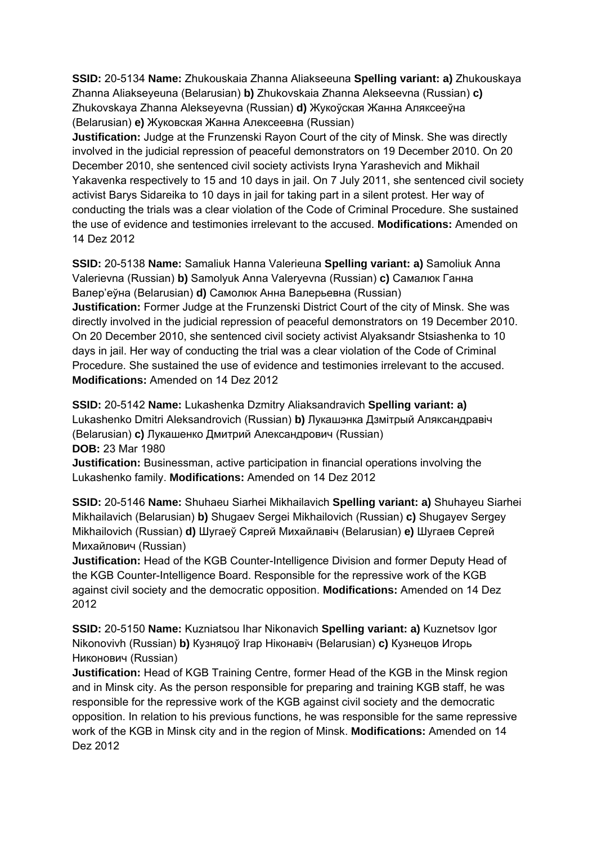**SSID:** 20-5134 **Name:** Zhukouskaia Zhanna Aliakseeuna **Spelling variant: a)** Zhukouskaya Zhanna Aliakseyeuna (Belarusian) **b)** Zhukovskaia Zhanna Alekseevna (Russian) **c)**  Zhukovskaya Zhanna Alekseyevna (Russian) **d)** Жукоўская Жанна Аляксееўна (Belarusian) **e)** Жуковская Жанна Алексеевна (Russian)

**Justification:** Judge at the Frunzenski Rayon Court of the city of Minsk. She was directly involved in the judicial repression of peaceful demonstrators on 19 December 2010. On 20 December 2010, she sentenced civil society activists Iryna Yarashevich and Mikhail Yakavenka respectively to 15 and 10 days in jail. On 7 July 2011, she sentenced civil society activist Barys Sidareika to 10 days in jail for taking part in a silent protest. Her way of conducting the trials was a clear violation of the Code of Criminal Procedure. She sustained the use of evidence and testimonies irrelevant to the accused. **Modifications:** Amended on 14 Dez 2012

**SSID:** 20-5138 **Name:** Samaliuk Hanna Valerieuna **Spelling variant: a)** Samoliuk Anna Valerievna (Russian) **b)** Samolyuk Anna Valeryevna (Russian) **c)** Самалюк Ганна Валер'еўна (Belarusian) **d)** Самолюк Анна Валерьевна (Russian) **Justification:** Former Judge at the Frunzenski District Court of the city of Minsk. She was directly involved in the judicial repression of peaceful demonstrators on 19 December 2010. On 20 December 2010, she sentenced civil society activist Alyaksandr Stsiashenka to 10 days in jail. Her way of conducting the trial was a clear violation of the Code of Criminal Procedure. She sustained the use of evidence and testimonies irrelevant to the accused. **Modifications:** Amended on 14 Dez 2012

**SSID:** 20-5142 **Name:** Lukashenka Dzmitry Aliaksandravich **Spelling variant: a)**  Lukashenko Dmitri Aleksandrovich (Russian) **b)** Лукашэнка Дзмітрый Аляксандравіч (Belarusian) **c)** Лукашенко Дмитрий Александрович (Russian) **DOB:** 23 Mar 1980

**Justification:** Businessman, active participation in financial operations involving the Lukashenko family. **Modifications:** Amended on 14 Dez 2012

**SSID:** 20-5146 **Name:** Shuhaeu Siarhei Mikhailavich **Spelling variant: a)** Shuhayeu Siarhei Mikhailavich (Belarusian) **b)** Shugaev Sergei Mikhailovich (Russian) **c)** Shugayev Sergey Mikhailovich (Russian) **d)** Шугаеў Сяргей Михайлaвiч (Belarusian) **e)** Шугаев Сергей Михайлович (Russian)

**Justification:** Head of the KGB Counter-Intelligence Division and former Deputy Head of the KGB Counter-Intelligence Board. Responsible for the repressive work of the KGB against civil society and the democratic opposition. **Modifications:** Amended on 14 Dez 2012

**SSID:** 20-5150 **Name:** Kuzniatsou Ihar Nikonavich **Spelling variant: a)** Kuznetsov Igor Nikonovivh (Russian) **b)** Кузняцоў Ігар Нiконaвiч (Belarusian) **c)** Кузнецов Игорь Никонович (Russian)

**Justification:** Head of KGB Training Centre, former Head of the KGB in the Minsk region and in Minsk city. As the person responsible for preparing and training KGB staff, he was responsible for the repressive work of the KGB against civil society and the democratic opposition. In relation to his previous functions, he was responsible for the same repressive work of the KGB in Minsk city and in the region of Minsk. **Modifications:** Amended on 14 Dez 2012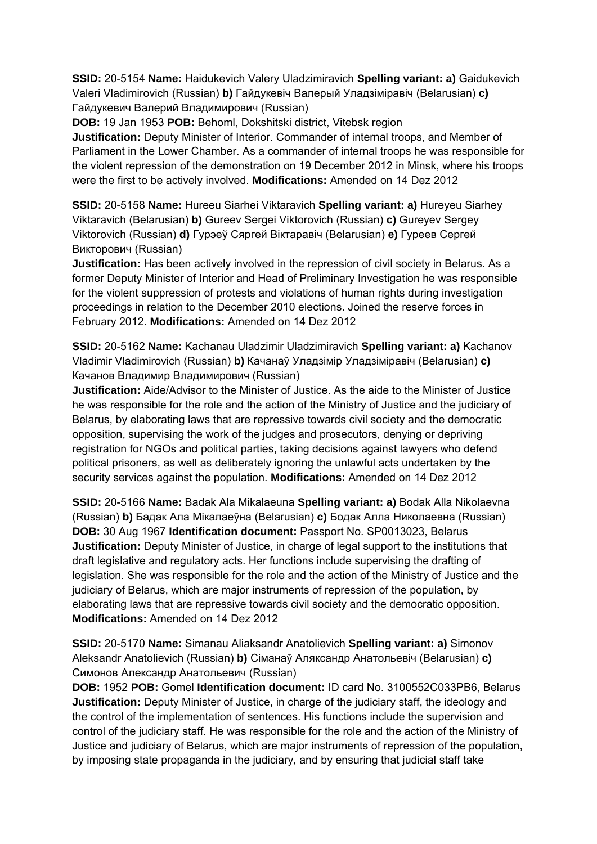**SSID:** 20-5154 **Name:** Haidukevich Valery Uladzimiravich **Spelling variant: a)** Gaidukevich Valeri Vladimirovich (Russian) **b)** Гайдукевіч Валерый Уладзіміравіч (Belarusian) **c)**  Гайдукевич Валерий Владимирович (Russian)

**DOB:** 19 Jan 1953 **POB:** Behoml, Dokshitski district, Vitebsk region **Justification:** Deputy Minister of Interior. Commander of internal troops, and Member of Parliament in the Lower Chamber. As a commander of internal troops he was responsible for the violent repression of the demonstration on 19 December 2012 in Minsk, where his troops were the first to be actively involved. **Modifications:** Amended on 14 Dez 2012

**SSID:** 20-5158 **Name:** Hureeu Siarhei Viktaravich **Spelling variant: a)** Hureyeu Siarhey Viktaravich (Belarusian) **b)** Gureev Sergei Viktorovich (Russian) **c)** Gureyev Sergey Viktorovich (Russian) **d)** Гурэеў Сяргей Віктаравіч (Belarusian) **e)** Гуреев Сергей Викторович (Russian)

**Justification:** Has been actively involved in the repression of civil society in Belarus. As a former Deputy Minister of Interior and Head of Preliminary Investigation he was responsible for the violent suppression of protests and violations of human rights during investigation proceedings in relation to the December 2010 elections. Joined the reserve forces in February 2012. **Modifications:** Amended on 14 Dez 2012

**SSID:** 20-5162 **Name:** Kachanau Uladzimir Uladzimiravich **Spelling variant: a)** Kachanov Vladimir Vladimirovich (Russian) **b)** Качанаў Уладзімір Уладзіміравіч (Belarusian) **c)**  Качанов Владимир Владимирович (Russian)

**Justification:** Aide/Advisor to the Minister of Justice. As the aide to the Minister of Justice he was responsible for the role and the action of the Ministry of Justice and the judiciary of Belarus, by elaborating laws that are repressive towards civil society and the democratic opposition, supervising the work of the judges and prosecutors, denying or depriving registration for NGOs and political parties, taking decisions against lawyers who defend political prisoners, as well as deliberately ignoring the unlawful acts undertaken by the security services against the population. **Modifications:** Amended on 14 Dez 2012

**SSID:** 20-5166 **Name:** Badak Ala Mikalaeuna **Spelling variant: a)** Bodak Alla Nikolaevna (Russian) **b)** Бадак Ала Мікалаеўна (Belarusian) **c)** Бодак Алла Николаевна (Russian) **DOB:** 30 Aug 1967 **Identification document:** Passport No. SP0013023, Belarus **Justification:** Deputy Minister of Justice, in charge of legal support to the institutions that draft legislative and regulatory acts. Her functions include supervising the drafting of legislation. She was responsible for the role and the action of the Ministry of Justice and the judiciary of Belarus, which are major instruments of repression of the population, by elaborating laws that are repressive towards civil society and the democratic opposition. **Modifications:** Amended on 14 Dez 2012

**SSID:** 20-5170 **Name:** Simanau Aliaksandr Anatolievich **Spelling variant: a)** Simonov Aleksandr Anatolievich (Russian) **b)** Сіманаў Аляксандр Анатольевіч (Belarusian) **c)**  Симонов Александр Анатольевич (Russian)

**DOB:** 1952 **POB:** Gomel **Identification document:** ID card No. 3100552C033PB6, Belarus **Justification:** Deputy Minister of Justice, in charge of the judiciary staff, the ideology and the control of the implementation of sentences. His functions include the supervision and control of the judiciary staff. He was responsible for the role and the action of the Ministry of Justice and judiciary of Belarus, which are major instruments of repression of the population, by imposing state propaganda in the judiciary, and by ensuring that judicial staff take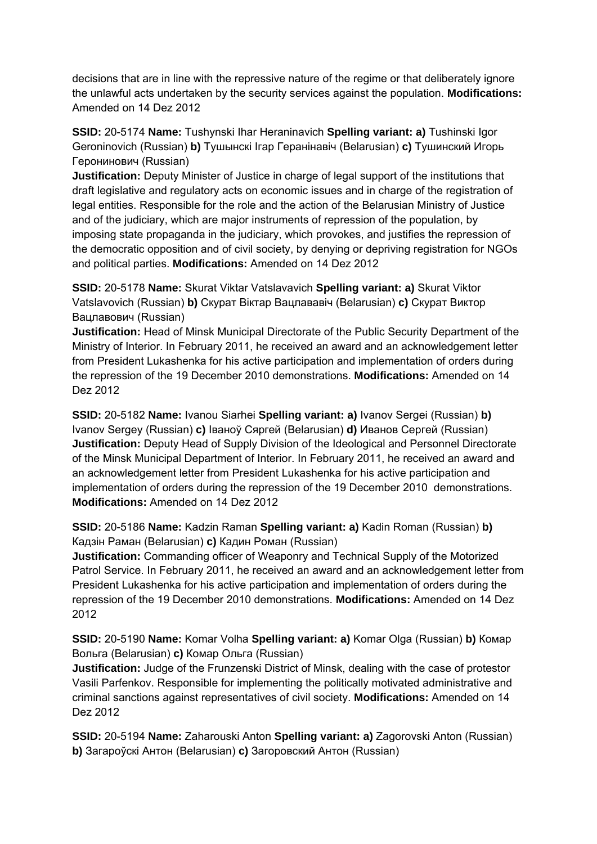decisions that are in line with the repressive nature of the regime or that deliberately ignore the unlawful acts undertaken by the security services against the population. **Modifications:**  Amended on 14 Dez 2012

**SSID:** 20-5174 **Name:** Tushynski Ihar Heraninavich **Spelling variant: a)** Tushinski Igor Geroninovich (Russian) **b)** Тушынскі Ігар Геранінавіч (Belarusian) **c)** Тушинский Игорь Геронинович (Russian)

**Justification:** Deputy Minister of Justice in charge of legal support of the institutions that draft legislative and regulatory acts on economic issues and in charge of the registration of legal entities. Responsible for the role and the action of the Belarusian Ministry of Justice and of the judiciary, which are major instruments of repression of the population, by imposing state propaganda in the judiciary, which provokes, and justifies the repression of the democratic opposition and of civil society, by denying or depriving registration for NGOs and political parties. **Modifications:** Amended on 14 Dez 2012

**SSID:** 20-5178 **Name:** Skurat Viktar Vatslavavich **Spelling variant: a)** Skurat Viktor Vatslavovich (Russian) **b)** Скурат Віктар Вацлавaвiч (Belarusian) **c)** Скурат Виктор Вацлавович (Russian)

**Justification:** Head of Minsk Municipal Directorate of the Public Security Department of the Ministry of Interior. In February 2011, he received an award and an acknowledgement letter from President Lukashenka for his active participation and implementation of orders during the repression of the 19 December 2010 demonstrations. **Modifications:** Amended on 14 Dez 2012

**SSID:** 20-5182 **Name:** Ivanou Siarhei **Spelling variant: a)** Ivanov Sergei (Russian) **b)**  Ivanov Sergey (Russian) **c)** Іваноў Сяргей (Belarusian) **d)** Иванов Сергей (Russian) **Justification:** Deputy Head of Supply Division of the Ideological and Personnel Directorate of the Minsk Municipal Department of Interior. In February 2011, he received an award and an acknowledgement letter from President Lukashenka for his active participation and implementation of orders during the repression of the 19 December 2010 demonstrations. **Modifications:** Amended on 14 Dez 2012

**SSID:** 20-5186 **Name:** Kadzin Raman **Spelling variant: a)** Kadin Roman (Russian) **b)**  Кадзін Раман (Belarusian) **c)** Кадин Роман (Russian)

**Justification:** Commanding officer of Weaponry and Technical Supply of the Motorized Patrol Service. In February 2011, he received an award and an acknowledgement letter from President Lukashenka for his active participation and implementation of orders during the repression of the 19 December 2010 demonstrations. **Modifications:** Amended on 14 Dez 2012

**SSID:** 20-5190 **Name:** Komar Volha **Spelling variant: a)** Komar Olga (Russian) **b)** Комар Вольга (Belarusian) **c)** Комар Ольга (Russian)

**Justification:** Judge of the Frunzenski District of Minsk, dealing with the case of protestor Vasili Parfenkov. Responsible for implementing the politically motivated administrative and criminal sanctions against representatives of civil society. **Modifications:** Amended on 14 Dez 2012

**SSID:** 20-5194 **Name:** Zaharouski Anton **Spelling variant: a)** Zagorovski Anton (Russian) **b)** Загароўскі Антон (Belarusian) **c)** Загоровский Антон (Russian)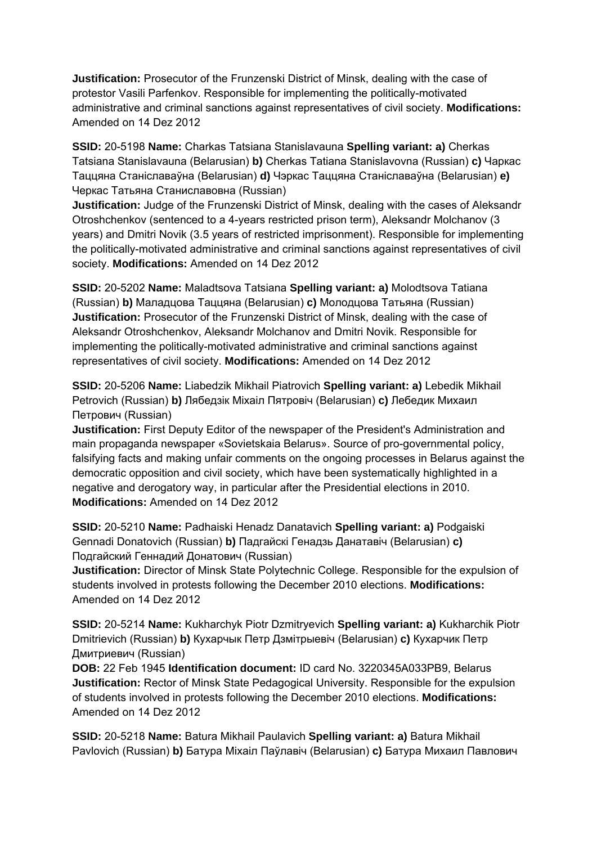**Justification:** Prosecutor of the Frunzenski District of Minsk, dealing with the case of protestor Vasili Parfenkov. Responsible for implementing the politically-motivated administrative and criminal sanctions against representatives of civil society. **Modifications:**  Amended on 14 Dez 2012

**SSID:** 20-5198 **Name:** Charkas Tatsiana Stanislavauna **Spelling variant: a)** Cherkas Tatsiana Stanislavauna (Belarusian) **b)** Cherkas Tatiana Stanislavovna (Russian) **c)** Чаркас Таццяна Станіславаўна (Belarusian) **d)** Чэркас Таццяна Станіславаўна (Belarusian) **e)**  Черкас Татьяна Станиславовна (Russian)

**Justification:** Judge of the Frunzenski District of Minsk, dealing with the cases of Aleksandr Otroshchenkov (sentenced to a 4-years restricted prison term), Aleksandr Molchanov (3 years) and Dmitri Novik (3.5 years of restricted imprisonment). Responsible for implementing the politically-motivated administrative and criminal sanctions against representatives of civil society. **Modifications:** Amended on 14 Dez 2012

**SSID:** 20-5202 **Name:** Maladtsova Tatsiana **Spelling variant: a)** Molodtsova Tatiana (Russian) **b)** Маладцова Таццяна (Belarusian) **c)** Молодцова Татьяна (Russian) **Justification:** Prosecutor of the Frunzenski District of Minsk, dealing with the case of Aleksandr Otroshchenkov, Aleksandr Molchanov and Dmitri Novik. Responsible for implementing the politically-motivated administrative and criminal sanctions against representatives of civil society. **Modifications:** Amended on 14 Dez 2012

**SSID:** 20-5206 **Name:** Liabedzik Mikhail Piatrovich **Spelling variant: a)** Lebedik Mikhail Petrovich (Russian) **b)** Лябедзiк Мiхаiл Пятровiч (Belarusian) **c)** Лебедик Михаил Петрович (Russian)

**Justification:** First Deputy Editor of the newspaper of the President's Administration and main propaganda newspaper «Sovietskaia Belarus». Source of pro-governmental policy, falsifying facts and making unfair comments on the ongoing processes in Belarus against the democratic opposition and civil society, which have been systematically highlighted in a negative and derogatory way, in particular after the Presidential elections in 2010. **Modifications:** Amended on 14 Dez 2012

**SSID:** 20-5210 **Name:** Padhaiski Henadz Danatavich **Spelling variant: a)** Podgaiski Gennadi Donatovich (Russian) **b)** Падгайскі Генадзь Данатавіч (Belarusian) **c)**  Подгайский Геннадий Донатович (Russian)

**Justification:** Director of Minsk State Polytechnic College. Responsible for the expulsion of students involved in protests following the December 2010 elections. **Modifications:**  Amended on 14 Dez 2012

**SSID:** 20-5214 **Name:** Kukharchyk Piotr Dzmitryevich **Spelling variant: a)** Kukharchik Piotr Dmitrievich (Russian) **b)** Кухарчык Петр Дзмітрыевіч (Belarusian) **c)** Кухарчик Петр Дмитриевич (Russian)

**DOB:** 22 Feb 1945 **Identification document:** ID card No. 3220345A033PB9, Belarus **Justification:** Rector of Minsk State Pedagogical University. Responsible for the expulsion of students involved in protests following the December 2010 elections. **Modifications:**  Amended on 14 Dez 2012

**SSID:** 20-5218 **Name:** Batura Mikhail Paulavich **Spelling variant: a)** Batura Mikhail Pavlovich (Russian) **b)** Батура Міхаіл Паўлавіч (Belarusian) **c)** Батура Михаил Павлович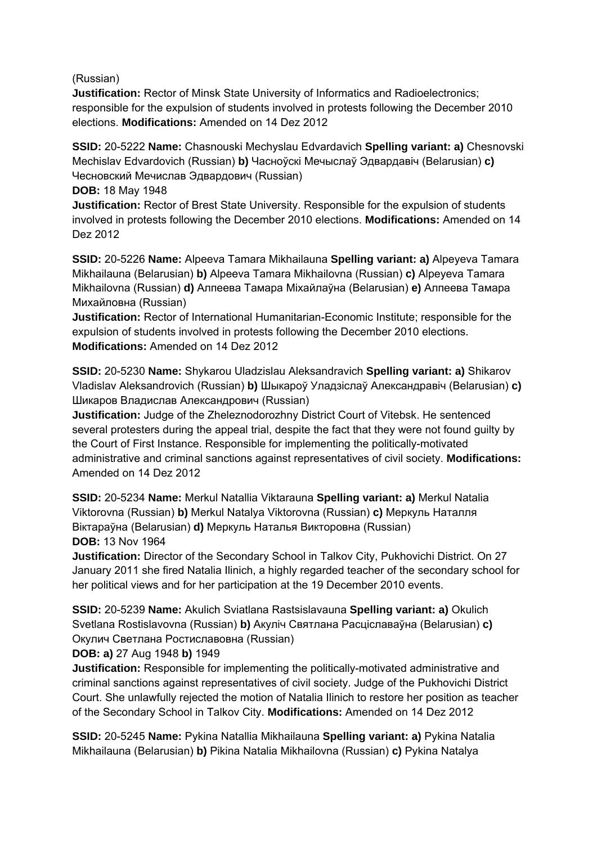(Russian)

**Justification:** Rector of Minsk State University of Informatics and Radioelectronics; responsible for the expulsion of students involved in protests following the December 2010 elections. **Modifications:** Amended on 14 Dez 2012

**SSID:** 20-5222 **Name:** Chasnouski Mechyslau Edvardavich **Spelling variant: a)** Chesnovski Mechislav Edvardovich (Russian) **b)** Часноўскі Мечыслаў Эдвардавіч (Belarusian) **c)**  Чесновский Мечислав Эдвардович (Russian)

**DOB:** 18 May 1948

**Justification:** Rector of Brest State University. Responsible for the expulsion of students involved in protests following the December 2010 elections. **Modifications:** Amended on 14 Dez 2012

**SSID:** 20-5226 **Name:** Alpeeva Tamara Mikhailauna **Spelling variant: a)** Alpeyeva Tamara Mikhailauna (Belarusian) **b)** Alpeeva Tamara Mikhailovna (Russian) **c)** Alpeyeva Tamara Mikhailovna (Russian) **d)** Алпеева Тамара Міхайлаўна (Belarusian) **e)** Алпеева Тамара Михайловна (Russian)

**Justification:** Rector of International Humanitarian-Economic Institute; responsible for the expulsion of students involved in protests following the December 2010 elections. **Modifications:** Amended on 14 Dez 2012

**SSID:** 20-5230 **Name:** Shykarou Uladzislau Aleksandravich **Spelling variant: a)** Shikarov Vladislav Aleksandrovich (Russian) **b)** Шыкароў Уладзіслаў Александравiч (Belarusian) **c)**  Шикаров Владислав Александрович (Russian)

**Justification:** Judge of the Zheleznodorozhny District Court of Vitebsk. He sentenced several protesters during the appeal trial, despite the fact that they were not found guilty by the Court of First Instance. Responsible for implementing the politically-motivated administrative and criminal sanctions against representatives of civil society. **Modifications:**  Amended on 14 Dez 2012

**SSID:** 20-5234 **Name:** Merkul Natallia Viktarauna **Spelling variant: a)** Merkul Natalia Viktorovna (Russian) **b)** Merkul Natalya Viktorovna (Russian) **c)** Меркуль Наталля Віктараўна (Belarusian) **d)** Меркуль Наталья Викторовна (Russian) **DOB:** 13 Nov 1964

**Justification:** Director of the Secondary School in Talkov City, Pukhovichi District. On 27 January 2011 she fired Natalia Ilinich, a highly regarded teacher of the secondary school for her political views and for her participation at the 19 December 2010 events.

**SSID:** 20-5239 **Name:** Akulich Sviatlana Rastsislavauna **Spelling variant: a)** Okulich Svetlana Rostislavovna (Russian) **b)** Акуліч Святлана Расціславаўна (Belarusian) **c)**  Окулич Светлана Ростиславовна (Russian)

**DOB: a)** 27 Aug 1948 **b)** 1949

**Justification:** Responsible for implementing the politically-motivated administrative and criminal sanctions against representatives of civil society. Judge of the Pukhovichi District Court. She unlawfully rejected the motion of Natalia Ilinich to restore her position as teacher of the Secondary School in Talkov City. **Modifications:** Amended on 14 Dez 2012

**SSID:** 20-5245 **Name:** Pykina Natallia Mikhailauna **Spelling variant: a)** Pykina Natalia Mikhailauna (Belarusian) **b)** Pikina Natalia Mikhailovna (Russian) **c)** Pykina Natalya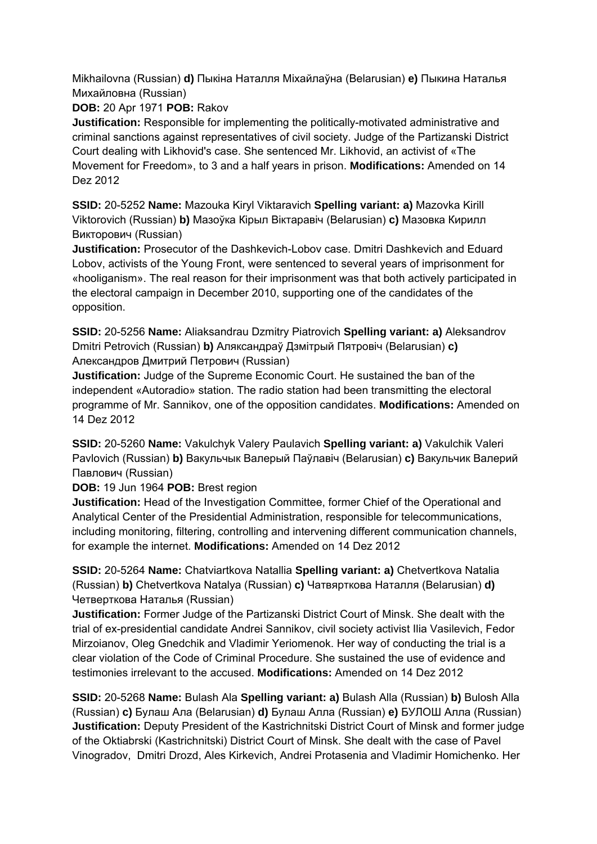Mikhailovna (Russian) **d)** Пыкіна Наталля Міхайлаўна (Belarusian) **e)** Пыкина Наталья Михайловна (Russian)

**DOB:** 20 Apr 1971 **POB:** Rakov

**Justification:** Responsible for implementing the politically-motivated administrative and criminal sanctions against representatives of civil society. Judge of the Partizanski District Court dealing with Likhovid's case. She sentenced Mr. Likhovid, an activist of «The Movement for Freedom», to 3 and a half years in prison. **Modifications:** Amended on 14 Dez 2012

**SSID:** 20-5252 **Name:** Mazouka Kiryl Viktaravich **Spelling variant: a)** Mazovka Kirill Viktorovich (Russian) **b)** Мазоўка Кiрыл Вiктаравiч (Belarusian) **c)** Мазовка Кирилл Викторович (Russian)

**Justification:** Prosecutor of the Dashkevich-Lobov case. Dmitri Dashkevich and Eduard Lobov, activists of the Young Front, were sentenced to several years of imprisonment for «hooliganism». The real reason for their imprisonment was that both actively participated in the electoral campaign in December 2010, supporting one of the candidates of the opposition.

**SSID:** 20-5256 **Name:** Aliaksandrau Dzmitry Piatrovich **Spelling variant: a)** Aleksandrov Dmitri Petrovich (Russian) **b)** Аляксандраў Дзмітрый Пятровіч (Belarusian) **c)**  Александров Дмитрий Петрович (Russian)

**Justification:** Judge of the Supreme Economic Court. He sustained the ban of the independent «Autoradio» station. The radio station had been transmitting the electoral programme of Mr. Sannikov, one of the opposition candidates. **Modifications:** Amended on 14 Dez 2012

**SSID:** 20-5260 **Name:** Vakulchyk Valery Paulavich **Spelling variant: a)** Vakulchik Valeri Pavlovich (Russian) **b)** Вакульчык Валерый Паўлавiч (Belarusian) **c)** Вакульчик Валерий Павлович (Russian)

**DOB:** 19 Jun 1964 **POB:** Brest region

**Justification:** Head of the Investigation Committee, former Chief of the Operational and Analytical Center of the Presidential Administration, responsible for telecommunications, including monitoring, filtering, controlling and intervening different communication channels, for example the internet. **Modifications:** Amended on 14 Dez 2012

**SSID:** 20-5264 **Name:** Chatviartkova Natallia **Spelling variant: a)** Chetvertkova Natalia (Russian) **b)** Chetvertkova Natalya (Russian) **c)** Чатвярткова Наталля (Belarusian) **d)**  Четверткова Наталья (Russian)

**Justification:** Former Judge of the Partizanski District Court of Minsk. She dealt with the trial of ex-presidential candidate Andrei Sannikov, civil society activist Ilia Vasilevich, Fedor Mirzoianov, Oleg Gnedchik and Vladimir Yeriomenok. Her way of conducting the trial is a clear violation of the Code of Criminal Procedure. She sustained the use of evidence and testimonies irrelevant to the accused. **Modifications:** Amended on 14 Dez 2012

**SSID:** 20-5268 **Name:** Bulash Ala **Spelling variant: a)** Bulash Alla (Russian) **b)** Bulosh Alla (Russian) **c)** Булаш Ала (Belarusian) **d)** Булаш Алла (Russian) **e)** БУЛОШ Алла (Russian) **Justification:** Deputy President of the Kastrichnitski District Court of Minsk and former judge of the Oktiabrski (Kastrichnitski) District Court of Minsk. She dealt with the case of Pavel Vinogradov, Dmitri Drozd, Ales Kirkevich, Andrei Protasenia and Vladimir Homichenko. Her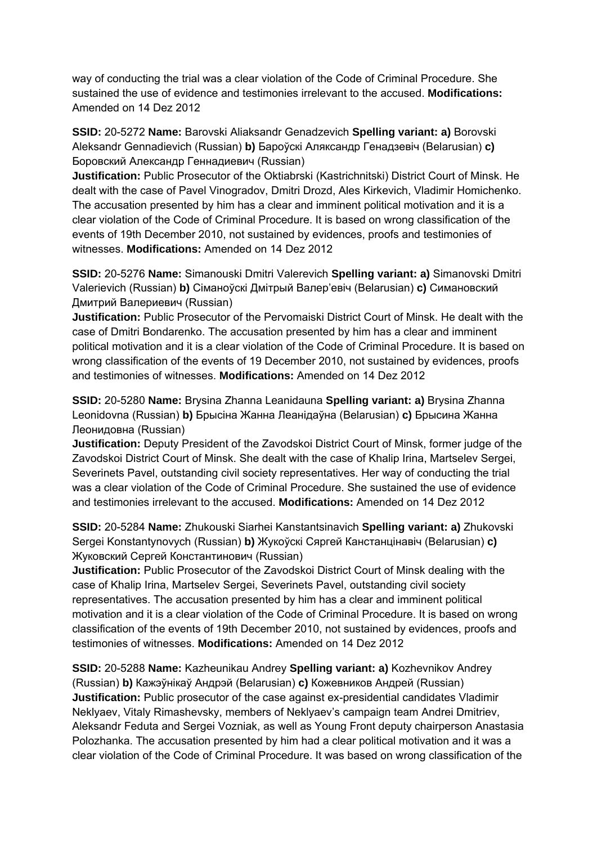way of conducting the trial was a clear violation of the Code of Criminal Procedure. She sustained the use of evidence and testimonies irrelevant to the accused. **Modifications:**  Amended on 14 Dez 2012

**SSID:** 20-5272 **Name:** Barovski Aliaksandr Genadzevich **Spelling variant: a)** Borovski Aleksandr Gennadievich (Russian) **b)** Бароўскі Аляксандр Генадзевіч (Belarusian) **c)**  Боровский Александр Геннадиевич (Russian)

**Justification:** Public Prosecutor of the Oktiabrski (Kastrichnitski) District Court of Minsk. He dealt with the case of Pavel Vinogradov, Dmitri Drozd, Ales Kirkevich, Vladimir Homichenko. The accusation presented by him has a clear and imminent political motivation and it is a clear violation of the Code of Criminal Procedure. It is based on wrong classification of the events of 19th December 2010, not sustained by evidences, proofs and testimonies of witnesses. **Modifications:** Amended on 14 Dez 2012

**SSID:** 20-5276 **Name:** Simanouski Dmitri Valerevich **Spelling variant: a)** Simanovski Dmitri Valerievich (Russian) **b)** Сіманоўскі Дмітрый Валер'евіч (Belarusian) **c)** Симановский Дмитрий Валериевич (Russian)

**Justification:** Public Prosecutor of the Pervomaiski District Court of Minsk. He dealt with the case of Dmitri Bondarenko. The accusation presented by him has a clear and imminent political motivation and it is a clear violation of the Code of Criminal Procedure. It is based on wrong classification of the events of 19 December 2010, not sustained by evidences, proofs and testimonies of witnesses. **Modifications:** Amended on 14 Dez 2012

**SSID:** 20-5280 **Name:** Brysina Zhanna Leanidauna **Spelling variant: a)** Brysina Zhanna Leonidovna (Russian) **b)** Брысіна Жанна Леанiдаўна (Belarusian) **c)** Брысина Жанна Леонидовнa (Russian)

**Justification:** Deputy President of the Zavodskoi District Court of Minsk, former judge of the Zavodskoi District Court of Minsk. She dealt with the case of Khalip Irina, Martselev Sergei, Severinets Pavel, outstanding civil society representatives. Her way of conducting the trial was a clear violation of the Code of Criminal Procedure. She sustained the use of evidence and testimonies irrelevant to the accused. **Modifications:** Amended on 14 Dez 2012

**SSID:** 20-5284 **Name:** Zhukouski Siarhei Kanstantsinavich **Spelling variant: a)** Zhukovski Sergei Konstantynovych (Russian) **b)** Жукоўскі Сяргей Канстанцінавіч (Belarusian) **c)**  Жуковский Сергей Константинович (Russian)

**Justification:** Public Prosecutor of the Zavodskoi District Court of Minsk dealing with the case of Khalip Irina, Martselev Sergei, Severinets Pavel, outstanding civil society representatives. The accusation presented by him has a clear and imminent political motivation and it is a clear violation of the Code of Criminal Procedure. It is based on wrong classification of the events of 19th December 2010, not sustained by evidences, proofs and testimonies of witnesses. **Modifications:** Amended on 14 Dez 2012

**SSID:** 20-5288 **Name:** Kazheunikau Andrey **Spelling variant: a)** Kozhevnikov Andrey (Russian) **b)** Кажэўнікаў Андрэй (Belarusian) **c)** Кожевников Андрей (Russian) **Justification:** Public prosecutor of the case against ex-presidential candidates Vladimir Neklyaev, Vitaly Rimashevsky, members of Neklyaev's campaign team Andrei Dmitriev, Aleksandr Feduta and Sergei Vozniak, as well as Young Front deputy chairperson Anastasia Polozhanka. The accusation presented by him had a clear political motivation and it was a clear violation of the Code of Criminal Procedure. It was based on wrong classification of the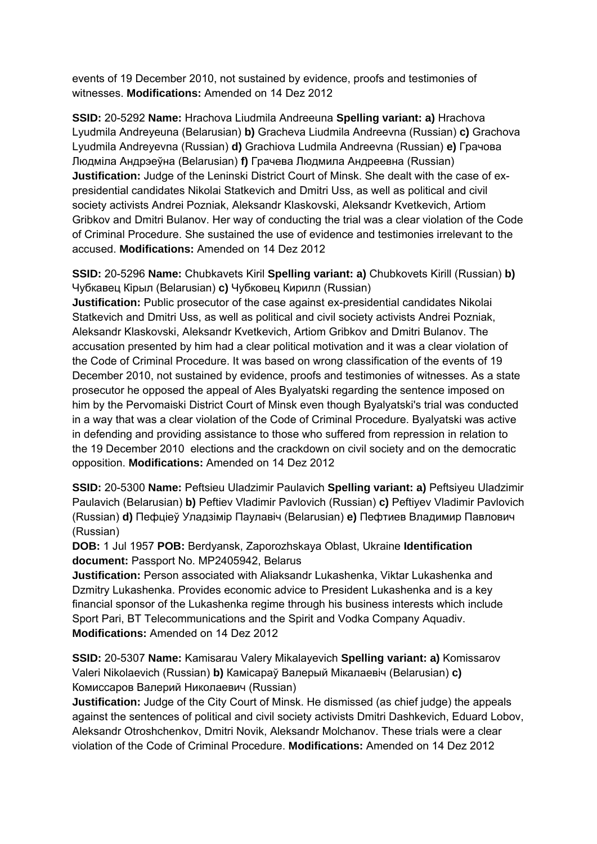events of 19 December 2010, not sustained by evidence, proofs and testimonies of witnesses. **Modifications:** Amended on 14 Dez 2012

**SSID:** 20-5292 **Name:** Hrachova Liudmila Andreeuna **Spelling variant: a)** Hrachova Lyudmila Andreyeuna (Belarusian) **b)** Gracheva Liudmila Andreevna (Russian) **c)** Grachova Lyudmila Andreyevna (Russian) **d)** Grachiova Ludmila Andreevna (Russian) **e)** Грачова Людміла Андрэеўна (Belarusian) **f)** Грачева Людмила Андреевна (Russian) **Justification:** Judge of the Leninski District Court of Minsk. She dealt with the case of expresidential candidates Nikolai Statkevich and Dmitri Uss, as well as political and civil society activists Andrei Pozniak, Aleksandr Klaskovski, Aleksandr Kvetkevich, Artiom Gribkov and Dmitri Bulanov. Her way of conducting the trial was a clear violation of the Code of Criminal Procedure. She sustained the use of evidence and testimonies irrelevant to the accused. **Modifications:** Amended on 14 Dez 2012

**SSID:** 20-5296 **Name:** Chubkavets Kiril **Spelling variant: a)** Chubkovets Kirill (Russian) **b)**  Чубкавец Кірыл (Belarusian) **c)** Чубковец Кирилл (Russian)

**Justification:** Public prosecutor of the case against ex-presidential candidates Nikolai Statkevich and Dmitri Uss, as well as political and civil society activists Andrei Pozniak, Aleksandr Klaskovski, Aleksandr Kvetkevich, Artiom Gribkov and Dmitri Bulanov. The accusation presented by him had a clear political motivation and it was a clear violation of the Code of Criminal Procedure. It was based on wrong classification of the events of 19 December 2010, not sustained by evidence, proofs and testimonies of witnesses. As a state prosecutor he opposed the appeal of Ales Byalyatski regarding the sentence imposed on him by the Pervomaiski District Court of Minsk even though Byalyatski's trial was conducted in a way that was a clear violation of the Code of Criminal Procedure. Byalyatski was active in defending and providing assistance to those who suffered from repression in relation to the 19 December 2010 elections and the crackdown on civil society and on the democratic opposition. **Modifications:** Amended on 14 Dez 2012

**SSID:** 20-5300 **Name:** Peftsieu Uladzimir Paulavich **Spelling variant: a)** Peftsiyeu Uladzimir Paulavich (Belarusian) **b)** Peftiev Vladimir Pavlovich (Russian) **c)** Peftiyev Vladimir Pavlovich (Russian) **d)** Пефціеў Уладзімір Паулавiч (Belarusian) **e)** Пефтиев Владимир Павлович (Russian)

**DOB:** 1 Jul 1957 **POB:** Berdyansk, Zaporozhskaya Oblast, Ukraine **Identification document:** Passport No. MP2405942, Belarus

**Justification:** Person associated with Aliaksandr Lukashenka, Viktar Lukashenka and Dzmitry Lukashenka. Provides economic advice to President Lukashenka and is a key financial sponsor of the Lukashenka regime through his business interests which include Sport Pari, BT Telecommunications and the Spirit and Vodka Company Aquadiv. **Modifications:** Amended on 14 Dez 2012

**SSID:** 20-5307 **Name:** Kamisarau Valery Mikalayevich **Spelling variant: a)** Komissarov Valeri Nikolaevich (Russian) **b)** Камісараў Валерый Мікалаевіч (Belarusian) **c)**  Комиссаров Валерий Николаевич (Russian)

**Justification:** Judge of the City Court of Minsk. He dismissed (as chief judge) the appeals against the sentences of political and civil society activists Dmitri Dashkevich, Eduard Lobov, Aleksandr Otroshchenkov, Dmitri Novik, Aleksandr Molchanov. These trials were a clear violation of the Code of Criminal Procedure. **Modifications:** Amended on 14 Dez 2012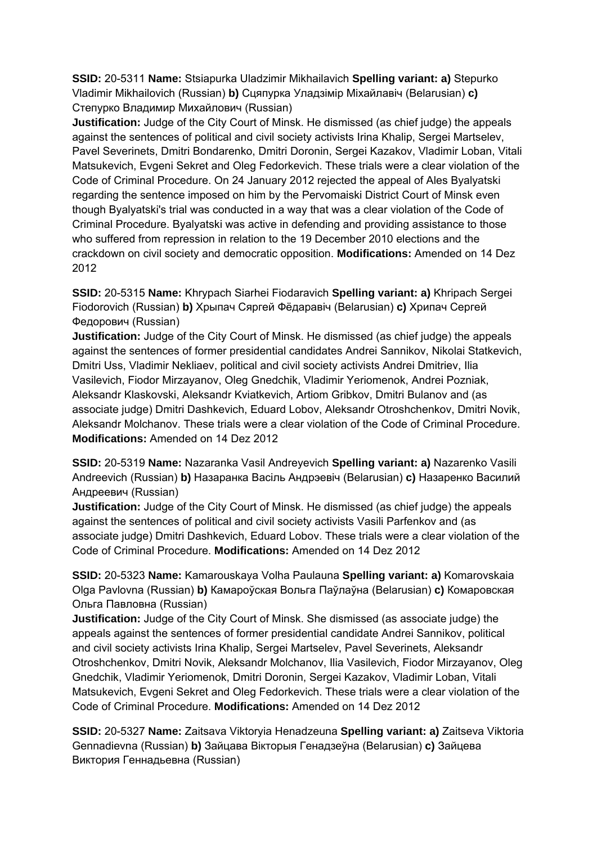**SSID:** 20-5311 **Name:** Stsiapurka Uladzimir Mikhailavich **Spelling variant: a)** Stepurko Vladimir Mikhailovich (Russian) **b)** Сцяпурка Уладзімір Міхайлавіч (Belarusian) **c)**  Степурко Владимир Михайлович (Russian)

**Justification:** Judge of the City Court of Minsk. He dismissed (as chief judge) the appeals against the sentences of political and civil society activists Irina Khalip, Sergei Martselev, Pavel Severinets, Dmitri Bondarenko, Dmitri Doronin, Sergei Kazakov, Vladimir Loban, Vitali Matsukevich, Evgeni Sekret and Oleg Fedorkevich. These trials were a clear violation of the Code of Criminal Procedure. On 24 January 2012 rejected the appeal of Ales Byalyatski regarding the sentence imposed on him by the Pervomaiski District Court of Minsk even though Byalyatski's trial was conducted in a way that was a clear violation of the Code of Criminal Procedure. Byalyatski was active in defending and providing assistance to those who suffered from repression in relation to the 19 December 2010 elections and the crackdown on civil society and democratic opposition. **Modifications:** Amended on 14 Dez 2012

**SSID:** 20-5315 **Name:** Khrypach Siarhei Fiodaravich **Spelling variant: a)** Khripach Sergei Fiodorovich (Russian) **b)** Хрыпач Сяргей Фёдаравіч (Belarusian) **c)** Хрипач Сергей Федорович (Russian)

**Justification:** Judge of the City Court of Minsk. He dismissed (as chief judge) the appeals against the sentences of former presidential candidates Andrei Sannikov, Nikolai Statkevich, Dmitri Uss, Vladimir Nekliaev, political and civil society activists Andrei Dmitriev, Ilia Vasilevich, Fiodor Mirzayanov, Oleg Gnedchik, Vladimir Yeriomenok, Andrei Pozniak, Aleksandr Klaskovski, Aleksandr Kviatkevich, Artiom Gribkov, Dmitri Bulanov and (as associate judge) Dmitri Dashkevich, Eduard Lobov, Aleksandr Otroshchenkov, Dmitri Novik, Aleksandr Molchanov. These trials were a clear violation of the Code of Criminal Procedure. **Modifications:** Amended on 14 Dez 2012

**SSID:** 20-5319 **Name:** Nazaranka Vasil Andreyevich **Spelling variant: a)** Nazarenko Vasili Andreevich (Russian) **b)** Назаранка Васіль Андрэевіч (Belarusian) **c)** Назаренко Василий Андреевич (Russian)

**Justification:** Judge of the City Court of Minsk. He dismissed (as chief judge) the appeals against the sentences of political and civil society activists Vasili Parfenkov and (as associate judge) Dmitri Dashkevich, Eduard Lobov. These trials were a clear violation of the Code of Criminal Procedure. **Modifications:** Amended on 14 Dez 2012

**SSID:** 20-5323 **Name:** Kamarouskaya Volha Paulauna **Spelling variant: a)** Komarovskaia Olga Pavlovna (Russian) **b)** Камароўская Вольга Паўлаўна (Belarusian) **c)** Комаровская Ольга Павловна (Russian)

**Justification:** Judge of the City Court of Minsk. She dismissed (as associate judge) the appeals against the sentences of former presidential candidate Andrei Sannikov, political and civil society activists Irina Khalip, Sergei Martselev, Pavel Severinets, Aleksandr Otroshchenkov, Dmitri Novik, Aleksandr Molchanov, Ilia Vasilevich, Fiodor Mirzayanov, Oleg Gnedchik, Vladimir Yeriomenok, Dmitri Doronin, Sergei Kazakov, Vladimir Loban, Vitali Matsukevich, Evgeni Sekret and Oleg Fedorkevich. These trials were a clear violation of the Code of Criminal Procedure. **Modifications:** Amended on 14 Dez 2012

**SSID:** 20-5327 **Name:** Zaitsava Viktoryia Henadzeuna **Spelling variant: a)** Zaitseva Viktoria Gennadievna (Russian) **b)** Зайцава Вікторыя Генадзеўна (Belarusian) **c)** Зайцева Виктория Геннадьевна (Russian)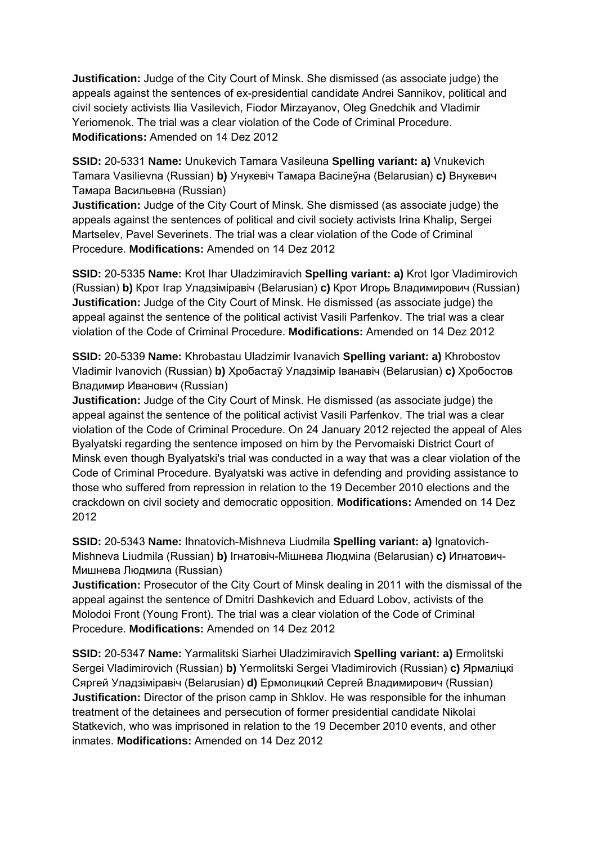**Justification:** Judge of the City Court of Minsk. She dismissed (as associate judge) the appeals against the sentences of ex-presidential candidate Andrei Sannikov, political and civil society activists Ilia Vasilevich, Fiodor Mirzayanov, Oleg Gnedchik and Vladimir Yeriomenok. The trial was a clear violation of the Code of Criminal Procedure. **Modifications:** Amended on 14 Dez 2012

**SSID:** 20-5331 **Name:** Unukevich Tamara Vasileuna **Spelling variant: a)** Vnukevich Tamara Vasilievna (Russian) **b)** Унукевіч Тамара Васілеўна (Belarusian) **c)** Внукевич Тамара Васильевна (Russian)

**Justification:** Judge of the City Court of Minsk. She dismissed (as associate judge) the appeals against the sentences of political and civil society activists Irina Khalip, Sergei Martselev, Pavel Severinets. The trial was a clear violation of the Code of Criminal Procedure. **Modifications:** Amended on 14 Dez 2012

**SSID:** 20-5335 **Name:** Krot Ihar Uladzimiravich **Spelling variant: a)** Krot Igor Vladimirovich (Russian) **b)** Крот Ігар Уладзіміравіч (Belarusian) **c)** Крот Игорь Владимирович (Russian) **Justification:** Judge of the City Court of Minsk. He dismissed (as associate judge) the appeal against the sentence of the political activist Vasili Parfenkov. The trial was a clear violation of the Code of Criminal Procedure. **Modifications:** Amended on 14 Dez 2012

**SSID:** 20-5339 **Name:** Khrobastau Uladzimir Ivanavich **Spelling variant: a)** Khrobostov Vladimir Ivanovich (Russian) **b)** Хробастаў Уладзімір Іванавіч (Belarusian) **c)** Хробостов Владимир Иванович (Russian)

**Justification:** Judge of the City Court of Minsk. He dismissed (as associate judge) the appeal against the sentence of the political activist Vasili Parfenkov. The trial was a clear violation of the Code of Criminal Procedure. On 24 January 2012 rejected the appeal of Ales Byalyatski regarding the sentence imposed on him by the Pervomaiski District Court of Minsk even though Byalyatski's trial was conducted in a way that was a clear violation of the Code of Criminal Procedure. Byalyatski was active in defending and providing assistance to those who suffered from repression in relation to the 19 December 2010 elections and the crackdown on civil society and democratic opposition. **Modifications:** Amended on 14 Dez 2012

**SSID:** 20-5343 **Name:** Ihnatovich-Mishneva Liudmila **Spelling variant: a)** Ignatovich-Mishneva Liudmila (Russian) **b)** Ігнатовіч-Мішнева Людміла (Belarusian) **c)** Игнатович-Мишнева Людмила (Russian)

**Justification:** Prosecutor of the City Court of Minsk dealing in 2011 with the dismissal of the appeal against the sentence of Dmitri Dashkevich and Eduard Lobov, activists of the Molodoi Front (Young Front). The trial was a clear violation of the Code of Criminal Procedure. **Modifications:** Amended on 14 Dez 2012

**SSID:** 20-5347 **Name:** Yarmalitski Siarhei Uladzimiravich **Spelling variant: a)** Ermolitski Sergei Vladimirovich (Russian) **b)** Yermolitski Sergei Vladimirovich (Russian) **c)** Ярмаліцкі Сяргей Уладзіміравіч (Belarusian) **d)** Ермолицкий Сергей Владимирович (Russian) **Justification:** Director of the prison camp in Shklov. He was responsible for the inhuman treatment of the detainees and persecution of former presidential candidate Nikolai Statkevich, who was imprisoned in relation to the 19 December 2010 events, and other inmates. **Modifications:** Amended on 14 Dez 2012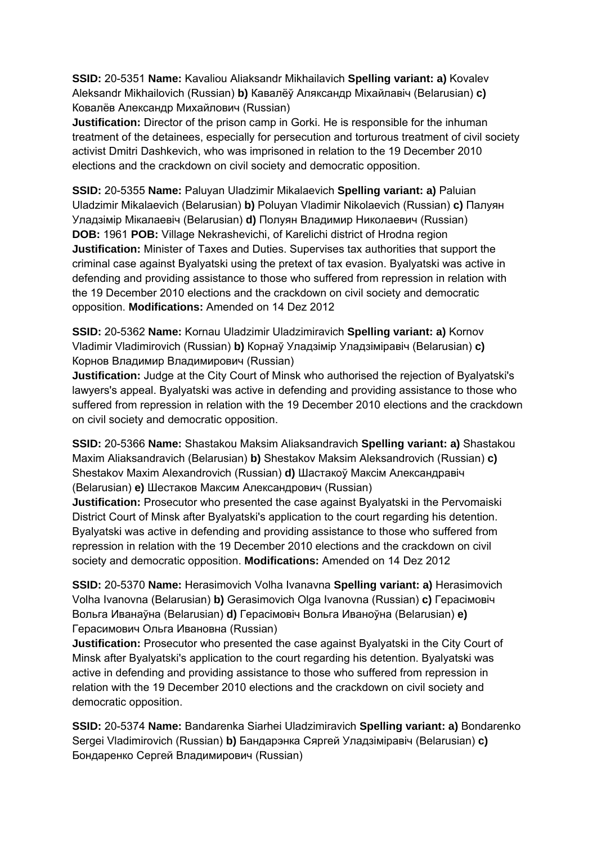**SSID:** 20-5351 **Name:** Kavaliou Aliaksandr Mikhailavich **Spelling variant: a)** Kovalev Aleksandr Mikhailovich (Russian) **b)** Кавалёў Аляксандр Міхайлавіч (Belarusian) **c)**  Ковалёв Александр Михайлович (Russian)

**Justification:** Director of the prison camp in Gorki. He is responsible for the inhuman treatment of the detainees, especially for persecution and torturous treatment of civil society activist Dmitri Dashkevich, who was imprisoned in relation to the 19 December 2010 elections and the crackdown on civil society and democratic opposition.

**SSID:** 20-5355 **Name:** Paluyan Uladzimir Mikalaevich **Spelling variant: a)** Paluian Uladzimir Mikalaevich (Belarusian) **b)** Poluyan Vladimir Nikolaevich (Russian) **c)** Палуян Уладзімір Мікалаевіч (Belarusian) **d)** Полуян Владимир Николаевич (Russian) **DOB:** 1961 **POB:** Village Nekrashevichi, of Karelichi district of Hrodna region **Justification:** Minister of Taxes and Duties. Supervises tax authorities that support the criminal case against Byalyatski using the pretext of tax evasion. Byalyatski was active in defending and providing assistance to those who suffered from repression in relation with the 19 December 2010 elections and the crackdown on civil society and democratic opposition. **Modifications:** Amended on 14 Dez 2012

**SSID:** 20-5362 **Name:** Kornau Uladzimir Uladzimiravich **Spelling variant: a)** Kornov Vladimir Vladimirovich (Russian) **b)** Корнаў Уладзімір Уладзіміравіч (Belarusian) **c)**  Корнов Владимир Владимирович (Russian)

**Justification:** Judge at the City Court of Minsk who authorised the rejection of Byalyatski's lawyers's appeal. Byalyatski was active in defending and providing assistance to those who suffered from repression in relation with the 19 December 2010 elections and the crackdown on civil society and democratic opposition.

**SSID:** 20-5366 **Name:** Shastakou Maksim Aliaksandravich **Spelling variant: a)** Shastakou Maxim Aliaksandravich (Belarusian) **b)** Shestakov Maksim Aleksandrovich (Russian) **c)**  Shestakov Maxim Alexandrovich (Russian) **d)** Шастакоў Максім Александравіч (Belarusian) **e)** Шестаков Максим Александрович (Russian)

**Justification:** Prosecutor who presented the case against Byalyatski in the Pervomaiski District Court of Minsk after Byalyatski's application to the court regarding his detention. Byalyatski was active in defending and providing assistance to those who suffered from repression in relation with the 19 December 2010 elections and the crackdown on civil society and democratic opposition. **Modifications:** Amended on 14 Dez 2012

**SSID:** 20-5370 **Name:** Herasimovich Volha Ivanavna **Spelling variant: a)** Herasimovich Volha Ivanovna (Belarusian) **b)** Gerasimovich Olga Ivanovna (Russian) **c)** Герасімовіч Вольга Иванаўна (Belarusian) **d)** Герасімовіч Вольга Иваноўна (Belarusian) **e)**  Герасимович Ольга Ивановна (Russian)

**Justification:** Prosecutor who presented the case against Byalyatski in the City Court of Minsk after Byalyatski's application to the court regarding his detention. Byalyatski was active in defending and providing assistance to those who suffered from repression in relation with the 19 December 2010 elections and the crackdown on civil society and democratic opposition.

**SSID:** 20-5374 **Name:** Bandarenka Siarhei Uladzimiravich **Spelling variant: a)** Bondarenko Sergei Vladimirovich (Russian) **b)** Бандарэнка Сяргей Уладзіміравіч (Belarusian) **c)**  Бондаренко Сергей Владимирович (Russian)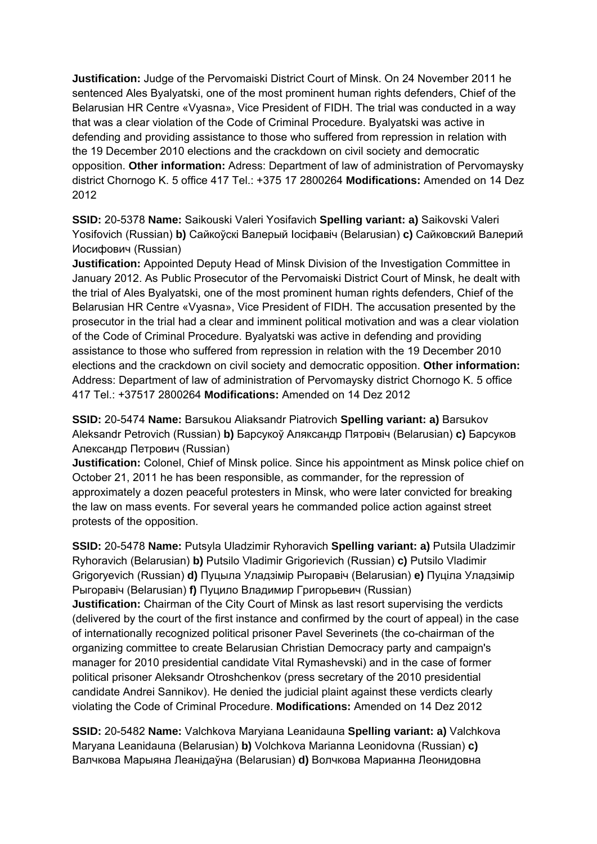**Justification:** Judge of the Pervomaiski District Court of Minsk. On 24 November 2011 he sentenced Ales Byalyatski, one of the most prominent human rights defenders, Chief of the Belarusian HR Centre «Vyasna», Vice President of FIDH. The trial was conducted in a way that was a clear violation of the Code of Criminal Procedure. Byalyatski was active in defending and providing assistance to those who suffered from repression in relation with the 19 December 2010 elections and the crackdown on civil society and democratic opposition. **Other information:** Adress: Department of law of administration of Pervomaysky district Chornogo K. 5 office 417 Tel.: +375 17 2800264 **Modifications:** Amended on 14 Dez 2012

**SSID:** 20-5378 **Name:** Saikouski Valeri Yosifavich **Spelling variant: a)** Saikovski Valeri Yosifovich (Russian) **b)** Сайкоўскі Валерый Іосіфавіч (Belarusian) **c)** Сайковский Валерий Иосифович (Russian)

**Justification:** Appointed Deputy Head of Minsk Division of the Investigation Committee in January 2012. As Public Prosecutor of the Pervomaiski District Court of Minsk, he dealt with the trial of Ales Byalyatski, one of the most prominent human rights defenders, Chief of the Belarusian HR Centre «Vyasna», Vice President of FIDH. The accusation presented by the prosecutor in the trial had a clear and imminent political motivation and was a clear violation of the Code of Criminal Procedure. Byalyatski was active in defending and providing assistance to those who suffered from repression in relation with the 19 December 2010 elections and the crackdown on civil society and democratic opposition. **Other information:** Address: Department of law of administration of Pervomaysky district Chornogo K. 5 office 417 Tel.: +37517 2800264 **Modifications:** Amended on 14 Dez 2012

**SSID:** 20-5474 **Name:** Barsukou Aliaksandr Piatrovich **Spelling variant: a)** Barsukov Aleksandr Petrovich (Russian) **b)** Барсукоў Аляксандр Пятровіч (Belarusian) **c)** Барсуков Александр Петрович (Russian)

**Justification:** Colonel, Chief of Minsk police. Since his appointment as Minsk police chief on October 21, 2011 he has been responsible, as commander, for the repression of approximately a dozen peaceful protesters in Minsk, who were later convicted for breaking the law on mass events. For several years he commanded police action against street protests of the opposition.

**SSID:** 20-5478 **Name:** Putsyla Uladzimir Ryhoravich **Spelling variant: a)** Putsila Uladzimir Ryhoravich (Belarusian) **b)** Putsilo Vladimir Grigorievich (Russian) **c)** Putsilo Vladimir Grigoryevich (Russian) **d)** Пуцыла Уладзімір Рыгоравіч (Belarusian) **e)** Пуціла Уладзімір Рыгоравіч (Belarusian) **f)** Пуцило Владимир Григорьевич (Russian)

**Justification:** Chairman of the City Court of Minsk as last resort supervising the verdicts (delivered by the court of the first instance and confirmed by the court of appeal) in the case of internationally recognized political prisoner Pavel Severinets (the co-chairman of the organizing committee to create Belarusian Christian Democracy party and campaign's manager for 2010 presidential candidate Vital Rymashevski) and in the case of former political prisoner Aleksandr Otroshchenkov (press secretary of the 2010 presidential candidate Andrei Sannikov). He denied the judicial plaint against these verdicts clearly violating the Code of Criminal Procedure. **Modifications:** Amended on 14 Dez 2012

**SSID:** 20-5482 **Name:** Valchkova Maryiana Leanidauna **Spelling variant: a)** Valchkova Maryana Leanidauna (Belarusian) **b)** Volchkova Marianna Leonidovna (Russian) **c)**  Валчкова Марыяна Леанідаўна (Belarusian) **d)** Волчкова Марианна Леонидовна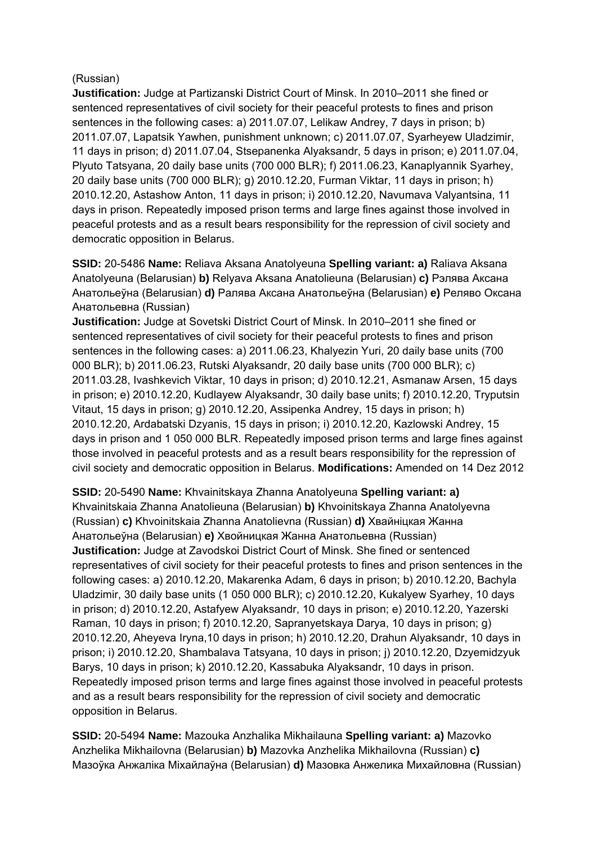### (Russian)

**Justification:** Judge at Partizanski District Court of Minsk. In 2010–2011 she fined or sentenced representatives of civil society for their peaceful protests to fines and prison sentences in the following cases: a) 2011.07.07, Lelikaw Andrey, 7 days in prison; b) 2011.07.07, Lapatsik Yawhen, punishment unknown; c) 2011.07.07, Syarheyew Uladzimir, 11 days in prison; d) 2011.07.04, Stsepanenka Alyaksandr, 5 days in prison; e) 2011.07.04, Plyuto Tatsyana, 20 daily base units (700 000 BLR); f) 2011.06.23, Kanaplyannik Syarhey, 20 daily base units (700 000 BLR); g) 2010.12.20, Furman Viktar, 11 days in prison; h) 2010.12.20, Astashow Anton, 11 days in prison; i) 2010.12.20, Navumava Valyantsina, 11 days in prison. Repeatedly imposed prison terms and large fines against those involved in peaceful protests and as a result bears responsibility for the repression of civil society and democratic opposition in Belarus.

**SSID:** 20-5486 **Name:** Reliava Aksana Anatolyeuna **Spelling variant: a)** Raliava Aksana Anatolyeuna (Belarusian) **b)** Relyava Aksana Anatolieuna (Belarusian) **c)** Рэлява Аксана Анатольеўна (Belarusian) **d)** Ралява Аксана Анатольеўна (Belarusian) **e)** Реляво Оксана Анатольевна (Russian)

**Justification:** Judge at Sovetski District Court of Minsk. In 2010–2011 she fined or sentenced representatives of civil society for their peaceful protests to fines and prison sentences in the following cases: a) 2011.06.23, Khalyezin Yuri, 20 daily base units (700 000 BLR); b) 2011.06.23, Rutski Alyaksandr, 20 daily base units (700 000 BLR); c) 2011.03.28, Ivashkevich Viktar, 10 days in prison; d) 2010.12.21, Asmanaw Arsen, 15 days in prison; e) 2010.12.20, Kudlayew Alyaksandr, 30 daily base units; f) 2010.12.20, Tryputsin Vitaut, 15 days in prison; g) 2010.12.20, Assipenka Andrey, 15 days in prison; h) 2010.12.20, Ardabatski Dzyanis, 15 days in prison; i) 2010.12.20, Kazlowski Andrey, 15 days in prison and 1 050 000 BLR. Repeatedly imposed prison terms and large fines against those involved in peaceful protests and as a result bears responsibility for the repression of civil society and democratic opposition in Belarus. **Modifications:** Amended on 14 Dez 2012

**SSID:** 20-5490 **Name:** Khvainitskaya Zhanna Anatolyeuna **Spelling variant: a)**  Khvainitskaia Zhanna Anatolieuna (Belarusian) **b)** Khvoinitskaya Zhanna Anatolyevna (Russian) **c)** Khvoinitskaia Zhanna Anatolievna (Russian) **d)** Хвайніцкая Жанна Анатольеўна (Belarusian) **e)** Хвойницкая Жанна Анатольевна (Russian) **Justification:** Judge at Zavodskoi District Court of Minsk. She fined or sentenced representatives of civil society for their peaceful protests to fines and prison sentences in the following cases: a) 2010.12.20, Makarenka Adam, 6 days in prison; b) 2010.12.20, Bachyla Uladzimir, 30 daily base units (1 050 000 BLR); c) 2010.12.20, Kukalyew Syarhey, 10 days in prison; d) 2010.12.20, Astafyew Alyaksandr, 10 days in prison; e) 2010.12.20, Yazerski Raman, 10 days in prison; f) 2010.12.20, Sapranyetskaya Darya, 10 days in prison; g) 2010.12.20, Aheyeva Iryna,10 days in prison; h) 2010.12.20, Drahun Alyaksandr, 10 days in prison; i) 2010.12.20, Shambalava Tatsyana, 10 days in prison; j) 2010.12.20, Dzyemidzyuk Barys, 10 days in prison; k) 2010.12.20, Kassabuka Alyaksandr, 10 days in prison. Repeatedly imposed prison terms and large fines against those involved in peaceful protests and as a result bears responsibility for the repression of civil society and democratic opposition in Belarus.

**SSID:** 20-5494 **Name:** Mazouka Anzhalika Mikhailauna **Spelling variant: a)** Mazovko Anzhelika Mikhailovna (Belarusian) **b)** Mazovka Anzhelika Mikhailovna (Russian) **c)**  Мазоўка Анжаліка Міхайлаўна (Belarusian) **d)** Мазовка Анжелика Михайловна (Russian)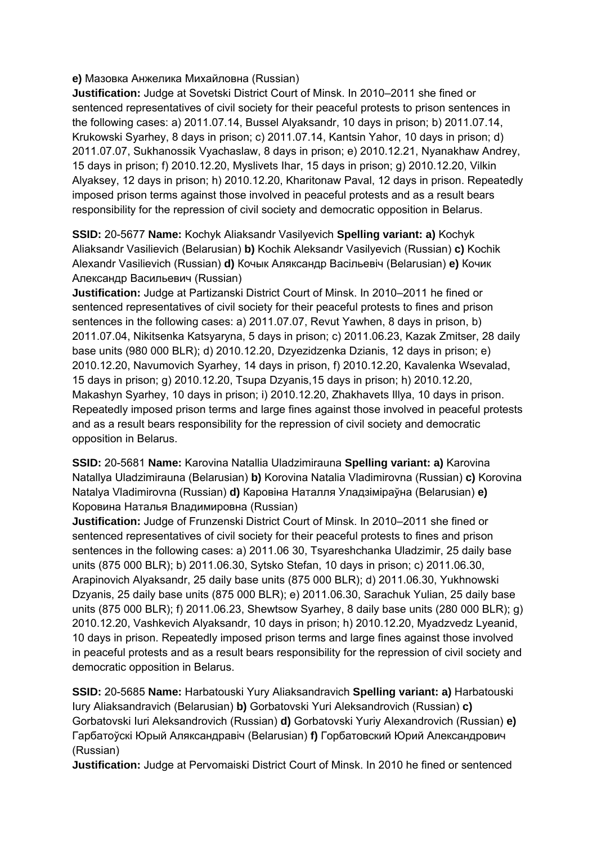### **e)** Мазовка Анжелика Михайловна (Russian)

**Justification:** Judge at Sovetski District Court of Minsk. In 2010–2011 she fined or sentenced representatives of civil society for their peaceful protests to prison sentences in the following cases: a) 2011.07.14, Bussel Alyaksandr, 10 days in prison; b) 2011.07.14, Krukowski Syarhey, 8 days in prison; c) 2011.07.14, Kantsin Yahor, 10 days in prison; d) 2011.07.07, Sukhanossik Vyachaslaw, 8 days in prison; e) 2010.12.21, Nyanakhaw Andrey, 15 days in prison; f) 2010.12.20, Myslivets Ihar, 15 days in prison; g) 2010.12.20, Vilkin Alyaksey, 12 days in prison; h) 2010.12.20, Kharitonaw Paval, 12 days in prison. Repeatedly imposed prison terms against those involved in peaceful protests and as a result bears responsibility for the repression of civil society and democratic opposition in Belarus.

**SSID:** 20-5677 **Name:** Kochyk Aliaksandr Vasilyevich **Spelling variant: a)** Kochyk Aliaksandr Vasilievich (Belarusian) **b)** Kochik Aleksandr Vasilyevich (Russian) **c)** Kochik Alexandr Vasilievich (Russian) **d)** Кочык Аляксандр Васільевіч (Belarusian) **e)** Кочик Александр Васильевич (Russian)

**Justification:** Judge at Partizanski District Court of Minsk. In 2010–2011 he fined or sentenced representatives of civil society for their peaceful protests to fines and prison sentences in the following cases: a) 2011.07.07, Revut Yawhen, 8 days in prison, b) 2011.07.04, Nikitsenka Katsyaryna, 5 days in prison; c) 2011.06.23, Kazak Zmitser, 28 daily base units (980 000 BLR); d) 2010.12.20, Dzyezidzenka Dzianis, 12 days in prison; e) 2010.12.20, Navumovich Syarhey, 14 days in prison, f) 2010.12.20, Kavalenka Wsevalad, 15 days in prison; g) 2010.12.20, Tsupa Dzyanis,15 days in prison; h) 2010.12.20, Makashyn Syarhey, 10 days in prison; i) 2010.12.20, Zhakhavets Illya, 10 days in prison. Repeatedly imposed prison terms and large fines against those involved in peaceful protests and as a result bears responsibility for the repression of civil society and democratic opposition in Belarus.

**SSID:** 20-5681 **Name:** Karovina Natallia Uladzimirauna **Spelling variant: a)** Karovina Natallya Uladzimirauna (Belarusian) **b)** Korovina Natalia Vladimirovna (Russian) **c)** Korovina Natalya Vladimirovna (Russian) **d)** Каровіна Наталля Уладзіміраўна (Belarusian) **e)**  Коровина Наталья Владимировна (Russian)

**Justification:** Judge of Frunzenski District Court of Minsk. In 2010–2011 she fined or sentenced representatives of civil society for their peaceful protests to fines and prison sentences in the following cases: a) 2011.06 30, Tsyareshchanka Uladzimir, 25 daily base units (875 000 BLR); b) 2011.06.30, Sytsko Stefan, 10 days in prison; c) 2011.06.30, Arapinovich Alyaksandr, 25 daily base units (875 000 BLR); d) 2011.06.30, Yukhnowski Dzyanis, 25 daily base units (875 000 BLR); e) 2011.06.30, Sarachuk Yulian, 25 daily base units (875 000 BLR); f) 2011.06.23, Shewtsow Syarhey, 8 daily base units (280 000 BLR); g) 2010.12.20, Vashkevich Alyaksandr, 10 days in prison; h) 2010.12.20, Myadzvedz Lyeanid, 10 days in prison. Repeatedly imposed prison terms and large fines against those involved in peaceful protests and as a result bears responsibility for the repression of civil society and democratic opposition in Belarus.

**SSID:** 20-5685 **Name:** Harbatouski Yury Aliaksandravich **Spelling variant: a)** Harbatouski Iury Aliaksandravich (Belarusian) **b)** Gorbatovski Yuri Aleksandrovich (Russian) **c)**  Gorbatovski Iuri Aleksandrovich (Russian) **d)** Gorbatovski Yuriy Alexandrovich (Russian) **e)**  Гарбатоўскі Юрый Аляксандравіч (Belarusian) **f)** Горбатовский Юрий Александрович (Russian)

**Justification:** Judge at Pervomaiski District Court of Minsk. In 2010 he fined or sentenced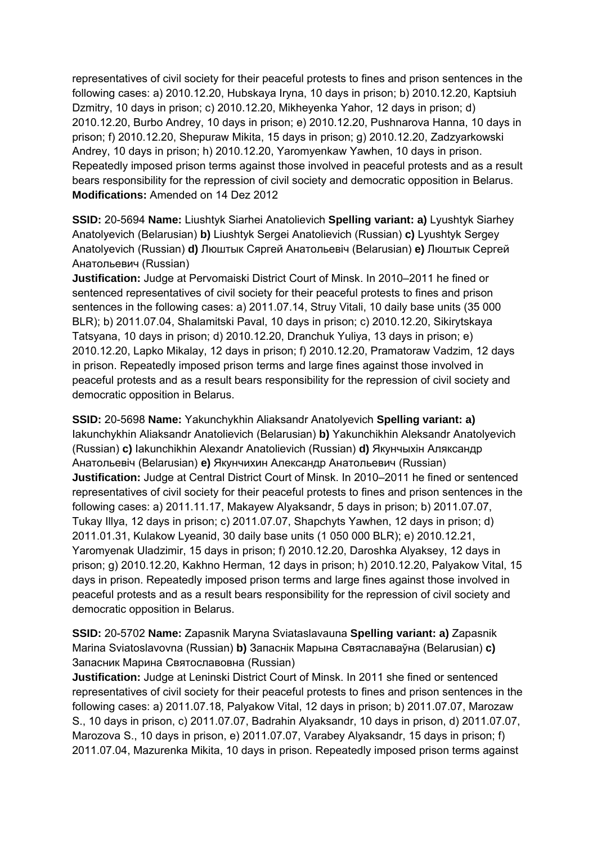representatives of civil society for their peaceful protests to fines and prison sentences in the following cases: a) 2010.12.20, Hubskaya Iryna, 10 days in prison; b) 2010.12.20, Kaptsiuh Dzmitry, 10 days in prison; c) 2010.12.20, Mikheyenka Yahor, 12 days in prison; d) 2010.12.20, Burbo Andrey, 10 days in prison; e) 2010.12.20, Pushnarova Hanna, 10 days in prison; f) 2010.12.20, Shepuraw Mikita, 15 days in prison; g) 2010.12.20, Zadzyarkowski Andrey, 10 days in prison; h) 2010.12.20, Yaromyenkaw Yawhen, 10 days in prison. Repeatedly imposed prison terms against those involved in peaceful protests and as a result bears responsibility for the repression of civil society and democratic opposition in Belarus. **Modifications:** Amended on 14 Dez 2012

**SSID:** 20-5694 **Name:** Liushtyk Siarhei Anatolievich **Spelling variant: a)** Lyushtyk Siarhey Anatolyevich (Belarusian) **b)** Liushtyk Sergei Anatolievich (Russian) **c)** Lyushtyk Sergey Anatolyevich (Russian) **d)** Люштык Сяргей Анатольевіч (Belarusian) **e)** Люштык Сергей Анатольевич (Russian)

**Justification:** Judge at Pervomaiski District Court of Minsk. In 2010–2011 he fined or sentenced representatives of civil society for their peaceful protests to fines and prison sentences in the following cases: a) 2011.07.14, Struy Vitali, 10 daily base units (35 000 BLR); b) 2011.07.04, Shalamitski Paval, 10 days in prison; c) 2010.12.20, Sikirytskaya Tatsyana, 10 days in prison; d) 2010.12.20, Dranchuk Yuliya, 13 days in prison; e) 2010.12.20, Lapko Mikalay, 12 days in prison; f) 2010.12.20, Pramatoraw Vadzim, 12 days in prison. Repeatedly imposed prison terms and large fines against those involved in peaceful protests and as a result bears responsibility for the repression of civil society and democratic opposition in Belarus.

**SSID:** 20-5698 **Name:** Yakunchykhin Aliaksandr Anatolyevich **Spelling variant: a)**  Iakunchykhin Aliaksandr Anatolievich (Belarusian) **b)** Yakunchikhin Aleksandr Anatolyevich (Russian) **c)** Iakunchikhin Alexandr Anatolievich (Russian) **d)** Якунчыхін Аляксандр Анатольевіч (Belarusian) **e)** Якунчихин Александр Анатольевич (Russian) **Justification:** Judge at Central District Court of Minsk. In 2010–2011 he fined or sentenced representatives of civil society for their peaceful protests to fines and prison sentences in the following cases: a) 2011.11.17, Makayew Alyaksandr, 5 days in prison; b) 2011.07.07, Tukay Illya, 12 days in prison; c) 2011.07.07, Shapchyts Yawhen, 12 days in prison; d) 2011.01.31, Kulakow Lyeanid, 30 daily base units (1 050 000 BLR); e) 2010.12.21, Yaromyenak Uladzimir, 15 days in prison; f) 2010.12.20, Daroshka Alyaksey, 12 days in prison; g) 2010.12.20, Kakhno Herman, 12 days in prison; h) 2010.12.20, Palyakow Vital, 15 days in prison. Repeatedly imposed prison terms and large fines against those involved in peaceful protests and as a result bears responsibility for the repression of civil society and democratic opposition in Belarus.

**SSID:** 20-5702 **Name:** Zapasnik Maryna Sviataslavauna **Spelling variant: a)** Zapasnik Marina Sviatoslavovna (Russian) **b)** Запаснік Марына Святаславаўна (Belarusian) **c)**  Запасник Марина Святославовна (Russian)

**Justification:** Judge at Leninski District Court of Minsk. In 2011 she fined or sentenced representatives of civil society for their peaceful protests to fines and prison sentences in the following cases: a) 2011.07.18, Palyakow Vital, 12 days in prison; b) 2011.07.07, Marozaw S., 10 days in prison, c) 2011.07.07, Badrahin Alyaksandr, 10 days in prison, d) 2011.07.07, Marozova S., 10 days in prison, e) 2011.07.07, Varabey Alyaksandr, 15 days in prison; f) 2011.07.04, Mazurenka Mikita, 10 days in prison. Repeatedly imposed prison terms against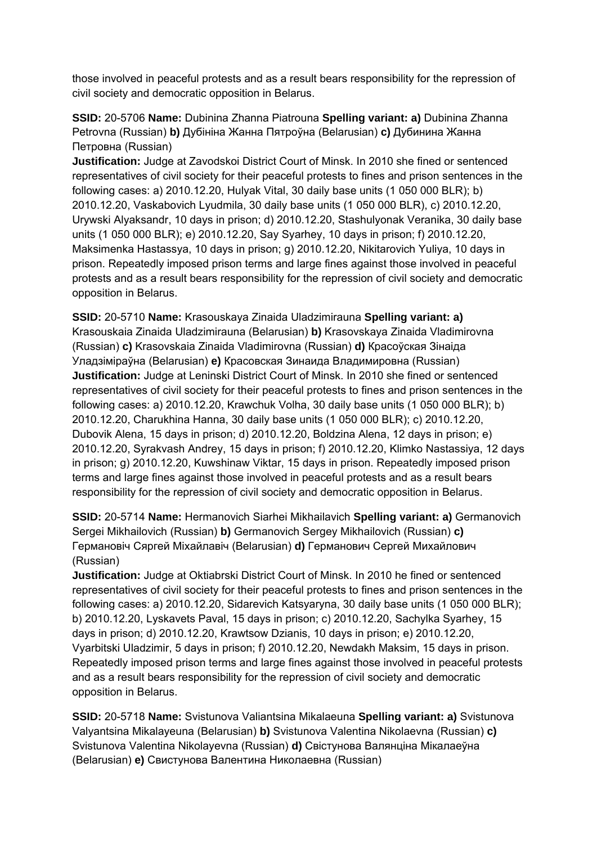those involved in peaceful protests and as a result bears responsibility for the repression of civil society and democratic opposition in Belarus.

**SSID:** 20-5706 **Name:** Dubinina Zhanna Piatrouna **Spelling variant: a)** Dubinina Zhanna Petrovna (Russian) **b)** Дубініна Жанна Пятроўна (Belarusian) **c)** Дубинина Жанна Петровна (Russian)

**Justification:** Judge at Zavodskoi District Court of Minsk. In 2010 she fined or sentenced representatives of civil society for their peaceful protests to fines and prison sentences in the following cases: a) 2010.12.20, Hulyak Vital, 30 daily base units (1 050 000 BLR); b) 2010.12.20, Vaskabovich Lyudmila, 30 daily base units (1 050 000 BLR), c) 2010.12.20, Urywski Alyaksandr, 10 days in prison; d) 2010.12.20, Stashulyonak Veranika, 30 daily base units (1 050 000 BLR); e) 2010.12.20, Say Syarhey, 10 days in prison; f) 2010.12.20, Maksimenka Hastassya, 10 days in prison; g) 2010.12.20, Nikitarovich Yuliya, 10 days in prison. Repeatedly imposed prison terms and large fines against those involved in peaceful protests and as a result bears responsibility for the repression of civil society and democratic opposition in Belarus.

**SSID:** 20-5710 **Name:** Krasouskaya Zinaida Uladzimirauna **Spelling variant: a)**  Krasouskaia Zinaida Uladzimirauna (Belarusian) **b)** Krasovskaya Zinaida Vladimirovna (Russian) **c)** Krasovskaia Zinaida Vladimirovna (Russian) **d)** Красоўская Зінаіда Уладзіміраўна (Belarusian) **e)** Красовская Зинаида Владимировна (Russian) **Justification:** Judge at Leninski District Court of Minsk. In 2010 she fined or sentenced representatives of civil society for their peaceful protests to fines and prison sentences in the following cases: a) 2010.12.20, Krawchuk Volha, 30 daily base units (1 050 000 BLR); b) 2010.12.20, Charukhina Hanna, 30 daily base units (1 050 000 BLR); c) 2010.12.20, Dubovik Alena, 15 days in prison; d) 2010.12.20, Boldzina Alena, 12 days in prison; e) 2010.12.20, Syrakvash Andrey, 15 days in prison; f) 2010.12.20, Klimko Nastassiya, 12 days in prison; g) 2010.12.20, Kuwshinaw Viktar, 15 days in prison. Repeatedly imposed prison terms and large fines against those involved in peaceful protests and as a result bears responsibility for the repression of civil society and democratic opposition in Belarus.

**SSID:** 20-5714 **Name:** Hermanovich Siarhei Mikhailavich **Spelling variant: a)** Germanovich Sergei Mikhailovich (Russian) **b)** Germanovich Sergey Mikhailovich (Russian) **c)**  Германовіч Сяргей Міхайлавіч (Belarusian) **d)** Германович Сергей Михайлович (Russian)

**Justification:** Judge at Oktiabrski District Court of Minsk. In 2010 he fined or sentenced representatives of civil society for their peaceful protests to fines and prison sentences in the following cases: a) 2010.12.20, Sidarevich Katsyaryna, 30 daily base units (1 050 000 BLR); b) 2010.12.20, Lyskavets Paval, 15 days in prison; c) 2010.12.20, Sachylka Syarhey, 15 days in prison; d) 2010.12.20, Krawtsow Dzianis, 10 days in prison; e) 2010.12.20, Vyarbitski Uladzimir, 5 days in prison; f) 2010.12.20, Newdakh Maksim, 15 days in prison. Repeatedly imposed prison terms and large fines against those involved in peaceful protests and as a result bears responsibility for the repression of civil society and democratic opposition in Belarus.

**SSID:** 20-5718 **Name:** Svistunova Valiantsina Mikalaeuna **Spelling variant: a)** Svistunova Valyantsina Mikalayeuna (Belarusian) **b)** Svistunova Valentina Nikolaevna (Russian) **c)**  Svistunova Valentina Nikolayevna (Russian) **d)** Свістунова Валянціна Мікалаеўна (Belarusian) **e)** Свистунова Валентина Николаевна (Russian)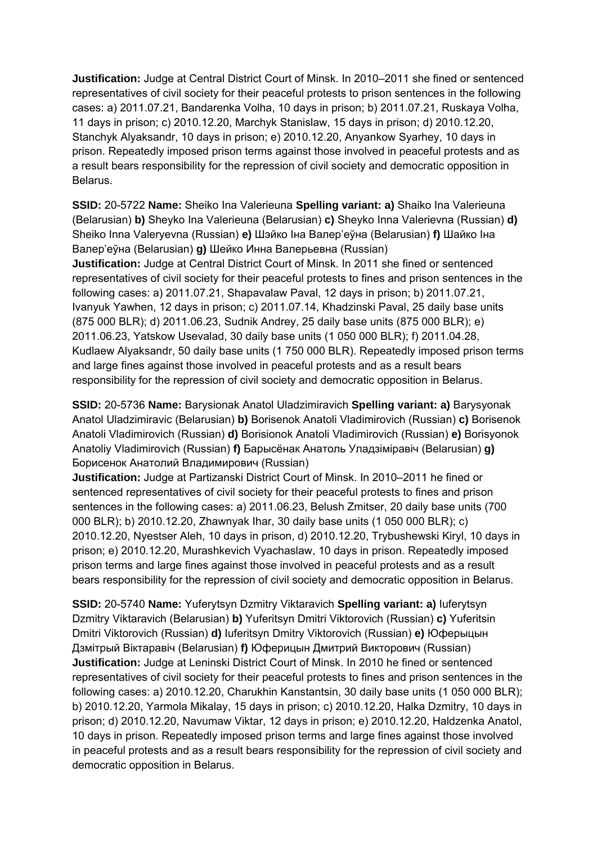**Justification:** Judge at Central District Court of Minsk. In 2010–2011 she fined or sentenced representatives of civil society for their peaceful protests to prison sentences in the following cases: a) 2011.07.21, Bandarenka Volha, 10 days in prison; b) 2011.07.21, Ruskaya Volha, 11 days in prison; c) 2010.12.20, Marchyk Stanislaw, 15 days in prison; d) 2010.12.20, Stanchyk Alyaksandr, 10 days in prison; e) 2010.12.20, Anyankow Syarhey, 10 days in prison. Repeatedly imposed prison terms against those involved in peaceful protests and as a result bears responsibility for the repression of civil society and democratic opposition in Belarus.

**SSID:** 20-5722 **Name:** Sheiko Ina Valerieuna **Spelling variant: a)** Shaiko Іna Valerieuna (Belarusian) **b)** Sheyko Іna Valerieuna (Belarusian) **c)** Sheyko Inna Valerievna (Russian) **d)**  Sheiko Inna Valeryevna (Russian) **e)** Шэйко Iна Валер'еўна (Belarusian) **f)** Шайко Iна Валер'еўна (Belarusian) **g)** Шейко Инна Валерьевна (Russian) **Justification:** Judge at Central District Court of Minsk. In 2011 she fined or sentenced representatives of civil society for their peaceful protests to fines and prison sentences in the following cases: a) 2011.07.21, Shapavalaw Paval, 12 days in prison; b) 2011.07.21, Ivanyuk Yawhen, 12 days in prison; c) 2011.07.14, Khadzinski Paval, 25 daily base units (875 000 BLR); d) 2011.06.23, Sudnik Andrey, 25 daily base units (875 000 BLR); e) 2011.06.23, Yatskow Usevalad, 30 daily base units (1 050 000 BLR); f) 2011.04.28, Kudlaew Alyaksandr, 50 daily base units (1 750 000 BLR). Repeatedly imposed prison terms and large fines against those involved in peaceful protests and as a result bears responsibility for the repression of civil society and democratic opposition in Belarus.

**SSID:** 20-5736 **Name:** Barysionak Anatol Uladzimiravich **Spelling variant: a)** Barysyonak Anatol Uladzimiravic (Belarusian) **b)** Borisenok Anatoli Vladimirovich (Russian) **c)** Borisenok Anatoli Vladimirovich (Russian) **d)** Borisionok Anatoli Vladimirovich (Russian) **e)** Borisyonok Anatoliy Vladimirovich (Russian) **f)** Барысёнак Анатоль Уладзіміравіч (Belarusian) **g)**  Борисенок Анатолий Владимирович (Russian)

**Justification:** Judge at Partizanski District Court of Minsk. In 2010–2011 he fined or sentenced representatives of civil society for their peaceful protests to fines and prison sentences in the following cases: a) 2011.06.23, Belush Zmitser, 20 daily base units (700 000 BLR); b) 2010.12.20, Zhawnyak Ihar, 30 daily base units (1 050 000 BLR); c) 2010.12.20, Nyestser Aleh, 10 days in prison, d) 2010.12.20, Trybushewski Kiryl, 10 days in prison; e) 2010.12.20, Murashkevich Vyachaslaw, 10 days in prison. Repeatedly imposed prison terms and large fines against those involved in peaceful protests and as a result bears responsibility for the repression of civil society and democratic opposition in Belarus.

**SSID:** 20-5740 **Name:** Yuferytsyn Dzmitry Viktaravich **Spelling variant: a)** Iuferytsyn Dzmitry Viktaravich (Belarusian) **b)** Yuferitsyn Dmitri Viktorovich (Russian) **c)** Yuferitsin Dmitri Viktorovich (Russian) **d)** Iuferitsyn Dmitry Viktorovich (Russian) **e)** Юферыцын Дзмітрый Віктаравіч (Belarusian) **f)** Юферицын Дмитрий Викторович (Russian) **Justification:** Judge at Leninski District Court of Minsk. In 2010 he fined or sentenced representatives of civil society for their peaceful protests to fines and prison sentences in the following cases: a) 2010.12.20, Charukhin Kanstantsin, 30 daily base units (1 050 000 BLR); b) 2010.12.20, Yarmola Mikalay, 15 days in prison; c) 2010.12.20, Halka Dzmitry, 10 days in prison; d) 2010.12.20, Navumaw Viktar, 12 days in prison; e) 2010.12.20, Haldzenka Anatol, 10 days in prison. Repeatedly imposed prison terms and large fines against those involved in peaceful protests and as a result bears responsibility for the repression of civil society and democratic opposition in Belarus.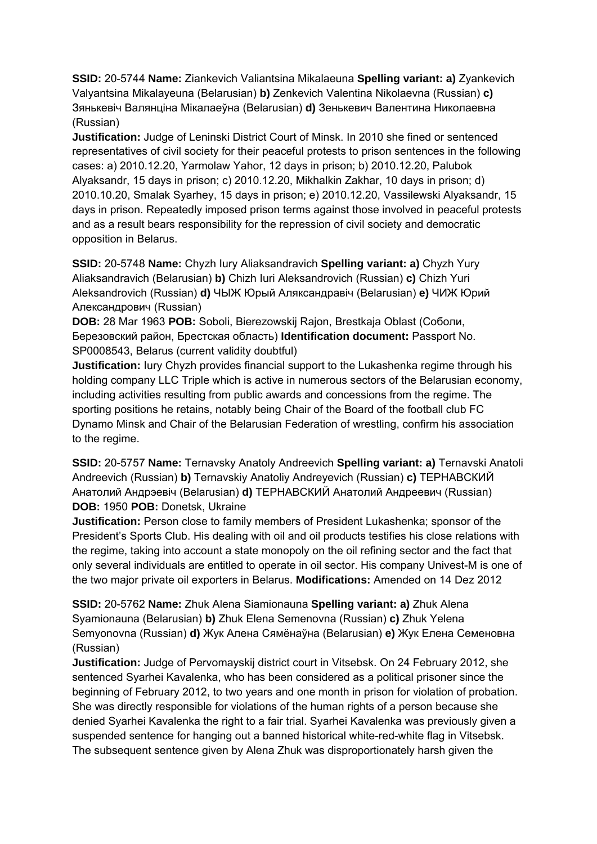**SSID:** 20-5744 **Name:** Ziankevich Valiantsina Mikalaeuna **Spelling variant: a)** Zyankevich Valyantsina Mikalayeuna (Belarusian) **b)** Zenkevich Valentina Nikolaevna (Russian) **c)**  Зянькевіч Валянціна Мікалаеўна (Belarusian) **d)** Зенькевич Валентина Николаевна (Russian)

**Justification:** Judge of Leninski District Court of Minsk. In 2010 she fined or sentenced representatives of civil society for their peaceful protests to prison sentences in the following cases: a) 2010.12.20, Yarmolaw Yahor, 12 days in prison; b) 2010.12.20, Palubok Alyaksandr, 15 days in prison; c) 2010.12.20, Mikhalkin Zakhar, 10 days in prison; d) 2010.10.20, Smalak Syarhey, 15 days in prison; e) 2010.12.20, Vassilewski Alyaksandr, 15 days in prison. Repeatedly imposed prison terms against those involved in peaceful protests and as a result bears responsibility for the repression of civil society and democratic opposition in Belarus.

**SSID:** 20-5748 **Name:** Chyzh Iury Aliaksandravich **Spelling variant: a)** Chyzh Yury Aliaksandravich (Belarusian) **b)** Chizh Iuri Aleksandrovich (Russian) **c)** Chizh Yuri Aleksandrovich (Russian) **d)** ЧЫЖ Юрый Аляксандравіч (Belarusian) **e)** ЧИЖ Юрий Александрович (Russian)

**DOB:** 28 Mar 1963 **POB:** Soboli, Bierezowskij Rajon, Brestkaja Oblast (Соболи, Березовский район, Брестская область) **Identification document:** Passport No. SP0008543, Belarus (current validity doubtful)

**Justification:** Iury Chyzh provides financial support to the Lukashenka regime through his holding company LLC Triple which is active in numerous sectors of the Belarusian economy, including activities resulting from public awards and concessions from the regime. The sporting positions he retains, notably being Chair of the Board of the football club FC Dynamo Minsk and Chair of the Belarusian Federation of wrestling, confirm his association to the regime.

**SSID:** 20-5757 **Name:** Ternavsky Anatoly Andreevich **Spelling variant: a)** Ternavski Anatoli Andreevich (Russian) **b)** Ternavskiy Anatoliy Andreyevich (Russian) **c)** ТЕРНАВСКИЙ Анатолий Андрэевiч (Belarusian) **d)** ТЕРНАВСКИЙ Анатолий Андреевич (Russian) **DOB:** 1950 **POB:** Donetsk, Ukraine

**Justification:** Person close to family members of President Lukashenka; sponsor of the President's Sports Club. His dealing with oil and oil products testifies his close relations with the regime, taking into account a state monopoly on the oil refining sector and the fact that only several individuals are entitled to operate in oil sector. His company Univest-M is one of the two major private oil exporters in Belarus. **Modifications:** Amended on 14 Dez 2012

**SSID:** 20-5762 **Name:** Zhuk Alena Siamionauna **Spelling variant: a)** Zhuk Alena Syamionauna (Belarusian) **b)** Zhuk Elena Semenovna (Russian) **c)** Zhuk Yelena Semyonovna (Russian) **d)** Жук Алена Сямёнаўна (Belarusian) **e)** Жук Елена Семеновна (Russian)

**Justification:** Judge of Pervomayskij district court in Vitsebsk. On 24 February 2012, she sentenced Syarhei Kavalenka, who has been considered as a political prisoner since the beginning of February 2012, to two years and one month in prison for violation of probation. She was directly responsible for violations of the human rights of a person because she denied Syarhei Kavalenka the right to a fair trial. Syarhei Kavalenka was previously given a suspended sentence for hanging out a banned historical white-red-white flag in Vitsebsk. The subsequent sentence given by Alena Zhuk was disproportionately harsh given the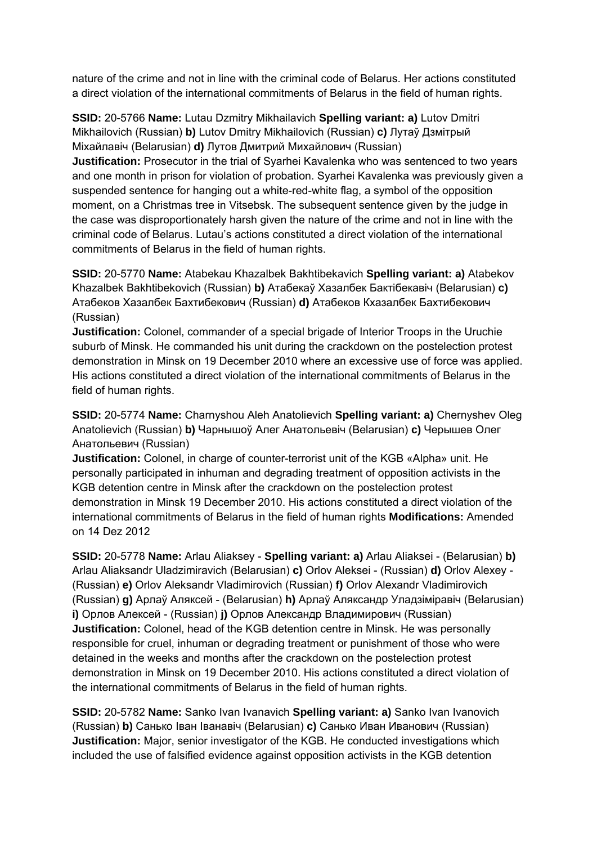nature of the crime and not in line with the criminal code of Belarus. Her actions constituted a direct violation of the international commitments of Belarus in the field of human rights.

**SSID:** 20-5766 **Name:** Lutau Dzmitry Mikhailavich **Spelling variant: a)** Lutov Dmitri Mikhailovich (Russian) **b)** Lutov Dmitry Mikhailovich (Russian) **c)** Лутаў Дзмітрый Міхайлавіч (Belarusian) **d)** Лутов Дмитрий Михайлович (Russian) **Justification:** Prosecutor in the trial of Syarhei Kavalenka who was sentenced to two years and one month in prison for violation of probation. Syarhei Kavalenka was previously given a suspended sentence for hanging out a white-red-white flag, a symbol of the opposition moment, on a Christmas tree in Vitsebsk. The subsequent sentence given by the judge in the case was disproportionately harsh given the nature of the crime and not in line with the criminal code of Belarus. Lutau's actions constituted a direct violation of the international commitments of Belarus in the field of human rights.

**SSID:** 20-5770 **Name:** Atabekau Khazalbek Bakhtibekavich **Spelling variant: a)** Atabekov Khazalbek Bakhtibekovich (Russian) **b)** Атабекаў Хазалбек Бактібекавіч (Belarusian) **c)**  Атабеков Хазалбек Бахтибекович (Russian) **d)** Атабеков Кхазалбек Бахтибекович (Russian)

**Justification:** Colonel, commander of a special brigade of Interior Troops in the Uruchie suburb of Minsk. He commanded his unit during the crackdown on the postelection protest demonstration in Minsk on 19 December 2010 where an excessive use of force was applied. His actions constituted a direct violation of the international commitments of Belarus in the field of human rights.

**SSID:** 20-5774 **Name:** Charnyshou Aleh Anatolievich **Spelling variant: a)** Chernyshev Oleg Anatolievich (Russian) **b)** Чарнышоў Алег Анатольевiч (Belarusian) **c)** Черышев Олег Анатольевич (Russian)

**Justification:** Colonel, in charge of counter-terrorist unit of the KGB «Alpha» unit. He personally participated in inhuman and degrading treatment of opposition activists in the KGB detention centre in Minsk after the crackdown on the postelection protest demonstration in Minsk 19 December 2010. His actions constituted a direct violation of the international commitments of Belarus in the field of human rights **Modifications:** Amended on 14 Dez 2012

**SSID:** 20-5778 **Name:** Arlau Aliaksey - **Spelling variant: a)** Arlau Aliaksei - (Belarusian) **b)**  Arlau Aliaksandr Uladzimiravich (Belarusian) **c)** Orlov Aleksei - (Russian) **d)** Orlov Alexey - (Russian) **e)** Orlov Aleksandr Vladimirovich (Russian) **f)** Orlov Alexandr Vladimirovich (Russian) **g)** Арлаў Аляксей - (Belarusian) **h)** Арлаў Аляксандр Уладзіміравіч (Belarusian) **i)** Орлов Алексей - (Russian) **j)** Орлов Александр Владимирович (Russian) **Justification:** Colonel, head of the KGB detention centre in Minsk. He was personally responsible for cruel, inhuman or degrading treatment or punishment of those who were detained in the weeks and months after the crackdown on the postelection protest demonstration in Minsk on 19 December 2010. His actions constituted a direct violation of the international commitments of Belarus in the field of human rights.

**SSID:** 20-5782 **Name:** Sanko Ivan Ivanavich **Spelling variant: a)** Sanko Ivan Ivanovich (Russian) **b)** Санько Іван Іванавіч (Belarusian) **c)** Санько Иван Иванович (Russian) **Justification:** Major, senior investigator of the KGB. He conducted investigations which included the use of falsified evidence against opposition activists in the KGB detention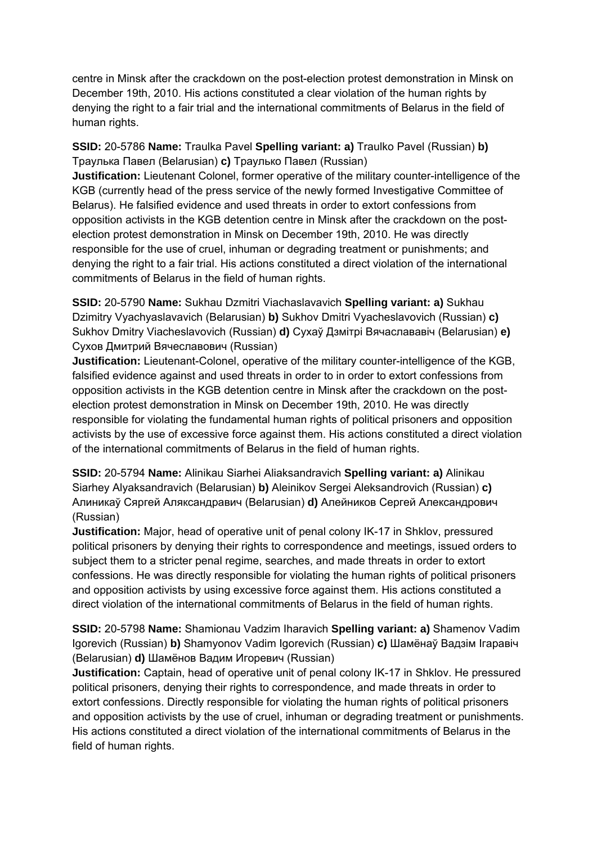centre in Minsk after the crackdown on the post-election protest demonstration in Minsk on December 19th, 2010. His actions constituted a clear violation of the human rights by denying the right to a fair trial and the international commitments of Belarus in the field of human rights.

**SSID:** 20-5786 **Name:** Traulka Pavel **Spelling variant: a)** Traulko Pavel (Russian) **b)**  Траулька Павел (Belarusian) **c)** Траулько Павел (Russian)

**Justification:** Lieutenant Colonel, former operative of the military counter-intelligence of the KGB (currently head of the press service of the newly formed Investigative Committee of Belarus). He falsified evidence and used threats in order to extort confessions from opposition activists in the KGB detention centre in Minsk after the crackdown on the postelection protest demonstration in Minsk on December 19th, 2010. He was directly responsible for the use of cruel, inhuman or degrading treatment or punishments; and denying the right to a fair trial. His actions constituted a direct violation of the international commitments of Belarus in the field of human rights.

**SSID:** 20-5790 **Name:** Sukhau Dzmitri Viachaslavavich **Spelling variant: a)** Sukhau Dzimitry Vyachyaslavavich (Belarusian) **b)** Sukhov Dmitri Vyacheslavovich (Russian) **c)**  Sukhov Dmitry Viacheslavovich (Russian) **d)** Сухаў Дзмітрі Вячаслававіч (Belarusian) **e)**  Сухов Дмитрий Вячеславович (Russian)

**Justification:** Lieutenant-Colonel, operative of the military counter-intelligence of the KGB, falsified evidence against and used threats in order to in order to extort confessions from opposition activists in the KGB detention centre in Minsk after the crackdown on the postelection protest demonstration in Minsk on December 19th, 2010. He was directly responsible for violating the fundamental human rights of political prisoners and opposition activists by the use of excessive force against them. His actions constituted a direct violation of the international commitments of Belarus in the field of human rights.

**SSID:** 20-5794 **Name:** Alinikau Siarhei Aliaksandravich **Spelling variant: a)** Alinikau Siarhey Alyaksandravich (Belarusian) **b)** Aleinikov Sergei Aleksandrovich (Russian) **c)**  Алиникаў Сяргей Аляксандравич (Belarusian) **d)** Алейников Сергей Александрович (Russian)

**Justification:** Major, head of operative unit of penal colony IK-17 in Shklov, pressured political prisoners by denying their rights to correspondence and meetings, issued orders to subject them to a stricter penal regime, searches, and made threats in order to extort confessions. He was directly responsible for violating the human rights of political prisoners and opposition activists by using excessive force against them. His actions constituted a direct violation of the international commitments of Belarus in the field of human rights.

**SSID:** 20-5798 **Name:** Shamionau Vadzim Iharavich **Spelling variant: a)** Shamenov Vadim Igorevich (Russian) **b)** Shamyonov Vadim Igorevich (Russian) **c)** Шамёнаў Вадзiм Ігаравіч (Belarusian) **d)** Шамёнов Вадим Игоревич (Russian)

**Justification:** Captain, head of operative unit of penal colony IK-17 in Shklov. He pressured political prisoners, denying their rights to correspondence, and made threats in order to extort confessions. Directly responsible for violating the human rights of political prisoners and opposition activists by the use of cruel, inhuman or degrading treatment or punishments. His actions constituted a direct violation of the international commitments of Belarus in the field of human rights.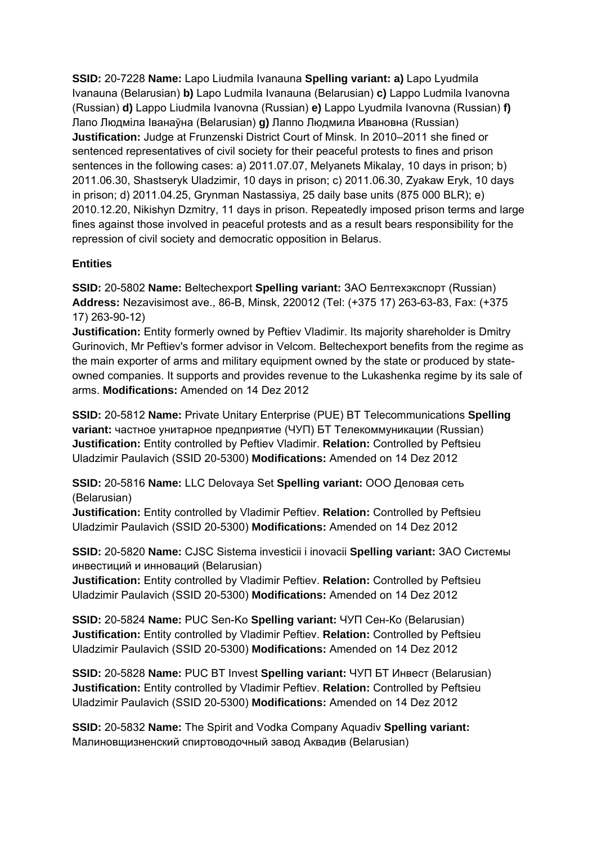**SSID:** 20-7228 **Name:** Lapo Liudmila Ivanauna **Spelling variant: a)** Lapo Lyudmila Ivanauna (Belarusian) **b)** Lapo Ludmila Ivanauna (Belarusian) **c)** Lappo Ludmila Ivanovna (Russian) **d)** Lappo Liudmila Ivanovna (Russian) **e)** Lappo Lyudmila Ivanovna (Russian) **f)**  Лапо Людміла Іванаўна (Belarusian) **g)** Лаппо Людмила Ивановна (Russian) **Justification:** Judge at Frunzenski District Court of Minsk. In 2010–2011 she fined or sentenced representatives of civil society for their peaceful protests to fines and prison sentences in the following cases: a) 2011.07.07, Melyanets Mikalay, 10 days in prison; b) 2011.06.30, Shastseryk Uladzimir, 10 days in prison; c) 2011.06.30, Zyakaw Eryk, 10 days in prison; d) 2011.04.25, Grynman Nastassiya, 25 daily base units (875 000 BLR); e) 2010.12.20, Nikishyn Dzmitry, 11 days in prison. Repeatedly imposed prison terms and large fines against those involved in peaceful protests and as a result bears responsibility for the repression of civil society and democratic opposition in Belarus.

# **Entities**

**SSID:** 20-5802 **Name:** Beltechexport **Spelling variant:** ЗАО Белтехэкспорт (Russian) **Address:** Nezavisimost ave., 86-B, Minsk, 220012 (Tel: (+375 17) 263-63-83, Fax: (+375 17) 263-90-12)

**Justification:** Entity formerly owned by Peftiev Vladimir. Its majority shareholder is Dmitry Gurinovich, Mr Peftiev's former advisor in Velcom. Beltechexport benefits from the regime as the main exporter of arms and military equipment owned by the state or produced by stateowned companies. It supports and provides revenue to the Lukashenka regime by its sale of arms. **Modifications:** Amended on 14 Dez 2012

**SSID:** 20-5812 **Name:** Private Unitary Enterprise (PUE) BT Telecommunications **Spelling variant:** частное унитарное предприятие (ЧУП) БТ Телекоммуникации (Russian) **Justification:** Entity controlled by Peftiev Vladimir. **Relation:** Controlled by Peftsieu Uladzimir Paulavich (SSID 20-5300) **Modifications:** Amended on 14 Dez 2012

**SSID:** 20-5816 **Name:** LLC Delovaya Set **Spelling variant:** ООО Деловая сеть (Belarusian)

**Justification:** Entity controlled by Vladimir Peftiev. **Relation:** Controlled by Peftsieu Uladzimir Paulavich (SSID 20-5300) **Modifications:** Amended on 14 Dez 2012

**SSID:** 20-5820 **Name:** CJSC Sistema investicii i inovacii **Spelling variant:** ЗАО Системы инвестиций и инноваций (Belarusian)

**Justification:** Entity controlled by Vladimir Peftiev. **Relation:** Controlled by Peftsieu Uladzimir Paulavich (SSID 20-5300) **Modifications:** Amended on 14 Dez 2012

**SSID:** 20-5824 **Name:** PUC Sen-Ko **Spelling variant:** ЧУП Сен-Ко (Belarusian) **Justification:** Entity controlled by Vladimir Peftiev. **Relation:** Controlled by Peftsieu Uladzimir Paulavich (SSID 20-5300) **Modifications:** Amended on 14 Dez 2012

**SSID:** 20-5828 **Name:** PUC BT Invest **Spelling variant:** ЧУП БТ Инвест (Belarusian) **Justification:** Entity controlled by Vladimir Peftiev. **Relation:** Controlled by Peftsieu Uladzimir Paulavich (SSID 20-5300) **Modifications:** Amended on 14 Dez 2012

**SSID:** 20-5832 **Name:** The Spirit and Vodka Company Aquadiv **Spelling variant:**  Малиновщизненский спиртоводочный завод Аквадив (Belarusian)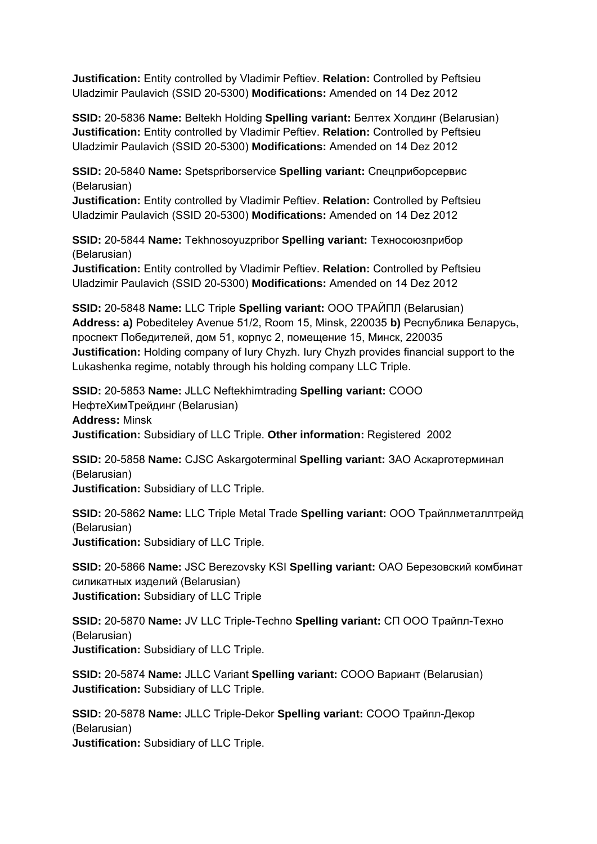**Justification:** Entity controlled by Vladimir Peftiev. **Relation:** Controlled by Peftsieu Uladzimir Paulavich (SSID 20-5300) **Modifications:** Amended on 14 Dez 2012

**SSID:** 20-5836 **Name:** Beltekh Holding **Spelling variant:** Белтех Холдинг (Belarusian) **Justification:** Entity controlled by Vladimir Peftiev. **Relation:** Controlled by Peftsieu Uladzimir Paulavich (SSID 20-5300) **Modifications:** Amended on 14 Dez 2012

**SSID:** 20-5840 **Name:** Spetspriborservice **Spelling variant:** Спецприборсервис (Belarusian)

**Justification:** Entity controlled by Vladimir Peftiev. **Relation:** Controlled by Peftsieu Uladzimir Paulavich (SSID 20-5300) **Modifications:** Amended on 14 Dez 2012

**SSID:** 20-5844 **Name:** Tekhnosoyuzpribor **Spelling variant:** Техносоюзприбор (Belarusian)

**Justification:** Entity controlled by Vladimir Peftiev. **Relation:** Controlled by Peftsieu Uladzimir Paulavich (SSID 20-5300) **Modifications:** Amended on 14 Dez 2012

**SSID:** 20-5848 **Name:** LLC Triple **Spelling variant:** ООО ТРАЙПЛ (Belarusian) **Address: a)** Pobediteley Avenue 51/2, Room 15, Minsk, 220035 **b)** Республика Беларусь, проспект Победителей, дом 51, корпус 2, помещение 15, Минск, 220035 **Justification:** Holding company of Iury Chyzh. Iury Chyzh provides financial support to the Lukashenka regime, notably through his holding company LLC Triple.

**SSID:** 20-5853 **Name:** JLLC Neftekhimtrading **Spelling variant:** СООО НефтеХимТрейдинг (Belarusian) **Address:** Minsk **Justification:** Subsidiary of LLC Triple. **Other information:** Registered 2002

**SSID:** 20-5858 **Name:** CJSC Askargoterminal **Spelling variant:** ЗАО Аскарготерминал (Belarusian) **Justification:** Subsidiary of LLC Triple.

**SSID:** 20-5862 **Name:** LLC Triple Metal Trade **Spelling variant:** ООО Трайплметаллтрейд (Belarusian) **Justification:** Subsidiary of LLC Triple.

**SSID:** 20-5866 **Name:** JSC Berezovsky KSI **Spelling variant:** ОАО Березовский комбинат силикатных изделий (Belarusian) **Justification:** Subsidiary of LLC Triple

**SSID:** 20-5870 **Name:** JV LLC Triple-Techno **Spelling variant:** СП ООО Трайпл-Техно (Belarusian) **Justification:** Subsidiary of LLC Triple.

**SSID:** 20-5874 **Name:** JLLC Variant **Spelling variant:** СООО Вариант (Belarusian) **Justification:** Subsidiary of LLC Triple.

**SSID:** 20-5878 **Name:** JLLC Triple-Dekor **Spelling variant:** СООО Трайпл-Декор (Belarusian) **Justification:** Subsidiary of LLC Triple.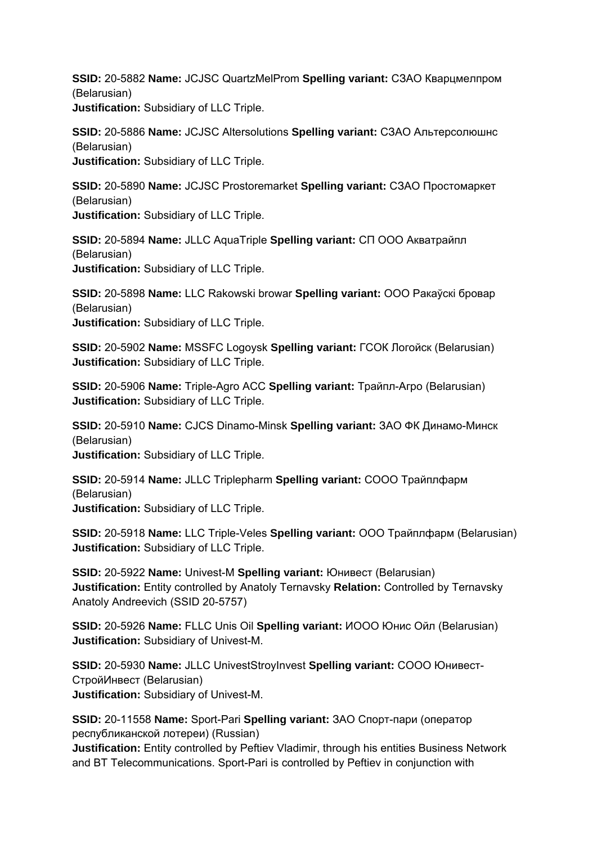**SSID:** 20-5882 **Name:** JCJSC QuartzMelProm **Spelling variant:** СЗАО Кварцмелпром (Belarusian) **Justification:** Subsidiary of LLC Triple.

**SSID:** 20-5886 **Name:** JCJSC Altersolutions **Spelling variant:** СЗАО Альтерсолюшнс (Belarusian) **Justification:** Subsidiary of LLC Triple.

**SSID:** 20-5890 **Name:** JCJSC Prostoremarket **Spelling variant:** СЗАО Простомаркет (Belarusian) **Justification:** Subsidiary of LLC Triple.

**SSID:** 20-5894 **Name:** JLLC AquaTriple **Spelling variant:** СП ООО Акватрайпл (Belarusian) **Justification:** Subsidiary of LLC Triple.

**SSID:** 20-5898 **Name:** LLC Rakowski browar **Spelling variant:** ООО Ракаўскі бровар (Belarusian) **Justification:** Subsidiary of LLC Triple.

**SSID:** 20-5902 **Name:** MSSFC Logoysk **Spelling variant:** ГСОК Логойск (Belarusian) **Justification:** Subsidiary of LLC Triple.

**SSID:** 20-5906 **Name:** Triple-Agro ACC **Spelling variant:** Трайпл-Агро (Belarusian) **Justification:** Subsidiary of LLC Triple.

**SSID:** 20-5910 **Name:** CJCS Dinamo-Minsk **Spelling variant:** ЗАО ФК Динамо-Минск (Belarusian) **Justification:** Subsidiary of LLC Triple.

**SSID:** 20-5914 **Name:** JLLC Triplepharm **Spelling variant:** СООО Трайплфарм (Belarusian) **Justification:** Subsidiary of LLC Triple.

**SSID:** 20-5918 **Name:** LLC Triple-Veles **Spelling variant:** ООО Трайплфарм (Belarusian) **Justification:** Subsidiary of LLC Triple.

**SSID:** 20-5922 **Name:** Univest-M **Spelling variant:** Юнивест (Belarusian) **Justification:** Entity controlled by Anatoly Ternavsky **Relation:** Controlled by Ternavsky Anatoly Andreevich (SSID 20-5757)

**SSID:** 20-5926 **Name:** FLLC Unis Oil **Spelling variant:** ИООО Юнис Ойл (Belarusian) **Justification:** Subsidiary of Univest-M.

**SSID:** 20-5930 **Name:** JLLC UnivestStroyInvest **Spelling variant:** СООО Юнивест-СтройИнвест (Belarusian) **Justification:** Subsidiary of Univest-M.

**SSID:** 20-11558 **Name:** Sport-Pari **Spelling variant:** ЗАО Спорт-пари (оператор республиканской лотереи) (Russian)

**Justification:** Entity controlled by Peftiev Vladimir, through his entities Business Network and BT Telecommunications. Sport-Pari is controlled by Peftiev in conjunction with